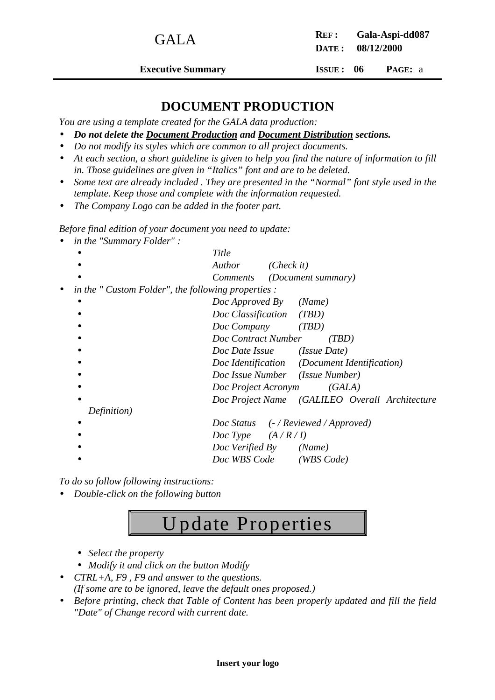| <b>GALA</b> | <b>REF:</b> |
|-------------|-------------|
|             | n           |

#### **Executive Summary ISSUE : 06 PAGE:** a

# **DOCUMENT PRODUCTION**

*You are using a template created for the GALA data production:*

- *Do not delete the Document Production and Document Distribution sections.*
- *Do not modify its styles which are common to all project documents.*
- At each section, a short guideline is given to help you find the nature of information to fill *in. Those guidelines are given in "Italics" font and are to be deleted.*
- *Some text are already included . They are presented in the "Normal" font style used in the template. Keep those and complete with the information requested.*
- *The Company Logo can be added in the footer part.*

*Before final edition of your document you need to update:*

• *in the "Summary Folder" :*

|           |                                                     | Title                    |                |                                                |
|-----------|-----------------------------------------------------|--------------------------|----------------|------------------------------------------------|
|           |                                                     | Author                   | $(C \nvert i)$ |                                                |
|           |                                                     | <i>Comments</i>          |                | (Document summary)                             |
| $\bullet$ | in the " Custom Folder", the following properties : |                          |                |                                                |
|           |                                                     | Doc Approved By          |                | (Name)                                         |
|           |                                                     | Doc Classification (TBD) |                |                                                |
|           |                                                     | Doc Company              |                | (TBD)                                          |
|           |                                                     | Doc Contract Number      |                | (TBD)                                          |
|           |                                                     |                          |                | Doc Date Issue (Issue Date)                    |
|           |                                                     |                          |                | Doc Identification (Document Identification)   |
|           |                                                     |                          |                | Doc Issue Number (Issue Number)                |
|           |                                                     | Doc Project Acronym      |                | (GALA)                                         |
|           |                                                     |                          |                | Doc Project Name (GALILEO Overall Architecture |
|           | Definition)                                         |                          |                |                                                |
|           |                                                     |                          |                | Doc Status (-/Reviewed/Approved)               |
|           |                                                     | Doc Type                 | (A/R/I)        |                                                |
|           |                                                     | Doc Verified By          |                | (Name)                                         |
|           |                                                     | Doc WBS Code             |                | (WBS Code)                                     |
|           |                                                     |                          |                |                                                |

*To do so follow following instructions:*

• *Double-click on the following button*

# Update Properties

- *Select the property*
- *Modify it and click on the button Modify*
- *CTRL+A, F9 , F9 and answer to the questions. (If some are to be ignored, leave the default ones proposed.)*
- *Before printing, check that Table of Content has been properly updated and fill the field "Date" of Change record with current date.*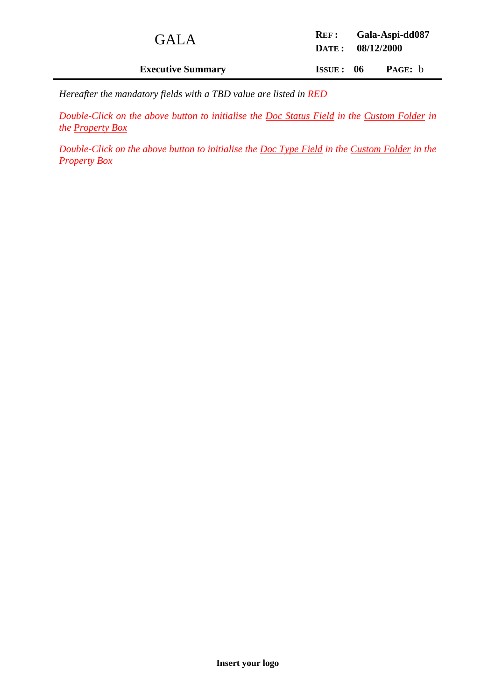| <b>GALA</b>              | REF: Gala-Aspi-dd087<br>DATE: $08/12/2000$ |                |
|--------------------------|--------------------------------------------|----------------|
| <b>Executive Summary</b> | ISSUE : 06                                 | <b>PAGE:</b> b |

*Hereafter the mandatory fields with a TBD value are listed in RED*

*Double-Click on the above button to initialise the Doc Status Field in the Custom Folder in the Property Box*

*Double-Click on the above button to initialise the Doc Type Field in the Custom Folder in the Property Box*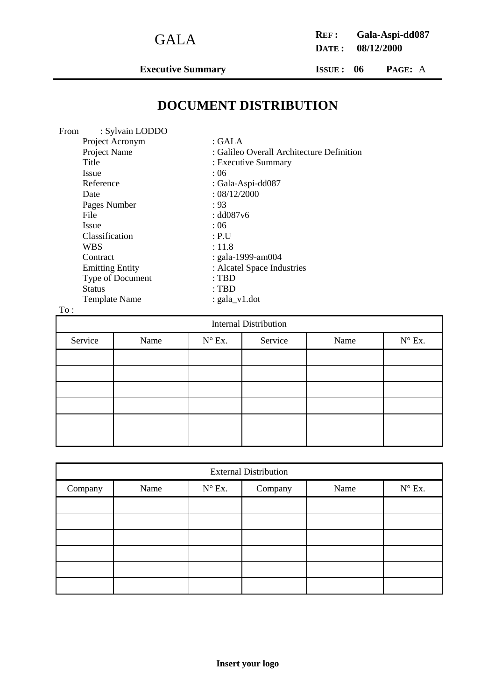GALA **REF**:

**DATE : Gala-Aspi-dd087 08/12/2000**

**Executive Summary ISSUE : 06 PAGE:** A

# **DOCUMENT DISTRIBUTION**

| From | : Sylvain LODDO        |                                           |
|------|------------------------|-------------------------------------------|
|      | Project Acronym        | : GALA                                    |
|      | Project Name           | : Galileo Overall Architecture Definition |
|      | Title                  | : Executive Summary                       |
|      | <b>Issue</b>           | :06                                       |
|      | Reference              | : Gala-Aspi-dd087                         |
|      | Date                   | : 08/12/2000                              |
|      | Pages Number           | : 93                                      |
|      | File                   | : $d\frac{d}{}$ 087 $v$ 6                 |
|      | <b>Issue</b>           | : 06                                      |
|      | Classification         | $:$ P.U                                   |
|      | WBS                    | : 11.8                                    |
|      | Contract               | : gala-1999-am004                         |
|      | <b>Emitting Entity</b> | : Alcatel Space Industries                |
|      | Type of Document       | : TBD                                     |
|      | <b>Status</b>          | : TBD                                     |
|      | <b>Template Name</b>   | : gala_v1.dot                             |
|      |                        |                                           |

 $To:$ 

|         |      |                 | <b>Internal Distribution</b> |      |                 |
|---------|------|-----------------|------------------------------|------|-----------------|
| Service | Name | $N^{\circ}$ Ex. | Service                      | Name | $N^{\circ}$ Ex. |
|         |      |                 |                              |      |                 |
|         |      |                 |                              |      |                 |
|         |      |                 |                              |      |                 |
|         |      |                 |                              |      |                 |
|         |      |                 |                              |      |                 |
|         |      |                 |                              |      |                 |

|         |      |                 | <b>External Distribution</b> |      |                 |
|---------|------|-----------------|------------------------------|------|-----------------|
| Company | Name | $N^{\circ}$ Ex. | Company                      | Name | $N^{\circ}$ Ex. |
|         |      |                 |                              |      |                 |
|         |      |                 |                              |      |                 |
|         |      |                 |                              |      |                 |
|         |      |                 |                              |      |                 |
|         |      |                 |                              |      |                 |
|         |      |                 |                              |      |                 |

**Insert your logo**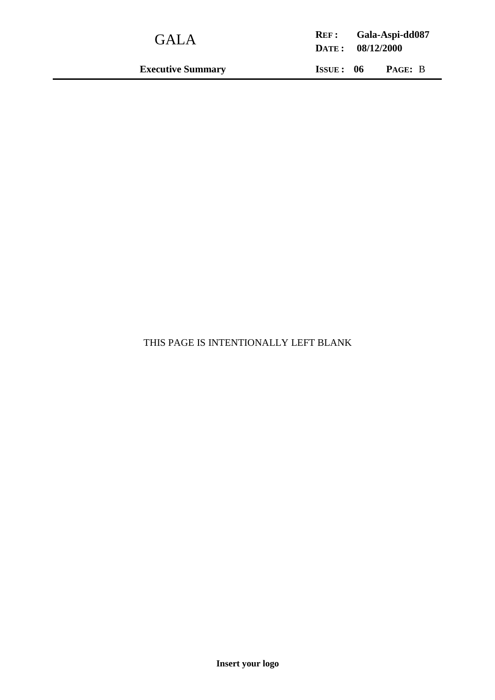| <b>GALA</b>              | REF: Gala-Aspi-dd087<br>$\text{DATE}: \quad 08/12/2000$ |
|--------------------------|---------------------------------------------------------|
| <b>Executive Summary</b> | <b>PAGE: B</b><br>ISSUE : 06                            |

### THIS PAGE IS INTENTIONALLY LEFT BLANK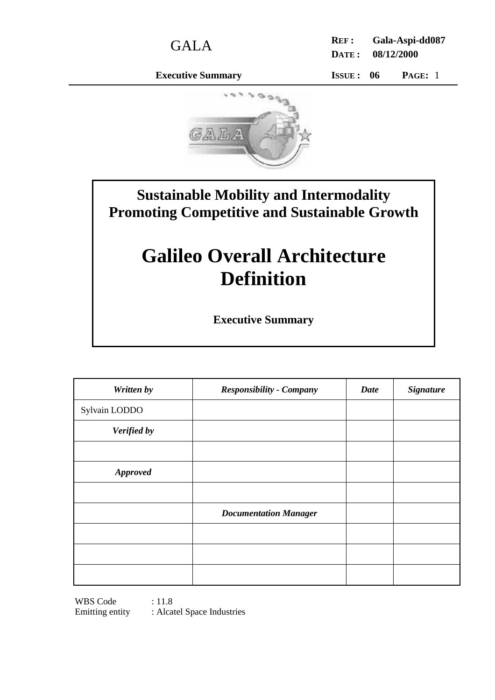| <b>GALA</b> | <b>REF:</b>     |
|-------------|-----------------|
|             | <b>B</b> + 2000 |



# **Sustainable Mobility and Intermodality Promoting Competitive and Sustainable Growth**

# **Galileo Overall Architecture Definition**

**Executive Summary**

| Written by      | <b>Responsibility - Company</b> | <b>Date</b> | <b>Signature</b> |
|-----------------|---------------------------------|-------------|------------------|
| Sylvain LODDO   |                                 |             |                  |
| Verified by     |                                 |             |                  |
|                 |                                 |             |                  |
| <b>Approved</b> |                                 |             |                  |
|                 |                                 |             |                  |
|                 | <b>Documentation Manager</b>    |             |                  |
|                 |                                 |             |                  |
|                 |                                 |             |                  |
|                 |                                 |             |                  |

WBS Code : 11.8 Emitting entity : Alcatel Space Industries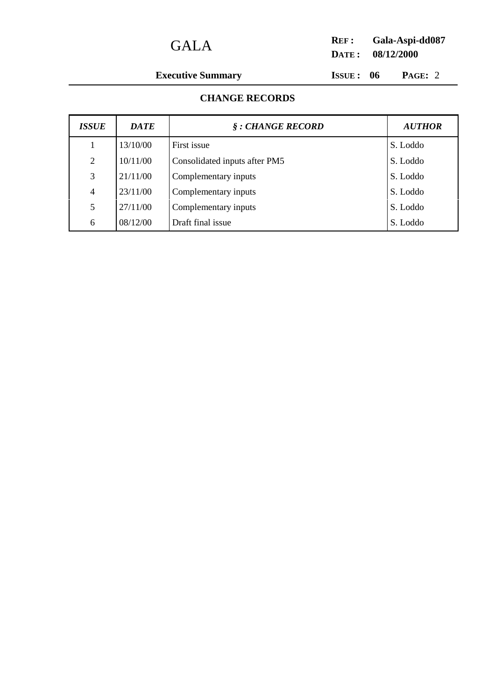# GALA **REF**:

**Executive Summary ISSUE : 06 PAGE:** 2

# **CHANGE RECORDS**

| <b>ISSUE</b>   | <b>DATE</b> | § : CHANGE RECORD             | <b>AUTHOR</b> |
|----------------|-------------|-------------------------------|---------------|
| 1              | 13/10/00    | First issue                   | S. Loddo      |
| 2              | 10/11/00    | Consolidated inputs after PM5 | S. Loddo      |
| 3              | 21/11/00    | Complementary inputs          | S. Loddo      |
| $\overline{4}$ | 23/11/00    | Complementary inputs          | S. Loddo      |
| 5              | 27/11/00    | Complementary inputs          | S. Loddo      |
| 6              | 08/12/00    | Draft final issue             | S. Loddo      |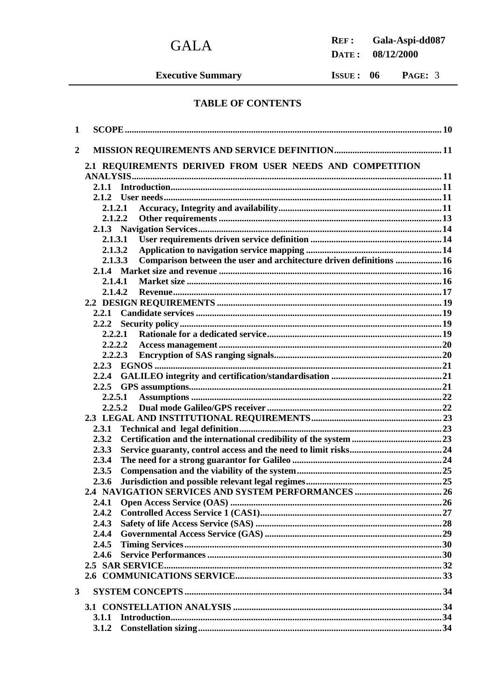**GALA** 

**Executive Summary** 

Gala-Aspi-dd087 **REF:** 08/12/2000 DATE:

**ISSUE:**  $06$ PAGE: 3

### **TABLE OF CONTENTS**

| $\mathbf{1}$   |         |                                                                     |  |
|----------------|---------|---------------------------------------------------------------------|--|
| $\overline{2}$ |         |                                                                     |  |
|                |         | 2.1 REQUIREMENTS DERIVED FROM USER NEEDS AND COMPETITION            |  |
|                |         |                                                                     |  |
|                | 2.1.1   |                                                                     |  |
|                |         |                                                                     |  |
|                | 2.1.2.1 |                                                                     |  |
|                | 2.1.2.2 |                                                                     |  |
|                |         |                                                                     |  |
|                | 2.1.3.1 |                                                                     |  |
|                | 2.1.3.2 |                                                                     |  |
|                | 2.1.3.3 | Comparison between the user and architecture driven definitions  16 |  |
|                |         |                                                                     |  |
|                | 2.1.4.1 |                                                                     |  |
|                | 2.1.4.2 |                                                                     |  |
|                |         |                                                                     |  |
|                | 2.2.1   |                                                                     |  |
|                |         |                                                                     |  |
|                | 2.2.2.1 |                                                                     |  |
|                | 2.2.2.2 |                                                                     |  |
|                | 2.2.2.3 |                                                                     |  |
|                |         |                                                                     |  |
|                | 2.2.4   |                                                                     |  |
|                |         |                                                                     |  |
|                | 2.2.5.1 |                                                                     |  |
|                | 2.2.5.2 |                                                                     |  |
|                |         |                                                                     |  |
|                | 2.3.1   |                                                                     |  |
|                | 2.3.2   |                                                                     |  |
|                | 2.3.3   |                                                                     |  |
|                | 2.3.4   |                                                                     |  |
|                | 2.3.5   |                                                                     |  |
|                | 2.3.6   |                                                                     |  |
|                |         |                                                                     |  |
|                | 2.4.1   |                                                                     |  |
|                | 2.4.2   |                                                                     |  |
|                | 2.4.3   |                                                                     |  |
|                | 2.4.4   |                                                                     |  |
|                | 2.4.5   |                                                                     |  |
|                | 2.4.6   |                                                                     |  |
|                |         |                                                                     |  |
|                |         |                                                                     |  |
| 3              |         |                                                                     |  |
|                |         |                                                                     |  |
|                | 3.1.1   |                                                                     |  |
|                | 3.1.2   |                                                                     |  |
|                |         |                                                                     |  |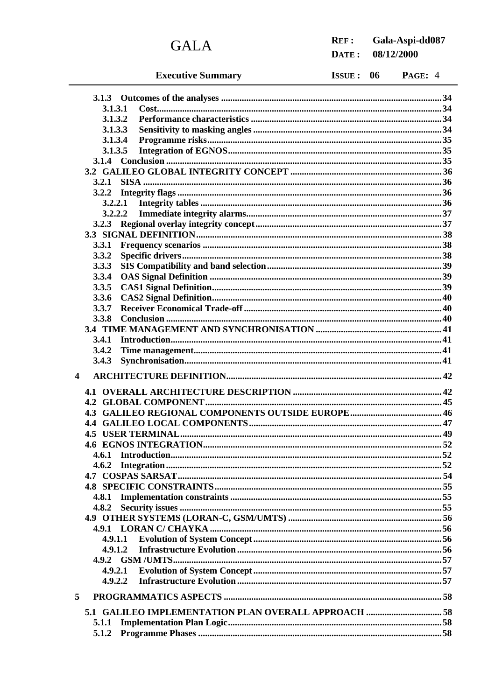# **Executive Summary**

**ISSUE:**  $06$ 

**PAGE: 4** 

|   | 3.1.3.1 |  |
|---|---------|--|
|   | 3.1.3.2 |  |
|   | 3.1.3.3 |  |
|   | 3.1.3.4 |  |
|   | 3.1.3.5 |  |
|   |         |  |
|   |         |  |
|   | 3.2.1   |  |
|   | 3.2.2   |  |
|   | 3.2.2.1 |  |
|   | 3.2.2.2 |  |
|   |         |  |
|   |         |  |
|   | 3.3.1   |  |
|   | 3.3.2   |  |
|   | 3.3.3   |  |
|   | 3.3.4   |  |
|   | 3.3.5   |  |
|   | 3.3.6   |  |
|   | 3.3.7   |  |
|   | 3.3.8   |  |
|   |         |  |
|   | 3.4.1   |  |
|   | 3.4.2   |  |
|   | 3.4.3   |  |
|   |         |  |
| 4 |         |  |
|   |         |  |
|   |         |  |
|   |         |  |
|   |         |  |
|   |         |  |
|   |         |  |
|   |         |  |
|   |         |  |
|   |         |  |
|   |         |  |
|   |         |  |
|   | 4.8.1   |  |
|   | 4.8.2   |  |
|   |         |  |
|   |         |  |
|   | 4.9.1.1 |  |
|   | 4.9.1.2 |  |
|   | 4.9.2   |  |
|   | 4.9.2.1 |  |
|   | 4.9.2.2 |  |
| 5 |         |  |
|   |         |  |
|   | 5.1.1   |  |
|   | 5.1.2   |  |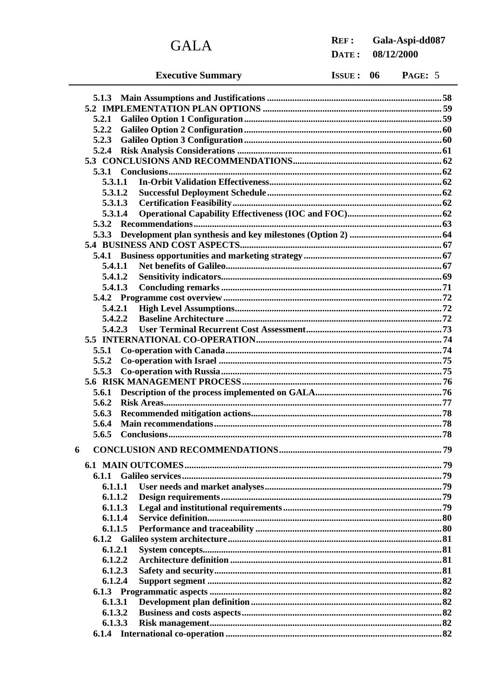# **GALA**

# **Executive Summary**

**ISSUE:**  $06$ 

**PAGE: 5** 

| 5.1.3   |  |
|---------|--|
|         |  |
| 5.2.1   |  |
| 5.2.2   |  |
|         |  |
| 5.2.3   |  |
| 5.2.4   |  |
|         |  |
| 5.3.1   |  |
| 5.3.1.1 |  |
| 5.3.1.2 |  |
| 5.3.1.3 |  |
| 5.3.1.4 |  |
|         |  |
| 5.3.3   |  |
|         |  |
| 5.4.1   |  |
| 5.4.1.1 |  |
| 5.4.1.2 |  |
| 5.4.1.3 |  |
|         |  |
| 5.4.2.1 |  |
| 5.4.2.2 |  |
| 5.4.2.3 |  |
|         |  |
| 5.5.1   |  |
| 5.5.2   |  |
| 5.5.3   |  |
|         |  |
| 5.6.1   |  |
| 5.6.2   |  |
| 5.6.3   |  |
| 5.6.4   |  |
|         |  |
| 5.6.5   |  |
| 6       |  |
|         |  |
|         |  |
| 6.1.1   |  |
| 6.1.1.1 |  |
| 6.1.1.2 |  |
| 6.1.1.3 |  |
| 6.1.1.4 |  |
| 6.1.1.5 |  |
|         |  |
| 6.1.2.1 |  |
| 6.1.2.2 |  |
| 6.1.2.3 |  |
| 6.1.2.4 |  |
|         |  |
| 6.1.3.1 |  |
| 6.1.3.2 |  |
| 6.1.3.3 |  |
|         |  |
|         |  |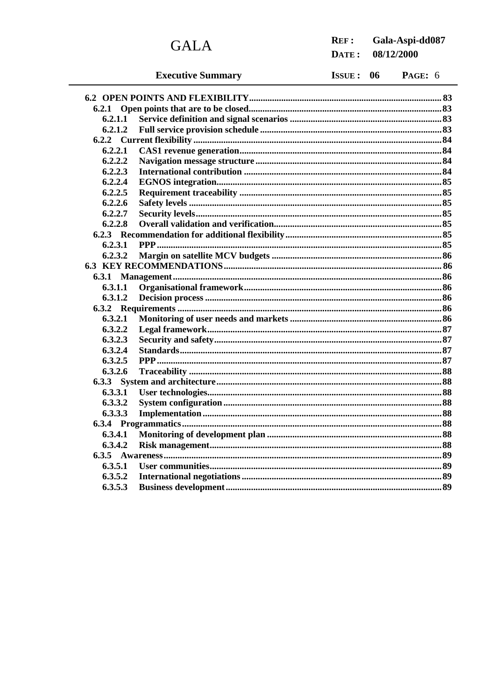# **GALA**

Gala-Aspi-dd087 **REF:** 08/12/2000 DATE:

# **Executive Summary**

**ISSUE:**  $06$ 

**PAGE:** 6

| 6.2.1   |  |
|---------|--|
| 6.2.1.1 |  |
| 6.2.1.2 |  |
|         |  |
| 6.2.2.1 |  |
| 6.2.2.2 |  |
| 6.2.2.3 |  |
| 6.2.2.4 |  |
| 6.2.2.5 |  |
| 6.2.2.6 |  |
| 6.2.2.7 |  |
| 6.2.2.8 |  |
|         |  |
| 6.2.3.1 |  |
| 6.2.3.2 |  |
|         |  |
|         |  |
| 6.3.1.1 |  |
| 6.3.1.2 |  |
|         |  |
| 6.3.2.1 |  |
| 6.3.2.2 |  |
| 6.3.2.3 |  |
| 6.3.2.4 |  |
| 6.3.2.5 |  |
| 6.3.2.6 |  |
|         |  |
| 6.3.3.1 |  |
| 6.3.3.2 |  |
| 6.3.3.3 |  |
|         |  |
| 6.3.4.1 |  |
| 6.3.4.2 |  |
|         |  |
| 6.3.5.1 |  |
| 6.3.5.2 |  |
| 6.3.5.3 |  |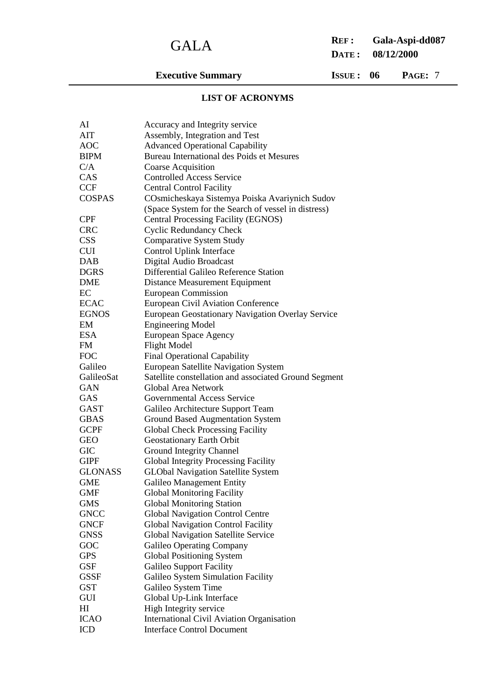# GALA **REF**:

**DATE : Gala-Aspi-dd087 08/12/2000**

**Executive Summary ISSUE : 06 PAGE:** 7

### **LIST OF ACRONYMS**

| AI             | Accuracy and Integrity service                        |
|----------------|-------------------------------------------------------|
| AIT            | Assembly, Integration and Test                        |
| <b>AOC</b>     | <b>Advanced Operational Capability</b>                |
| <b>BIPM</b>    | <b>Bureau International des Poids et Mesures</b>      |
| C/A            | Coarse Acquisition                                    |
| CAS            | <b>Controlled Access Service</b>                      |
| <b>CCF</b>     | <b>Central Control Facility</b>                       |
| COSPAS         | COsmicheskaya Sistemya Poiska Avariynich Sudov        |
|                | (Space System for the Search of vessel in distress)   |
| <b>CPF</b>     | <b>Central Processing Facility (EGNOS)</b>            |
| <b>CRC</b>     | <b>Cyclic Redundancy Check</b>                        |
| <b>CSS</b>     | <b>Comparative System Study</b>                       |
| <b>CUI</b>     | Control Uplink Interface                              |
| <b>DAB</b>     | Digital Audio Broadcast                               |
| <b>DGRS</b>    | Differential Galileo Reference Station                |
| <b>DME</b>     | Distance Measurement Equipment                        |
| EC             | <b>European Commission</b>                            |
| <b>ECAC</b>    | <b>European Civil Aviation Conference</b>             |
| <b>EGNOS</b>   | European Geostationary Navigation Overlay Service     |
| EM             | <b>Engineering Model</b>                              |
| <b>ESA</b>     | European Space Agency                                 |
| <b>FM</b>      | <b>Flight Model</b>                                   |
| <b>FOC</b>     | <b>Final Operational Capability</b>                   |
| Galileo        | European Satellite Navigation System                  |
| GalileoSat     | Satellite constellation and associated Ground Segment |
| <b>GAN</b>     | Global Area Network                                   |
| <b>GAS</b>     | Governmental Access Service                           |
| <b>GAST</b>    | Galileo Architecture Support Team                     |
| <b>GBAS</b>    | <b>Ground Based Augmentation System</b>               |
| <b>GCPF</b>    | <b>Global Check Processing Facility</b>               |
| GEO            | <b>Geostationary Earth Orbit</b>                      |
| <b>GIC</b>     | <b>Ground Integrity Channel</b>                       |
| <b>GIPF</b>    | <b>Global Integrity Processing Facility</b>           |
| <b>GLONASS</b> | <b>GLObal Navigation Satellite System</b>             |
| <b>GME</b>     | <b>Galileo Management Entity</b>                      |
| GMF            | <b>Global Monitoring Facility</b>                     |
| GMS            | <b>Global Monitoring Station</b>                      |
| <b>GNCC</b>    | <b>Global Navigation Control Centre</b>               |
| <b>GNCF</b>    | <b>Global Navigation Control Facility</b>             |
| <b>GNSS</b>    | <b>Global Navigation Satellite Service</b>            |
| GOC            | <b>Galileo Operating Company</b>                      |
| <b>GPS</b>     | <b>Global Positioning System</b>                      |
| GSF            | Galileo Support Facility                              |
| GSSF           | Galileo System Simulation Facility                    |
| <b>GST</b>     | Galileo System Time                                   |
| GUI            | Global Up-Link Interface                              |
| HI             | High Integrity service                                |
| <b>ICAO</b>    | <b>International Civil Aviation Organisation</b>      |
| <b>ICD</b>     | <b>Interface Control Document</b>                     |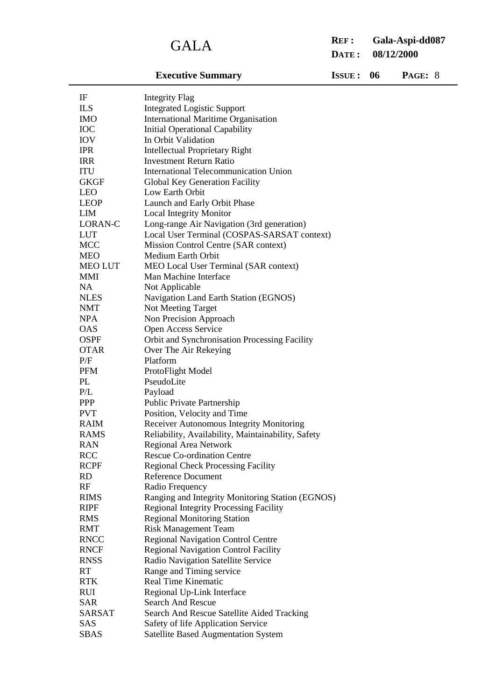GALA **REF**:

# **Executive Summary ISSUE : 06 PAGE:** 8

| IF             | <b>Integrity Flag</b>                              |
|----------------|----------------------------------------------------|
| <b>ILS</b>     | <b>Integrated Logistic Support</b>                 |
| <b>IMO</b>     | <b>International Maritime Organisation</b>         |
| <b>IOC</b>     | Initial Operational Capability                     |
|                | In Orbit Validation                                |
| <b>IOV</b>     |                                                    |
| <b>IPR</b>     | <b>Intellectual Proprietary Right</b>              |
| <b>IRR</b>     | <b>Investment Return Ratio</b>                     |
| <b>ITU</b>     | <b>International Telecommunication Union</b>       |
| <b>GKGF</b>    | Global Key Generation Facility                     |
| <b>LEO</b>     | Low Earth Orbit                                    |
| <b>LEOP</b>    | Launch and Early Orbit Phase                       |
| LIM            | <b>Local Integrity Monitor</b>                     |
| LORAN-C        | Long-range Air Navigation (3rd generation)         |
| <b>LUT</b>     | Local User Terminal (COSPAS-SARSAT context)        |
| <b>MCC</b>     | Mission Control Centre (SAR context)               |
| <b>MEO</b>     | <b>Medium Earth Orbit</b>                          |
| <b>MEO LUT</b> | MEO Local User Terminal (SAR context)              |
| MMI            | Man Machine Interface                              |
| <b>NA</b>      | Not Applicable                                     |
| <b>NLES</b>    | Navigation Land Earth Station (EGNOS)              |
| <b>NMT</b>     | Not Meeting Target                                 |
| <b>NPA</b>     | Non Precision Approach                             |
| <b>OAS</b>     | Open Access Service                                |
| <b>OSPF</b>    | Orbit and Synchronisation Processing Facility      |
| <b>OTAR</b>    | Over The Air Rekeying                              |
| P/F            | Platform                                           |
| <b>PFM</b>     | ProtoFlight Model                                  |
| PL             | PseudoLite                                         |
| P/L            | Payload                                            |
| <b>PPP</b>     | Public Private Partnership                         |
| <b>PVT</b>     | Position, Velocity and Time                        |
| <b>RAIM</b>    | Receiver Autonomous Integrity Monitoring           |
| <b>RAMS</b>    | Reliability, Availability, Maintainability, Safety |
| <b>RAN</b>     | Regional Area Network                              |
| <b>RCC</b>     | <b>Rescue Co-ordination Centre</b>                 |
| <b>RCPF</b>    | Regional Check Processing Facility                 |
| <b>RD</b>      | <b>Reference Document</b>                          |
| RF             | Radio Frequency                                    |
| <b>RIMS</b>    | Ranging and Integrity Monitoring Station (EGNOS)   |
| <b>RIPF</b>    |                                                    |
| <b>RMS</b>     | <b>Regional Integrity Processing Facility</b>      |
|                | <b>Regional Monitoring Station</b>                 |
| <b>RMT</b>     | <b>Risk Management Team</b>                        |
| <b>RNCC</b>    | <b>Regional Navigation Control Centre</b>          |
| <b>RNCF</b>    | <b>Regional Navigation Control Facility</b>        |
| <b>RNSS</b>    | Radio Navigation Satellite Service                 |
| RT             | Range and Timing service                           |
| <b>RTK</b>     | <b>Real Time Kinematic</b>                         |
| <b>RUI</b>     | Regional Up-Link Interface                         |
| <b>SAR</b>     | <b>Search And Rescue</b>                           |
| <b>SARSAT</b>  | Search And Rescue Satellite Aided Tracking         |
| SAS            | Safety of life Application Service                 |
| <b>SBAS</b>    | <b>Satellite Based Augmentation System</b>         |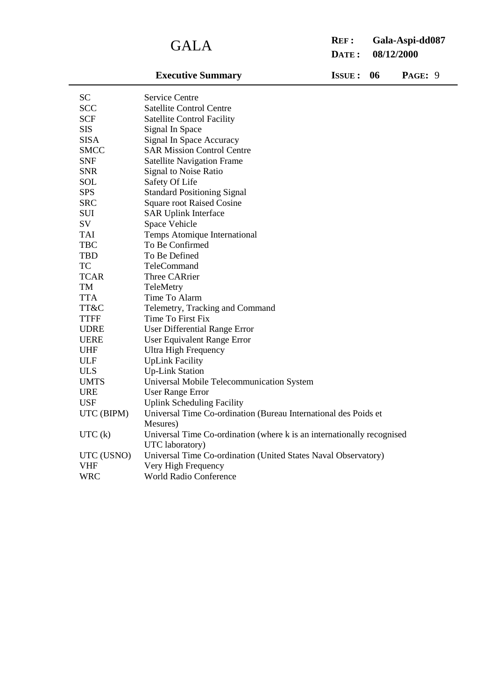GALA

**Executive Summary ISSUE : 06 PAGE:** 9

| REF : | Gala-Aspi-dd087  |
|-------|------------------|
|       | DATE: 08/12/2000 |
|       |                  |

| SC          | <b>Service Centre</b>                                                  |
|-------------|------------------------------------------------------------------------|
| <b>SCC</b>  | <b>Satellite Control Centre</b>                                        |
| <b>SCF</b>  | <b>Satellite Control Facility</b>                                      |
| <b>SIS</b>  | Signal In Space                                                        |
| <b>SISA</b> | Signal In Space Accuracy                                               |
| <b>SMCC</b> | <b>SAR Mission Control Centre</b>                                      |
| <b>SNF</b>  | <b>Satellite Navigation Frame</b>                                      |
| <b>SNR</b>  | Signal to Noise Ratio                                                  |
| SOL         | Safety Of Life                                                         |
| <b>SPS</b>  | <b>Standard Positioning Signal</b>                                     |
| <b>SRC</b>  | <b>Square root Raised Cosine</b>                                       |
| SUI         | <b>SAR Uplink Interface</b>                                            |
| SV          | Space Vehicle                                                          |
| TAI         | Temps Atomique International                                           |
| <b>TBC</b>  | To Be Confirmed                                                        |
| <b>TBD</b>  | To Be Defined                                                          |
| TC          | TeleCommand                                                            |
| <b>TCAR</b> | Three CARrier                                                          |
| TM          | TeleMetry                                                              |
| <b>TTA</b>  | Time To Alarm                                                          |
| TT&C        | Telemetry, Tracking and Command                                        |
| <b>TTFF</b> | Time To First Fix                                                      |
| <b>UDRE</b> | User Differential Range Error                                          |
| <b>UERE</b> | User Equivalent Range Error                                            |
| <b>UHF</b>  | Ultra High Frequency                                                   |
| <b>ULF</b>  | <b>UpLink Facility</b>                                                 |
| <b>ULS</b>  | <b>Up-Link Station</b>                                                 |
| <b>UMTS</b> | Universal Mobile Telecommunication System                              |
| <b>URE</b>  | <b>User Range Error</b>                                                |
| <b>USF</b>  | <b>Uplink Scheduling Facility</b>                                      |
| UTC (BIPM)  | Universal Time Co-ordination (Bureau International des Poids et        |
|             | Mesures)                                                               |
| UTC (k)     | Universal Time Co-ordination (where k is an internationally recognised |
|             | UTC laboratory)                                                        |
| UTC (USNO)  | Universal Time Co-ordination (United States Naval Observatory)         |
| <b>VHF</b>  | Very High Frequency                                                    |
| <b>WRC</b>  | <b>World Radio Conference</b>                                          |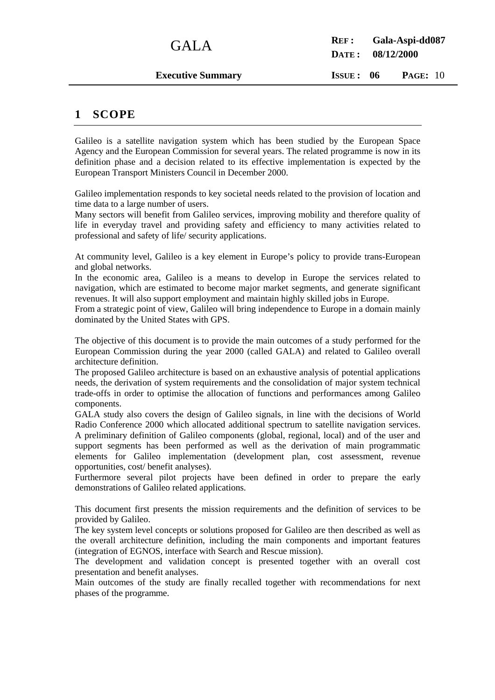#### **1 SCOPE**

Galileo is a satellite navigation system which has been studied by the European Space Agency and the European Commission for several years. The related programme is now in its definition phase and a decision related to its effective implementation is expected by the European Transport Ministers Council in December 2000.

Galileo implementation responds to key societal needs related to the provision of location and time data to a large number of users.

Many sectors will benefit from Galileo services, improving mobility and therefore quality of life in everyday travel and providing safety and efficiency to many activities related to professional and safety of life/ security applications.

At community level, Galileo is a key element in Europe's policy to provide trans-European and global networks.

In the economic area, Galileo is a means to develop in Europe the services related to navigation, which are estimated to become major market segments, and generate significant revenues. It will also support employment and maintain highly skilled jobs in Europe.

From a strategic point of view, Galileo will bring independence to Europe in a domain mainly dominated by the United States with GPS.

The objective of this document is to provide the main outcomes of a study performed for the European Commission during the year 2000 (called GALA) and related to Galileo overall architecture definition.

The proposed Galileo architecture is based on an exhaustive analysis of potential applications needs, the derivation of system requirements and the consolidation of major system technical trade-offs in order to optimise the allocation of functions and performances among Galileo components.

GALA study also covers the design of Galileo signals, in line with the decisions of World Radio Conference 2000 which allocated additional spectrum to satellite navigation services. A preliminary definition of Galileo components (global, regional, local) and of the user and support segments has been performed as well as the derivation of main programmatic elements for Galileo implementation (development plan, cost assessment, revenue opportunities, cost/ benefit analyses).

Furthermore several pilot projects have been defined in order to prepare the early demonstrations of Galileo related applications.

This document first presents the mission requirements and the definition of services to be provided by Galileo.

The key system level concepts or solutions proposed for Galileo are then described as well as the overall architecture definition, including the main components and important features (integration of EGNOS, interface with Search and Rescue mission).

The development and validation concept is presented together with an overall cost presentation and benefit analyses.

Main outcomes of the study are finally recalled together with recommendations for next phases of the programme.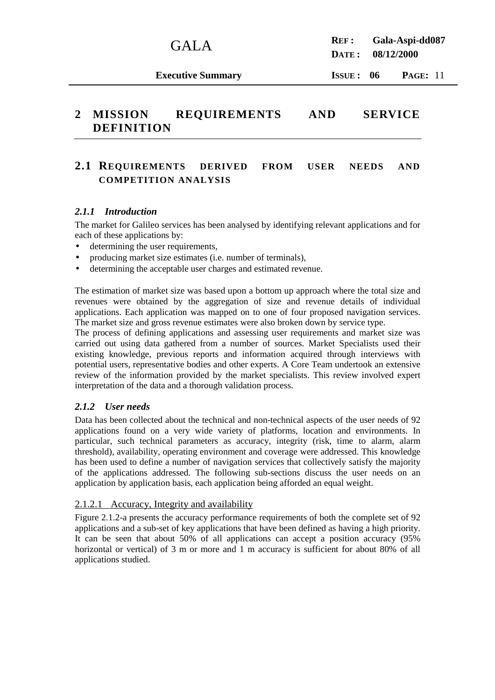| <b>GALA</b> | <b>REF:</b> |
|-------------|-------------|
|             | n           |

# **2 MISSION REQUIREMENTS AND SERVICE DEFINITION**

### **2.1 REQUIREMENTS DERIVED FROM USER NEEDS AND COMPETITION ANALYSIS**

#### *2.1.1 Introduction*

The market for Galileo services has been analysed by identifying relevant applications and for each of these applications by:

- determining the user requirements.
- producing market size estimates (i.e. number of terminals),
- determining the acceptable user charges and estimated revenue.

The estimation of market size was based upon a bottom up approach where the total size and revenues were obtained by the aggregation of size and revenue details of individual applications. Each application was mapped on to one of four proposed navigation services. The market size and gross revenue estimates were also broken down by service type.

The process of defining applications and assessing user requirements and market size was carried out using data gathered from a number of sources. Market Specialists used their existing knowledge, previous reports and information acquired through interviews with potential users, representative bodies and other experts. A Core Team undertook an extensive review of the information provided by the market specialists. This review involved expert interpretation of the data and a thorough validation process.

#### *2.1.2 User needs*

Data has been collected about the technical and non-technical aspects of the user needs of 92 applications found on a very wide variety of platforms, location and environments. In particular, such technical parameters as accuracy, integrity (risk, time to alarm, alarm threshold), availability, operating environment and coverage were addressed. This knowledge has been used to define a number of navigation services that collectively satisfy the majority of the applications addressed. The following sub-sections discuss the user needs on an application by application basis, each application being afforded an equal weight.

#### 2.1.2.1 Accuracy, Integrity and availability

Figure 2.1.2-a presents the accuracy performance requirements of both the complete set of 92 applications and a sub-set of key applications that have been defined as having a high priority. It can be seen that about 50% of all applications can accept a position accuracy (95% horizontal or vertical) of 3 m or more and 1 m accuracy is sufficient for about 80% of all applications studied.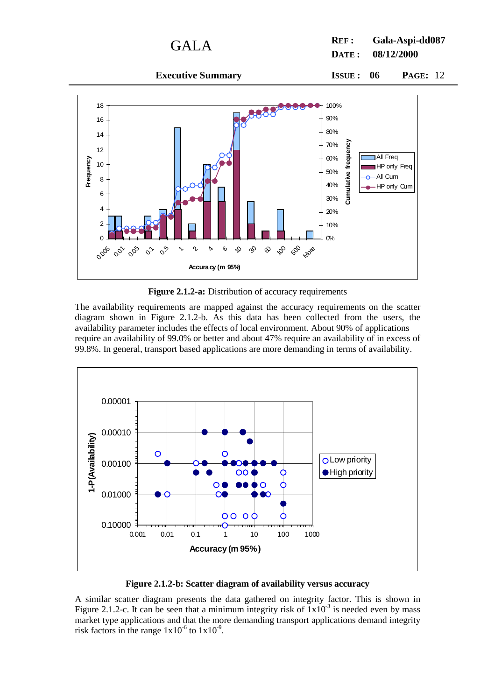

**Figure 2.1.2-a:** Distribution of accuracy requirements

The availability requirements are mapped against the accuracy requirements on the scatter diagram shown in Figure 2.1.2-b. As this data has been collected from the users, the availability parameter includes the effects of local environment. About 90% of applications require an availability of 99.0% or better and about 47% require an availability of in excess of 99.8%. In general, transport based applications are more demanding in terms of availability.



**Figure 2.1.2-b: Scatter diagram of availability versus accuracy**

A similar scatter diagram presents the data gathered on integrity factor. This is shown in Figure 2.1.2-c. It can be seen that a minimum integrity risk of  $1x10<sup>-3</sup>$  is needed even by mass market type applications and that the more demanding transport applications demand integrity risk factors in the range  $1x10^{-6}$  to  $1x10^{-9}$ .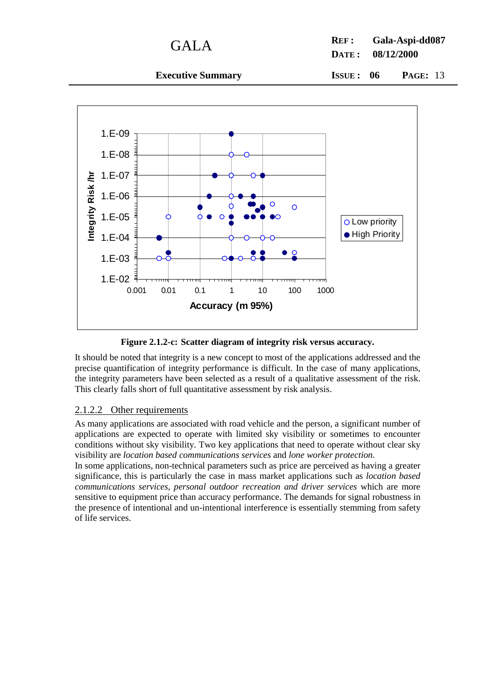# GALA<sup>REF:</sup>

**DATE : Gala-Aspi-dd087 08/12/2000**





**Figure 2.1.2-c: Scatter diagram of integrity risk versus accuracy.**

It should be noted that integrity is a new concept to most of the applications addressed and the precise quantification of integrity performance is difficult. In the case of many applications, the integrity parameters have been selected as a result of a qualitative assessment of the risk. This clearly falls short of full quantitative assessment by risk analysis.

#### 2.1.2.2 Other requirements

As many applications are associated with road vehicle and the person, a significant number of applications are expected to operate with limited sky visibility or sometimes to encounter conditions without sky visibility. Two key applications that need to operate without clear sky visibility are *location based communications services* and *lone worker protection*.

In some applications, non-technical parameters such as price are perceived as having a greater significance, this is particularly the case in mass market applications such as *location based communications services*, *personal outdoor recreation and driver services* which are more sensitive to equipment price than accuracy performance. The demands for signal robustness in the presence of intentional and un-intentional interference is essentially stemming from safety of life services.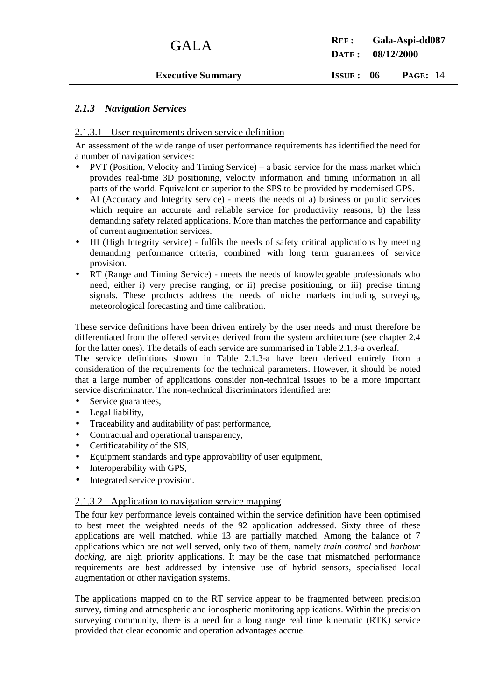| <b>GALA</b>              | $\text{DATE}: \quad 08/12/2000$ | REF: Gala-Aspi-dd087 |
|--------------------------|---------------------------------|----------------------|
| <b>Executive Summary</b> | ISSUE : 06                      | <b>PAGE:</b> 14      |

#### *2.1.3 Navigation Services*

#### 2.1.3.1 User requirements driven service definition

An assessment of the wide range of user performance requirements has identified the need for a number of navigation services:

- PVT (Position, Velocity and Timing Service) a basic service for the mass market which provides real-time 3D positioning, velocity information and timing information in all parts of the world. Equivalent or superior to the SPS to be provided by modernised GPS.
- AI (Accuracy and Integrity service) meets the needs of a) business or public services which require an accurate and reliable service for productivity reasons, b) the less demanding safety related applications. More than matches the performance and capability of current augmentation services.
- HI (High Integrity service) fulfils the needs of safety critical applications by meeting demanding performance criteria, combined with long term guarantees of service provision.
- RT (Range and Timing Service) meets the needs of knowledgeable professionals who need, either i) very precise ranging, or ii) precise positioning, or iii) precise timing signals. These products address the needs of niche markets including surveying, meteorological forecasting and time calibration.

These service definitions have been driven entirely by the user needs and must therefore be differentiated from the offered services derived from the system architecture (see chapter 2.4 for the latter ones). The details of each service are summarised in Table 2.1.3-a overleaf.

The service definitions shown in Table 2.1.3-a have been derived entirely from a consideration of the requirements for the technical parameters. However, it should be noted that a large number of applications consider non-technical issues to be a more important service discriminator. The non-technical discriminators identified are:

- Service guarantees,
- Legal liability,
- Traceability and auditability of past performance.
- Contractual and operational transparency,
- Certificatability of the SIS,
- Equipment standards and type approvability of user equipment,
- Interoperability with GPS,
- Integrated service provision.

#### 2.1.3.2 Application to navigation service mapping

The four key performance levels contained within the service definition have been optimised to best meet the weighted needs of the 92 application addressed. Sixty three of these applications are well matched, while 13 are partially matched. Among the balance of 7 applications which are not well served, only two of them, namely *train control* and *harbour docking*, are high priority applications. It may be the case that mismatched performance requirements are best addressed by intensive use of hybrid sensors, specialised local augmentation or other navigation systems.

The applications mapped on to the RT service appear to be fragmented between precision survey, timing and atmospheric and ionospheric monitoring applications. Within the precision surveying community, there is a need for a long range real time kinematic (RTK) service provided that clear economic and operation advantages accrue.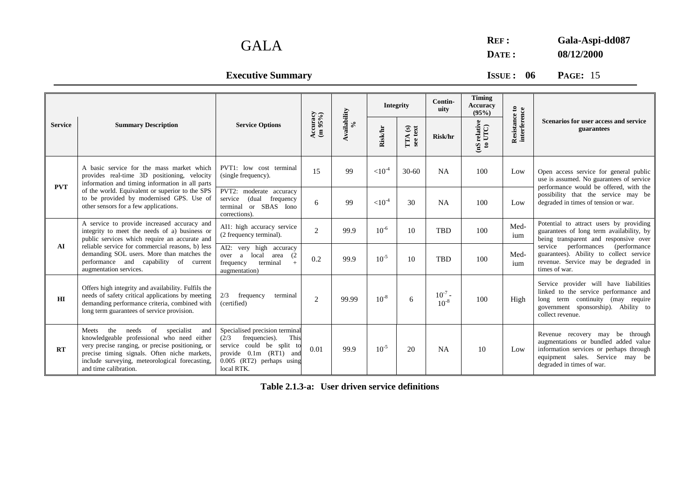GALA**REF :**

**Gala-Aspi-dd087**

**DATE :**

**08/12/2000**

# **Executive Summary ISSUE : 06 PAGE:** 15

|                | <b>Summary Description</b>                                                                                                                                                                                                                                                 | <b>Service Options</b>                                                                                                                                             | Accuracy<br>(m $95\%$ ) | Availability<br>న్ | <b>Integrity</b> |                                       | Contin-<br>uity          | Timing<br>Accuracy<br>(95%)            |                               |                                                                                                                                                                                    |  |
|----------------|----------------------------------------------------------------------------------------------------------------------------------------------------------------------------------------------------------------------------------------------------------------------------|--------------------------------------------------------------------------------------------------------------------------------------------------------------------|-------------------------|--------------------|------------------|---------------------------------------|--------------------------|----------------------------------------|-------------------------------|------------------------------------------------------------------------------------------------------------------------------------------------------------------------------------|--|
| <b>Service</b> |                                                                                                                                                                                                                                                                            |                                                                                                                                                                    |                         |                    | Risk/hr          | $\mathrm{TTA}\ \mathrm{(s)}$ see text | Risk/hr                  | relative<br>UTC)<br>$\mathbf{e}$<br>Gn | Resistance to<br>interference | Scenarios for user access and service<br>guarantees                                                                                                                                |  |
| <b>PVT</b>     | A basic service for the mass market which<br>provides real-time 3D positioning, velocity<br>information and timing information in all parts                                                                                                                                | PVT1: low cost terminal<br>(single frequency).                                                                                                                     | 15                      | 99                 | ${<}10^{-4}$     | $30 - 60$                             | NA                       | 100<br>Low                             |                               | Open access service for general public<br>use is assumed. No guarantees of service                                                                                                 |  |
|                | of the world. Equivalent or superior to the SPS<br>to be provided by modernised GPS. Use of<br>other sensors for a few applications.                                                                                                                                       | PVT2: moderate accuracy<br>(dual frequency<br>service<br>terminal or SBAS Iono<br>corrections).                                                                    | 6                       | 99                 | ${<}10^{-4}$     | 30                                    | <b>NA</b>                | 100                                    | Low                           | performance would be offered, with the<br>possibility that the service may be<br>degraded in times of tension or war.                                                              |  |
|                | A service to provide increased accuracy and<br>integrity to meet the needs of a) business or<br>public services which require an accurate and                                                                                                                              | AI1: high accuracy service<br>(2 frequency terminal).                                                                                                              | $\overline{2}$          | 99.9               | $10^{-6}$        | 10                                    | <b>TBD</b>               | 100                                    | Med-<br>ium                   | Potential to attract users by providing<br>guarantees of long term availability, by<br>being transparent and responsive over                                                       |  |
| ${\bf AI}$     | reliable service for commercial reasons, b) less<br>demanding SOL users. More than matches the<br>performance and capability of current<br>augmentation services.                                                                                                          | AI2: very high<br>accuracy<br>local<br>(2)<br>area<br>over a<br>terminal<br>$+$<br>frequency<br>augmentation)                                                      | 0.2                     | 99.9               | $10^{-5}$        | 10                                    | <b>TBD</b>               | 100                                    | Med-<br>ium                   | service performances<br>(performance)<br>guarantees). Ability to collect service<br>revenue. Service may be degraded in<br>times of war.                                           |  |
| H I            | Offers high integrity and availability. Fulfils the<br>needs of safety critical applications by meeting<br>demanding performance criteria, combined with<br>long term guarantees of service provision.                                                                     | 2/3<br>frequency<br>terminal<br>(certified)                                                                                                                        | 2                       | 99.99              | $10^{-8}$        | 6                                     | $10^{-7}$ -<br>$10^{-8}$ | 100                                    | High                          | Service provider will have liabilities<br>linked to the service performance and<br>long term continuity (may require<br>government sponsorship). Ability to<br>collect revenue.    |  |
| RT             | the<br>needs of<br>Meets<br>specialist<br>and<br>knowledgeable professional who need either<br>very precise ranging, or precise positioning, or<br>precise timing signals. Often niche markets,<br>include surveying, meteorological forecasting,<br>and time calibration. | Specialised precision terminal<br>frequencies).<br>(2/3)<br>This<br>service could be split to<br>provide 0.1m (RT1) and<br>0.005 (RT2) perhaps using<br>local RTK. | 0.01                    | 99.9               | $10^{-5}$        | 20                                    | <b>NA</b>                | 10                                     | Low                           | Revenue recovery may be through<br>augmentations or bundled added value<br>information services or perhaps through<br>equipment sales. Service may be<br>degraded in times of war. |  |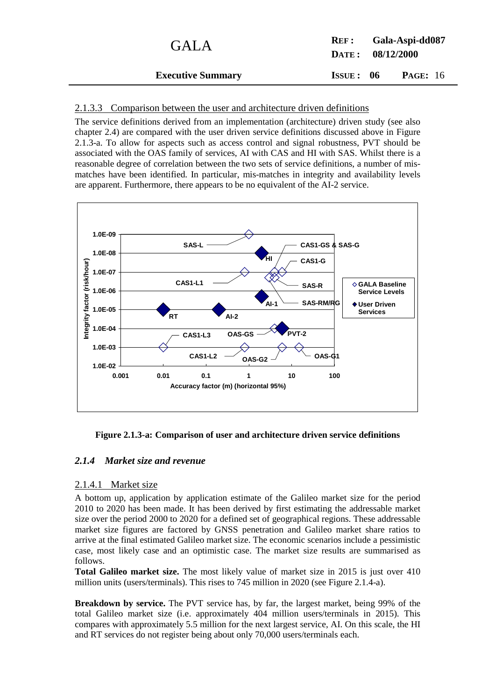| GALA                     |            | REF: Gala-Aspi-dd087<br>DATE: $08/12/2000$ |
|--------------------------|------------|--------------------------------------------|
| <b>Executive Summary</b> | ISSUE : 06 | <b>PAGE:</b> 16                            |

#### 2.1.3.3 Comparison between the user and architecture driven definitions

The service definitions derived from an implementation (architecture) driven study (see also chapter 2.4) are compared with the user driven service definitions discussed above in Figure 2.1.3-a. To allow for aspects such as access control and signal robustness, PVT should be associated with the OAS family of services, AI with CAS and HI with SAS. Whilst there is a reasonable degree of correlation between the two sets of service definitions, a number of mismatches have been identified. In particular, mis-matches in integrity and availability levels are apparent. Furthermore, there appears to be no equivalent of the AI-2 service.



#### **Figure 2.1.3-a: Comparison of user and architecture driven service definitions**

#### *2.1.4 Market size and revenue*

#### 2.1.4.1 Market size

A bottom up, application by application estimate of the Galileo market size for the period 2010 to 2020 has been made. It has been derived by first estimating the addressable market size over the period 2000 to 2020 for a defined set of geographical regions. These addressable market size figures are factored by GNSS penetration and Galileo market share ratios to arrive at the final estimated Galileo market size. The economic scenarios include a pessimistic case, most likely case and an optimistic case. The market size results are summarised as follows.

**Total Galileo market size.** The most likely value of market size in 2015 is just over 410 million units (users/terminals). This rises to 745 million in 2020 (see Figure 2.1.4-a).

**Breakdown by service.** The PVT service has, by far, the largest market, being 99% of the total Galileo market size (i.e. approximately 404 million users/terminals in 2015). This compares with approximately 5.5 million for the next largest service, AI. On this scale, the HI and RT services do not register being about only 70,000 users/terminals each.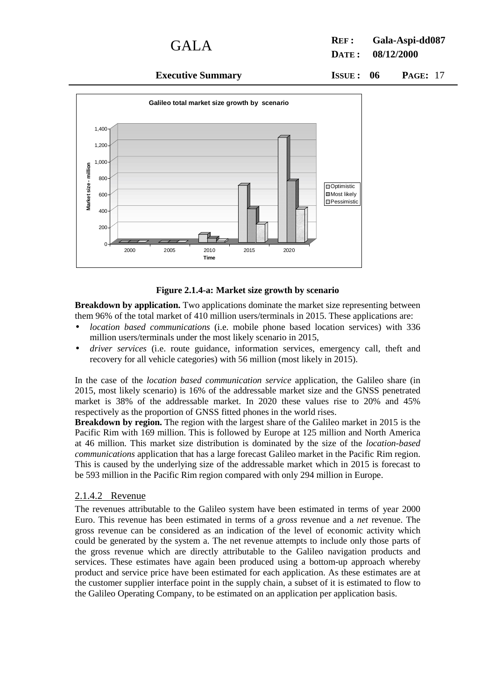| <b>GALA</b> | <b>REF:</b> |
|-------------|-------------|
|             | n           |



#### **Executive Summary ISSUE : 06 PAGE:** 17



#### **Figure 2.1.4-a: Market size growth by scenario**

**Breakdown by application.** Two applications dominate the market size representing between them 96% of the total market of 410 million users/terminals in 2015. These applications are:

- *location based communications* (i.e. mobile phone based location services) with 336 million users/terminals under the most likely scenario in 2015,
- *driver services* (i.e. route guidance, information services, emergency call, theft and recovery for all vehicle categories) with 56 million (most likely in 2015).

In the case of the *location based communication service* application, the Galileo share (in 2015, most likely scenario) is 16% of the addressable market size and the GNSS penetrated market is 38% of the addressable market. In 2020 these values rise to 20% and 45% respectively as the proportion of GNSS fitted phones in the world rises.

**Breakdown by region.** The region with the largest share of the Galileo market in 2015 is the Pacific Rim with 169 million. This is followed by Europe at 125 million and North America at 46 million. This market size distribution is dominated by the size of the *location-based communications* application that has a large forecast Galileo market in the Pacific Rim region. This is caused by the underlying size of the addressable market which in 2015 is forecast to be 593 million in the Pacific Rim region compared with only 294 million in Europe.

#### 2.1.4.2 Revenue

The revenues attributable to the Galileo system have been estimated in terms of year 2000 Euro. This revenue has been estimated in terms of a *gross* revenue and a *net* revenue. The gross revenue can be considered as an indication of the level of economic activity which could be generated by the system a. The net revenue attempts to include only those parts of the gross revenue which are directly attributable to the Galileo navigation products and services. These estimates have again been produced using a bottom-up approach whereby product and service price have been estimated for each application. As these estimates are at the customer supplier interface point in the supply chain, a subset of it is estimated to flow to the Galileo Operating Company, to be estimated on an application per application basis.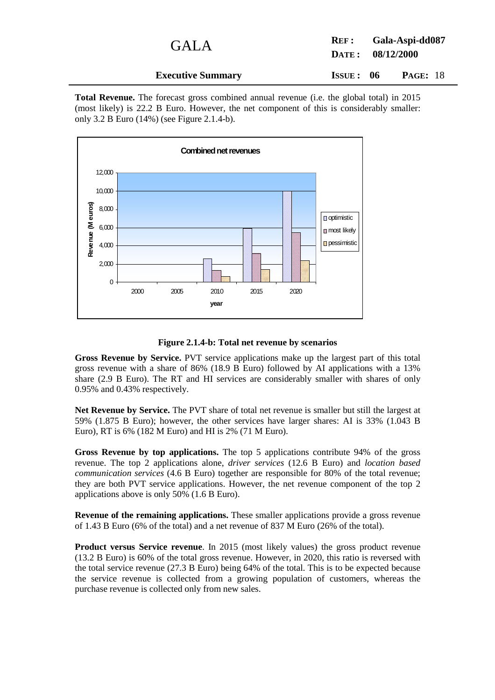| GALA                     |           | REF: Gala-Aspi-dd087<br>$\text{DATE}: \quad 08/12/2000$ |
|--------------------------|-----------|---------------------------------------------------------|
| <b>Executive Summary</b> | ISSUE: 06 | <b>PAGE: 18</b>                                         |

**Total Revenue.** The forecast gross combined annual revenue (i.e. the global total) in 2015 (most likely) is 22.2 B Euro. However, the net component of this is considerably smaller: only 3.2 B Euro (14%) (see Figure 2.1.4-b).



#### **Figure 2.1.4-b: Total net revenue by scenarios**

**Gross Revenue by Service.** PVT service applications make up the largest part of this total gross revenue with a share of 86% (18.9 B Euro) followed by AI applications with a 13% share (2.9 B Euro). The RT and HI services are considerably smaller with shares of only 0.95% and 0.43% respectively.

**Net Revenue by Service.** The PVT share of total net revenue is smaller but still the largest at 59% (1.875 B Euro); however, the other services have larger shares: AI is 33% (1.043 B Euro), RT is 6% (182 M Euro) and HI is 2% (71 M Euro).

**Gross Revenue by top applications.** The top 5 applications contribute 94% of the gross revenue. The top 2 applications alone, *driver services* (12.6 B Euro) and *location based communication services* (4.6 B Euro) together are responsible for 80% of the total revenue; they are both PVT service applications. However, the net revenue component of the top 2 applications above is only 50% (1.6 B Euro).

**Revenue of the remaining applications.** These smaller applications provide a gross revenue of 1.43 B Euro (6% of the total) and a net revenue of 837 M Euro (26% of the total).

**Product versus Service revenue**. In 2015 (most likely values) the gross product revenue (13.2 B Euro) is 60% of the total gross revenue. However, in 2020, this ratio is reversed with the total service revenue (27.3 B Euro) being 64% of the total. This is to be expected because the service revenue is collected from a growing population of customers, whereas the purchase revenue is collected only from new sales.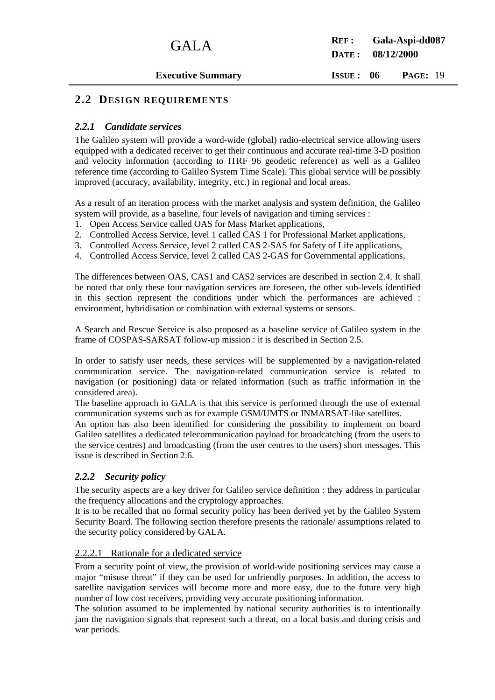#### **Executive Summary ISSUE : 06 PAGE:** 19

#### **2.2 DESIGN REQUIREMENTS**

#### *2.2.1 Candidate services*

The Galileo system will provide a word-wide (global) radio-electrical service allowing users equipped with a dedicated receiver to get their continuous and accurate real-time 3-D position and velocity information (according to ITRF 96 geodetic reference) as well as a Galileo reference time (according to Galileo System Time Scale). This global service will be possibly improved (accuracy, availability, integrity, etc.) in regional and local areas.

As a result of an iteration process with the market analysis and system definition, the Galileo system will provide, as a baseline, four levels of navigation and timing services :

- 1. Open Access Service called OAS for Mass Market applications,
- 2. Controlled Access Service, level 1 called CAS 1 for Professional Market applications,
- 3. Controlled Access Service, level 2 called CAS 2-SAS for Safety of Life applications,
- 4. Controlled Access Service, level 2 called CAS 2-GAS for Governmental applications,

The differences between OAS, CAS1 and CAS2 services are described in section 2.4. It shall be noted that only these four navigation services are foreseen, the other sub-levels identified in this section represent the conditions under which the performances are achieved : environment, hybridisation or combination with external systems or sensors.

A Search and Rescue Service is also proposed as a baseline service of Galileo system in the frame of COSPAS-SARSAT follow-up mission : it is described in Section 2.5.

In order to satisfy user needs, these services will be supplemented by a navigation-related communication service. The navigation-related communication service is related to navigation (or positioning) data or related information (such as traffic information in the considered area).

The baseline approach in GALA is that this service is performed through the use of external communication systems such as for example GSM/UMTS or INMARSAT-like satellites.

An option has also been identified for considering the possibility to implement on board Galileo satellites a dedicated telecommunication payload for broadcatching (from the users to the service centres) and broadcasting (from the user centres to the users) short messages. This issue is described in Section 2.6.

#### *2.2.2 Security policy*

The security aspects are a key driver for Galileo service definition : they address in particular the frequency allocations and the cryptology approaches.

It is to be recalled that no formal security policy has been derived yet by the Galileo System Security Board. The following section therefore presents the rationale/ assumptions related to the security policy considered by GALA.

#### 2.2.2.1 Rationale for a dedicated service

From a security point of view, the provision of world-wide positioning services may cause a major "misuse threat" if they can be used for unfriendly purposes. In addition, the access to satellite navigation services will become more and more easy, due to the future very high number of low cost receivers, providing very accurate positioning information.

The solution assumed to be implemented by national security authorities is to intentionally jam the navigation signals that represent such a threat, on a local basis and during crisis and war periods.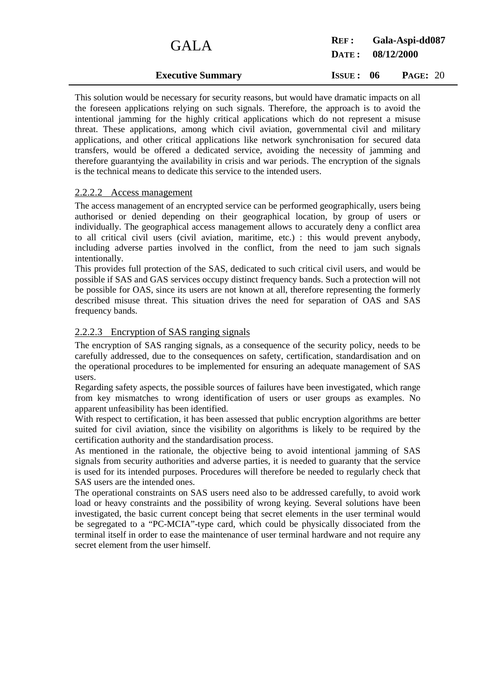| <b>GALA</b>              |                    | REF: Gala-Aspi-dd087<br>$\text{DATE}: \quad 08/12/2000$ |  |
|--------------------------|--------------------|---------------------------------------------------------|--|
| <b>Executive Summary</b> | $\text{ISSUE}: 06$ | <b>PAGE:</b> 20                                         |  |

This solution would be necessary for security reasons, but would have dramatic impacts on all the foreseen applications relying on such signals. Therefore, the approach is to avoid the intentional jamming for the highly critical applications which do not represent a misuse threat. These applications, among which civil aviation, governmental civil and military applications, and other critical applications like network synchronisation for secured data transfers, would be offered a dedicated service, avoiding the necessity of jamming and therefore guarantying the availability in crisis and war periods. The encryption of the signals is the technical means to dedicate this service to the intended users.

#### 2.2.2.2 Access management

The access management of an encrypted service can be performed geographically, users being authorised or denied depending on their geographical location, by group of users or individually. The geographical access management allows to accurately deny a conflict area to all critical civil users (civil aviation, maritime, etc.) : this would prevent anybody, including adverse parties involved in the conflict, from the need to jam such signals intentionally.

This provides full protection of the SAS, dedicated to such critical civil users, and would be possible if SAS and GAS services occupy distinct frequency bands. Such a protection will not be possible for OAS, since its users are not known at all, therefore representing the formerly described misuse threat. This situation drives the need for separation of OAS and SAS frequency bands.

#### 2.2.2.3 Encryption of SAS ranging signals

The encryption of SAS ranging signals, as a consequence of the security policy, needs to be carefully addressed, due to the consequences on safety, certification, standardisation and on the operational procedures to be implemented for ensuring an adequate management of SAS users.

Regarding safety aspects, the possible sources of failures have been investigated, which range from key mismatches to wrong identification of users or user groups as examples. No apparent unfeasibility has been identified.

With respect to certification, it has been assessed that public encryption algorithms are better suited for civil aviation, since the visibility on algorithms is likely to be required by the certification authority and the standardisation process.

As mentioned in the rationale, the objective being to avoid intentional jamming of SAS signals from security authorities and adverse parties, it is needed to guaranty that the service is used for its intended purposes. Procedures will therefore be needed to regularly check that SAS users are the intended ones.

The operational constraints on SAS users need also to be addressed carefully, to avoid work load or heavy constraints and the possibility of wrong keying. Several solutions have been investigated, the basic current concept being that secret elements in the user terminal would be segregated to a "PC-MCIA"-type card, which could be physically dissociated from the terminal itself in order to ease the maintenance of user terminal hardware and not require any secret element from the user himself.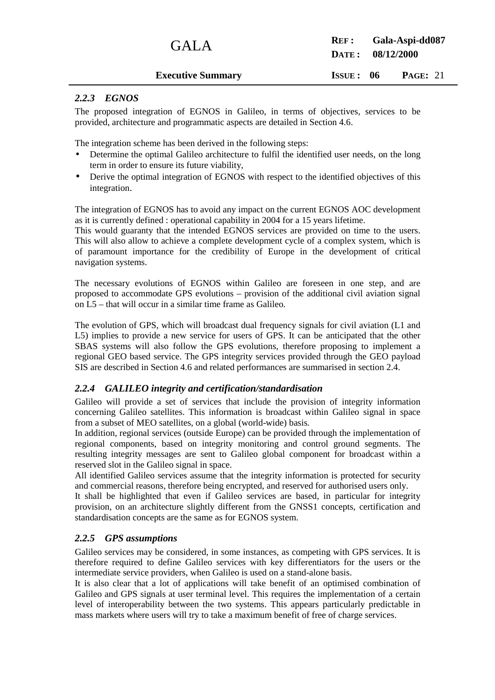| <b>GALA</b>              | REF:<br>DATE: $08/12/2000$ | Gala-Aspi-dd087 |
|--------------------------|----------------------------|-----------------|
| <b>Executive Summary</b> | $I_{\text{S}sUE}: 06$      | <b>PAGE: 21</b> |

#### *2.2.3 EGNOS*

The proposed integration of EGNOS in Galileo, in terms of objectives, services to be provided, architecture and programmatic aspects are detailed in Section 4.6.

The integration scheme has been derived in the following steps:

- Determine the optimal Galileo architecture to fulfil the identified user needs, on the long term in order to ensure its future viability,
- Derive the optimal integration of EGNOS with respect to the identified objectives of this integration.

The integration of EGNOS has to avoid any impact on the current EGNOS AOC development as it is currently defined : operational capability in 2004 for a 15 years lifetime.

This would guaranty that the intended EGNOS services are provided on time to the users. This will also allow to achieve a complete development cycle of a complex system, which is of paramount importance for the credibility of Europe in the development of critical navigation systems.

The necessary evolutions of EGNOS within Galileo are foreseen in one step, and are proposed to accommodate GPS evolutions – provision of the additional civil aviation signal on L5 – that will occur in a similar time frame as Galileo.

The evolution of GPS, which will broadcast dual frequency signals for civil aviation (L1 and L5) implies to provide a new service for users of GPS. It can be anticipated that the other SBAS systems will also follow the GPS evolutions, therefore proposing to implement a regional GEO based service. The GPS integrity services provided through the GEO payload SIS are described in Section 4.6 and related performances are summarised in section 2.4.

#### *2.2.4 GALILEO integrity and certification/standardisation*

Galileo will provide a set of services that include the provision of integrity information concerning Galileo satellites. This information is broadcast within Galileo signal in space from a subset of MEO satellites, on a global (world-wide) basis.

In addition, regional services (outside Europe) can be provided through the implementation of regional components, based on integrity monitoring and control ground segments. The resulting integrity messages are sent to Galileo global component for broadcast within a reserved slot in the Galileo signal in space.

All identified Galileo services assume that the integrity information is protected for security and commercial reasons, therefore being encrypted, and reserved for authorised users only.

It shall be highlighted that even if Galileo services are based, in particular for integrity provision, on an architecture slightly different from the GNSS1 concepts, certification and standardisation concepts are the same as for EGNOS system.

#### *2.2.5 GPS assumptions*

Galileo services may be considered, in some instances, as competing with GPS services. It is therefore required to define Galileo services with key differentiators for the users or the intermediate service providers, when Galileo is used on a stand-alone basis.

It is also clear that a lot of applications will take benefit of an optimised combination of Galileo and GPS signals at user terminal level. This requires the implementation of a certain level of interoperability between the two systems. This appears particularly predictable in mass markets where users will try to take a maximum benefit of free of charge services.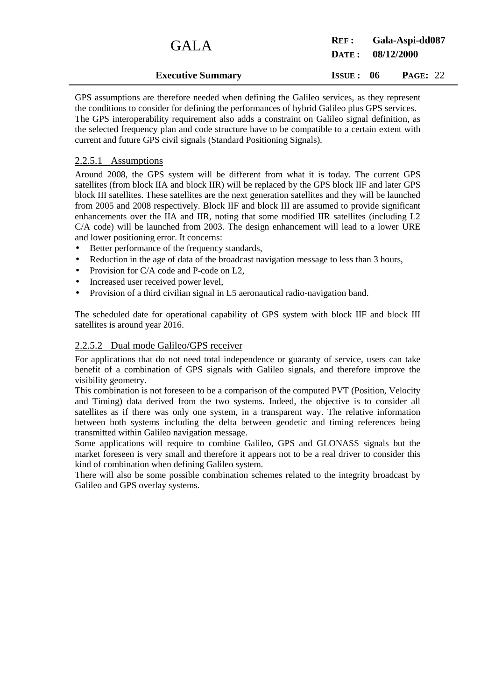| <b>GALA</b>              |                    | REF: Gala-Aspi-dd087<br>$\text{DATE}: \quad 08/12/2000$ |  |
|--------------------------|--------------------|---------------------------------------------------------|--|
| <b>Executive Summary</b> | $\text{ISSUE}: 06$ | <b>PAGE: 22</b>                                         |  |

GPS assumptions are therefore needed when defining the Galileo services, as they represent the conditions to consider for defining the performances of hybrid Galileo plus GPS services. The GPS interoperability requirement also adds a constraint on Galileo signal definition, as the selected frequency plan and code structure have to be compatible to a certain extent with current and future GPS civil signals (Standard Positioning Signals).

#### 2.2.5.1 Assumptions

Around 2008, the GPS system will be different from what it is today. The current GPS satellites (from block IIA and block IIR) will be replaced by the GPS block IIF and later GPS block III satellites. These satellites are the next generation satellites and they will be launched from 2005 and 2008 respectively. Block IIF and block III are assumed to provide significant enhancements over the IIA and IIR, noting that some modified IIR satellites (including L2 C/A code) will be launched from 2003. The design enhancement will lead to a lower URE and lower positioning error. It concerns:

- Better performance of the frequency standards,
- Reduction in the age of data of the broadcast navigation message to less than 3 hours,
- Provision for C/A code and P-code on L2,
- Increased user received power level,
- Provision of a third civilian signal in L5 aeronautical radio-navigation band.

The scheduled date for operational capability of GPS system with block IIF and block III satellites is around year 2016.

#### 2.2.5.2 Dual mode Galileo/GPS receiver

For applications that do not need total independence or guaranty of service, users can take benefit of a combination of GPS signals with Galileo signals, and therefore improve the visibility geometry.

This combination is not foreseen to be a comparison of the computed PVT (Position, Velocity and Timing) data derived from the two systems. Indeed, the objective is to consider all satellites as if there was only one system, in a transparent way. The relative information between both systems including the delta between geodetic and timing references being transmitted within Galileo navigation message.

Some applications will require to combine Galileo, GPS and GLONASS signals but the market foreseen is very small and therefore it appears not to be a real driver to consider this kind of combination when defining Galileo system.

There will also be some possible combination schemes related to the integrity broadcast by Galileo and GPS overlay systems.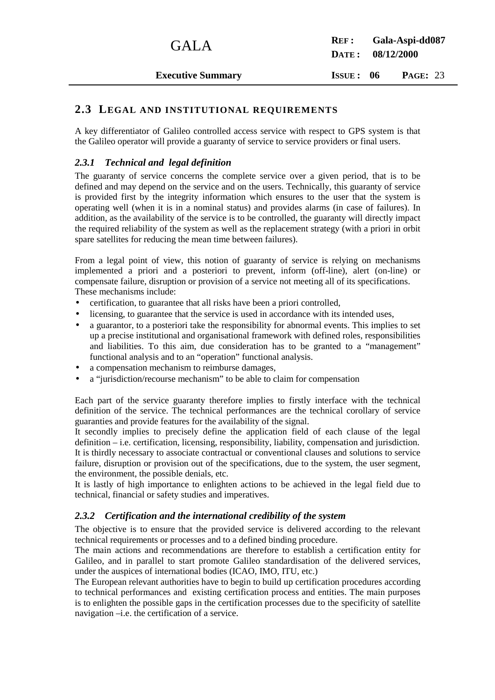| <b>GALA</b>              | $\text{DATE}: \quad 08/12/2000$ | REF: Gala-Aspi-dd087 |
|--------------------------|---------------------------------|----------------------|
| <b>Executive Summary</b> |                                 | $ISSUE: 06$ PAGE: 23 |

#### **2.3 LEGAL AND INSTITUTIONAL REQUIREMENTS**

A key differentiator of Galileo controlled access service with respect to GPS system is that the Galileo operator will provide a guaranty of service to service providers or final users.

#### *2.3.1 Technical and legal definition*

The guaranty of service concerns the complete service over a given period, that is to be defined and may depend on the service and on the users. Technically, this guaranty of service is provided first by the integrity information which ensures to the user that the system is operating well (when it is in a nominal status) and provides alarms (in case of failures). In addition, as the availability of the service is to be controlled, the guaranty will directly impact the required reliability of the system as well as the replacement strategy (with a priori in orbit spare satellites for reducing the mean time between failures).

From a legal point of view, this notion of guaranty of service is relying on mechanisms implemented a priori and a posteriori to prevent, inform (off-line), alert (on-line) or compensate failure, disruption or provision of a service not meeting all of its specifications. These mechanisms include:

- certification, to guarantee that all risks have been a priori controlled,
- licensing, to guarantee that the service is used in accordance with its intended uses,
- a guarantor, to a posteriori take the responsibility for abnormal events. This implies to set up a precise institutional and organisational framework with defined roles, responsibilities and liabilities. To this aim, due consideration has to be granted to a "management" functional analysis and to an "operation" functional analysis.
- a compensation mechanism to reimburse damages,
- a "jurisdiction/recourse mechanism" to be able to claim for compensation

Each part of the service guaranty therefore implies to firstly interface with the technical definition of the service. The technical performances are the technical corollary of service guaranties and provide features for the availability of the signal.

It secondly implies to precisely define the application field of each clause of the legal definition – i.e. certification, licensing, responsibility, liability, compensation and jurisdiction. It is thirdly necessary to associate contractual or conventional clauses and solutions to service failure, disruption or provision out of the specifications, due to the system, the user segment, the environment, the possible denials, etc.

It is lastly of high importance to enlighten actions to be achieved in the legal field due to technical, financial or safety studies and imperatives.

#### *2.3.2 Certification and the international credibility of the system*

The objective is to ensure that the provided service is delivered according to the relevant technical requirements or processes and to a defined binding procedure.

The main actions and recommendations are therefore to establish a certification entity for Galileo, and in parallel to start promote Galileo standardisation of the delivered services, under the auspices of international bodies (ICAO, IMO, ITU, etc.)

The European relevant authorities have to begin to build up certification procedures according to technical performances and existing certification process and entities. The main purposes is to enlighten the possible gaps in the certification processes due to the specificity of satellite navigation –i.e. the certification of a service.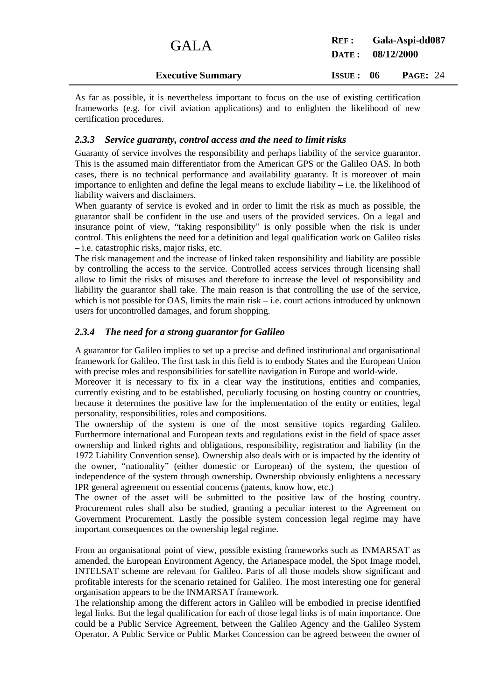| <b>GALA</b>              | $\text{DATE}: \quad 08/12/2000$ | REF: Gala-Aspi-dd087 |  |
|--------------------------|---------------------------------|----------------------|--|
| <b>Executive Summary</b> | $I_{\text{S}sUE}: 06$           | <b>PAGE:</b> 24      |  |

As far as possible, it is nevertheless important to focus on the use of existing certification frameworks (e.g. for civil aviation applications) and to enlighten the likelihood of new certification procedures.

#### *2.3.3 Service guaranty, control access and the need to limit risks*

Guaranty of service involves the responsibility and perhaps liability of the service guarantor. This is the assumed main differentiator from the American GPS or the Galileo OAS. In both cases, there is no technical performance and availability guaranty. It is moreover of main importance to enlighten and define the legal means to exclude liability  $-$  i.e. the likelihood of liability waivers and disclaimers.

When guaranty of service is evoked and in order to limit the risk as much as possible, the guarantor shall be confident in the use and users of the provided services. On a legal and insurance point of view, "taking responsibility" is only possible when the risk is under control. This enlightens the need for a definition and legal qualification work on Galileo risks – i.e. catastrophic risks, major risks, etc.

The risk management and the increase of linked taken responsibility and liability are possible by controlling the access to the service. Controlled access services through licensing shall allow to limit the risks of misuses and therefore to increase the level of responsibility and liability the guarantor shall take. The main reason is that controlling the use of the service, which is not possible for OAS, limits the main risk – i.e. court actions introduced by unknown users for uncontrolled damages, and forum shopping.

#### *2.3.4 The need for a strong guarantor for Galileo*

A guarantor for Galileo implies to set up a precise and defined institutional and organisational framework for Galileo. The first task in this field is to embody States and the European Union with precise roles and responsibilities for satellite navigation in Europe and world-wide.

Moreover it is necessary to fix in a clear way the institutions, entities and companies, currently existing and to be established, peculiarly focusing on hosting country or countries, because it determines the positive law for the implementation of the entity or entities, legal personality, responsibilities, roles and compositions.

The ownership of the system is one of the most sensitive topics regarding Galileo. Furthermore international and European texts and regulations exist in the field of space asset ownership and linked rights and obligations, responsibility, registration and liability (in the 1972 Liability Convention sense). Ownership also deals with or is impacted by the identity of the owner, "nationality" (either domestic or European) of the system, the question of independence of the system through ownership. Ownership obviously enlightens a necessary IPR general agreement on essential concerns (patents, know how, etc.)

The owner of the asset will be submitted to the positive law of the hosting country. Procurement rules shall also be studied, granting a peculiar interest to the Agreement on Government Procurement. Lastly the possible system concession legal regime may have important consequences on the ownership legal regime.

From an organisational point of view, possible existing frameworks such as INMARSAT as amended, the European Environment Agency, the Arianespace model, the Spot Image model, INTELSAT scheme are relevant for Galileo. Parts of all those models show significant and profitable interests for the scenario retained for Galileo. The most interesting one for general organisation appears to be the INMARSAT framework.

The relationship among the different actors in Galileo will be embodied in precise identified legal links. But the legal qualification for each of those legal links is of main importance. One could be a Public Service Agreement, between the Galileo Agency and the Galileo System Operator. A Public Service or Public Market Concession can be agreed between the owner of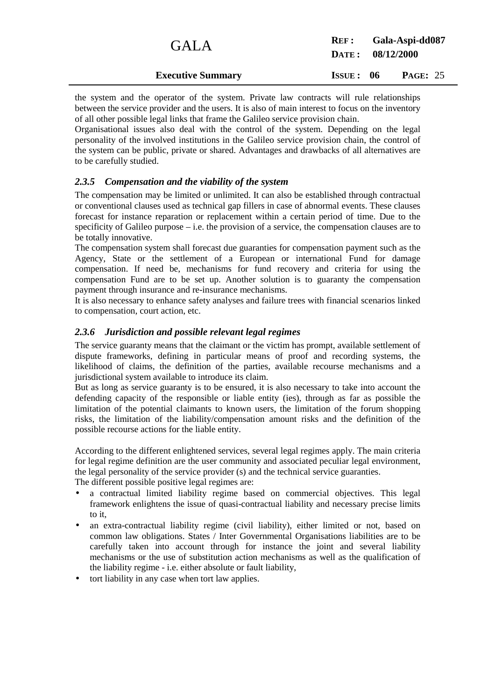| GALA                     | REF: Gala-Aspi-dd087<br>DATE: $08/12/2000$ |  |
|--------------------------|--------------------------------------------|--|
| <b>Executive Summary</b> | $\text{ISSUE}: 06$ PAGE: 25                |  |

the system and the operator of the system. Private law contracts will rule relationships between the service provider and the users. It is also of main interest to focus on the inventory of all other possible legal links that frame the Galileo service provision chain.

Organisational issues also deal with the control of the system. Depending on the legal personality of the involved institutions in the Galileo service provision chain, the control of the system can be public, private or shared. Advantages and drawbacks of all alternatives are to be carefully studied.

#### *2.3.5 Compensation and the viability of the system*

The compensation may be limited or unlimited. It can also be established through contractual or conventional clauses used as technical gap fillers in case of abnormal events. These clauses forecast for instance reparation or replacement within a certain period of time. Due to the specificity of Galileo purpose – i.e. the provision of a service, the compensation clauses are to be totally innovative.

The compensation system shall forecast due guaranties for compensation payment such as the Agency, State or the settlement of a European or international Fund for damage compensation. If need be, mechanisms for fund recovery and criteria for using the compensation Fund are to be set up. Another solution is to guaranty the compensation payment through insurance and re-insurance mechanisms.

It is also necessary to enhance safety analyses and failure trees with financial scenarios linked to compensation, court action, etc.

#### *2.3.6 Jurisdiction and possible relevant legal regimes*

The service guaranty means that the claimant or the victim has prompt, available settlement of dispute frameworks, defining in particular means of proof and recording systems, the likelihood of claims, the definition of the parties, available recourse mechanisms and a jurisdictional system available to introduce its claim.

But as long as service guaranty is to be ensured, it is also necessary to take into account the defending capacity of the responsible or liable entity (ies), through as far as possible the limitation of the potential claimants to known users, the limitation of the forum shopping risks, the limitation of the liability/compensation amount risks and the definition of the possible recourse actions for the liable entity.

According to the different enlightened services, several legal regimes apply. The main criteria for legal regime definition are the user community and associated peculiar legal environment, the legal personality of the service provider (s) and the technical service guaranties. The different possible positive legal regimes are:

- a contractual limited liability regime based on commercial objectives. This legal framework enlightens the issue of quasi-contractual liability and necessary precise limits to it,
- an extra-contractual liability regime (civil liability), either limited or not, based on common law obligations. States / Inter Governmental Organisations liabilities are to be carefully taken into account through for instance the joint and several liability mechanisms or the use of substitution action mechanisms as well as the qualification of the liability regime - i.e. either absolute or fault liability,
- tort liability in any case when tort law applies.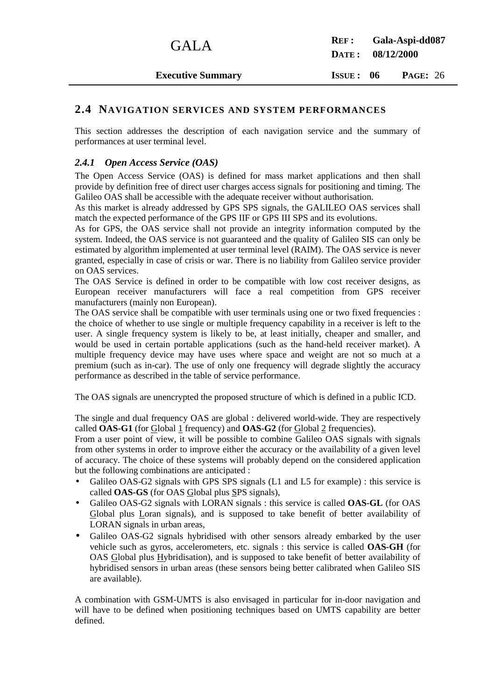| GALA                     | $\text{DATE}: \quad 08/12/2000$ | REF: Gala-Aspi-dd087 |
|--------------------------|---------------------------------|----------------------|
| <b>Executive Summary</b> |                                 | $IssUE: 06$ PAGE: 26 |

#### **2.4 NAVIGATION SERVICES AND SYSTEM PERFORMANCES**

This section addresses the description of each navigation service and the summary of performances at user terminal level.

#### *2.4.1 Open Access Service (OAS)*

The Open Access Service (OAS) is defined for mass market applications and then shall provide by definition free of direct user charges access signals for positioning and timing. The Galileo OAS shall be accessible with the adequate receiver without authorisation.

As this market is already addressed by GPS SPS signals, the GALILEO OAS services shall match the expected performance of the GPS IIF or GPS III SPS and its evolutions.

As for GPS, the OAS service shall not provide an integrity information computed by the system. Indeed, the OAS service is not guaranteed and the quality of Galileo SIS can only be estimated by algorithm implemented at user terminal level (RAIM). The OAS service is never granted, especially in case of crisis or war. There is no liability from Galileo service provider on OAS services.

The OAS Service is defined in order to be compatible with low cost receiver designs, as European receiver manufacturers will face a real competition from GPS receiver manufacturers (mainly non European).

The OAS service shall be compatible with user terminals using one or two fixed frequencies : the choice of whether to use single or multiple frequency capability in a receiver is left to the user. A single frequency system is likely to be, at least initially, cheaper and smaller, and would be used in certain portable applications (such as the hand-held receiver market). A multiple frequency device may have uses where space and weight are not so much at a premium (such as in-car). The use of only one frequency will degrade slightly the accuracy performance as described in the table of service performance.

The OAS signals are unencrypted the proposed structure of which is defined in a public ICD.

The single and dual frequency OAS are global : delivered world-wide. They are respectively called **OAS-G1** (for Global 1 frequency) and **OAS-G2** (for Global 2 frequencies).

From a user point of view, it will be possible to combine Galileo OAS signals with signals from other systems in order to improve either the accuracy or the availability of a given level of accuracy. The choice of these systems will probably depend on the considered application but the following combinations are anticipated :

- Galileo OAS-G2 signals with GPS SPS signals (L1 and L5 for example) : this service is called **OAS-GS** (for OAS Global plus SPS signals),
- Galileo OAS-G2 signals with LORAN signals : this service is called **OAS-GL** (for OAS Global plus Loran signals), and is supposed to take benefit of better availability of LORAN signals in urban areas,
- Galileo OAS-G2 signals hybridised with other sensors already embarked by the user vehicle such as gyros, accelerometers, etc. signals : this service is called **OAS-GH** (for OAS Global plus Hybridisation), and is supposed to take benefit of better availability of hybridised sensors in urban areas (these sensors being better calibrated when Galileo SIS are available).

A combination with GSM-UMTS is also envisaged in particular for in-door navigation and will have to be defined when positioning techniques based on UMTS capability are better defined.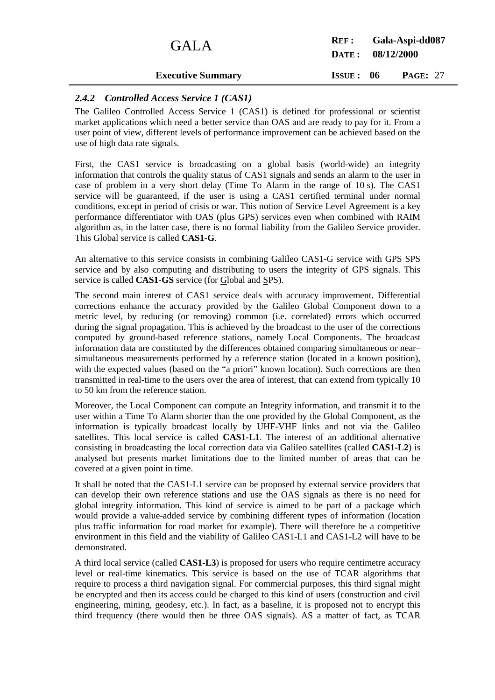| GALA                     |                    | REF: Gala-Aspi-dd087<br>DATE: $08/12/2000$ |                 |
|--------------------------|--------------------|--------------------------------------------|-----------------|
| <b>Executive Summary</b> | $\text{ISSUE}: 06$ |                                            | <b>PAGE: 27</b> |

#### *2.4.2 Controlled Access Service 1 (CAS1)*

The Galileo Controlled Access Service 1 (CAS1) is defined for professional or scientist market applications which need a better service than OAS and are ready to pay for it. From a user point of view, different levels of performance improvement can be achieved based on the use of high data rate signals.

First, the CAS1 service is broadcasting on a global basis (world-wide) an integrity information that controls the quality status of CAS1 signals and sends an alarm to the user in case of problem in a very short delay (Time To Alarm in the range of 10 s). The CAS1 service will be guaranteed, if the user is using a CAS1 certified terminal under normal conditions, except in period of crisis or war. This notion of Service Level Agreement is a key performance differentiator with OAS (plus GPS) services even when combined with RAIM algorithm as, in the latter case, there is no formal liability from the Galileo Service provider. This Global service is called **CAS1-G**.

An alternative to this service consists in combining Galileo CAS1-G service with GPS SPS service and by also computing and distributing to users the integrity of GPS signals. This service is called **CAS1-GS** service (for Global and SPS).

The second main interest of CAS1 service deals with accuracy improvement. Differential corrections enhance the accuracy provided by the Galileo Global Component down to a metric level, by reducing (or removing) common (i.e. correlated) errors which occurred during the signal propagation. This is achieved by the broadcast to the user of the corrections computed by ground-based reference stations, namely Local Components. The broadcast information data are constituted by the differences obtained comparing simultaneous or near– simultaneous measurements performed by a reference station (located in a known position), with the expected values (based on the "a priori" known location). Such corrections are then transmitted in real-time to the users over the area of interest, that can extend from typically 10 to 50 km from the reference station.

Moreover, the Local Component can compute an Integrity information, and transmit it to the user within a Time To Alarm shorter than the one provided by the Global Component, as the information is typically broadcast locally by UHF-VHF links and not via the Galileo satellites. This local service is called **CAS1-L1**. The interest of an additional alternative consisting in broadcasting the local correction data via Galileo satellites (called **CAS1-L2**) is analysed but presents market limitations due to the limited number of areas that can be covered at a given point in time.

It shall be noted that the CAS1-L1 service can be proposed by external service providers that can develop their own reference stations and use the OAS signals as there is no need for global integrity information. This kind of service is aimed to be part of a package which would provide a value-added service by combining different types of information (location plus traffic information for road market for example). There will therefore be a competitive environment in this field and the viability of Galileo CAS1-L1 and CAS1-L2 will have to be demonstrated.

A third local service (called **CAS1-L3**) is proposed for users who require centimetre accuracy level or real-time kinematics. This service is based on the use of TCAR algorithms that require to process a third navigation signal. For commercial purposes, this third signal might be encrypted and then its access could be charged to this kind of users (construction and civil engineering, mining, geodesy, etc.). In fact, as a baseline, it is proposed not to encrypt this third frequency (there would then be three OAS signals). AS a matter of fact, as TCAR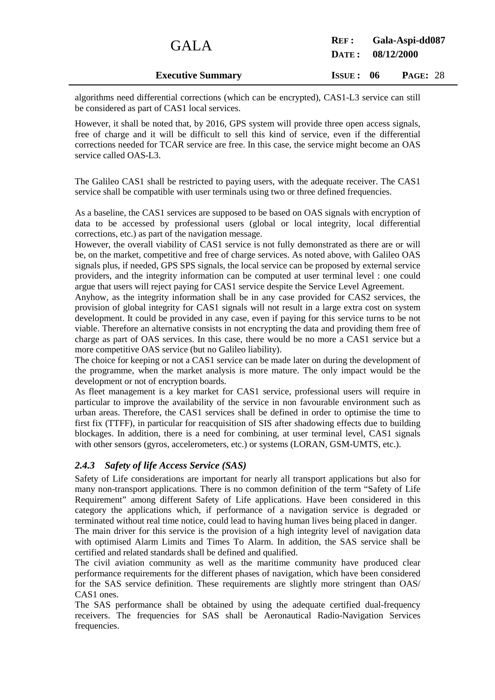| <b>GALA</b>              |           | REF: Gala-Aspi-dd087<br>$\text{DATE}: \quad 08/12/2000$ |  |
|--------------------------|-----------|---------------------------------------------------------|--|
| <b>Executive Summary</b> | ISSUE: 06 | <b>PAGE: 28</b>                                         |  |

algorithms need differential corrections (which can be encrypted), CAS1-L3 service can still be considered as part of CAS1 local services.

However, it shall be noted that, by 2016, GPS system will provide three open access signals, free of charge and it will be difficult to sell this kind of service, even if the differential corrections needed for TCAR service are free. In this case, the service might become an OAS service called OAS-L3.

The Galileo CAS1 shall be restricted to paying users, with the adequate receiver. The CAS1 service shall be compatible with user terminals using two or three defined frequencies.

As a baseline, the CAS1 services are supposed to be based on OAS signals with encryption of data to be accessed by professional users (global or local integrity, local differential corrections, etc.) as part of the navigation message.

However, the overall viability of CAS1 service is not fully demonstrated as there are or will be, on the market, competitive and free of charge services. As noted above, with Galileo OAS signals plus, if needed, GPS SPS signals, the local service can be proposed by external service providers, and the integrity information can be computed at user terminal level : one could argue that users will reject paying for CAS1 service despite the Service Level Agreement.

Anyhow, as the integrity information shall be in any case provided for CAS2 services, the provision of global integrity for CAS1 signals will not result in a large extra cost on system development. It could be provided in any case, even if paying for this service turns to be not viable. Therefore an alternative consists in not encrypting the data and providing them free of charge as part of OAS services. In this case, there would be no more a CAS1 service but a more competitive OAS service (but no Galileo liability).

The choice for keeping or not a CAS1 service can be made later on during the development of the programme, when the market analysis is more mature. The only impact would be the development or not of encryption boards.

As fleet management is a key market for CAS1 service, professional users will require in particular to improve the availability of the service in non favourable environment such as urban areas. Therefore, the CAS1 services shall be defined in order to optimise the time to first fix (TTFF), in particular for reacquisition of SIS after shadowing effects due to building blockages. In addition, there is a need for combining, at user terminal level, CAS1 signals with other sensors (gyros, accelerometers, etc.) or systems (LORAN, GSM-UMTS, etc.).

#### *2.4.3 Safety of life Access Service (SAS)*

Safety of Life considerations are important for nearly all transport applications but also for many non-transport applications. There is no common definition of the term "Safety of Life Requirement" among different Safety of Life applications. Have been considered in this category the applications which, if performance of a navigation service is degraded or terminated without real time notice, could lead to having human lives being placed in danger.

The main driver for this service is the provision of a high integrity level of navigation data with optimised Alarm Limits and Times To Alarm. In addition, the SAS service shall be certified and related standards shall be defined and qualified.

The civil aviation community as well as the maritime community have produced clear performance requirements for the different phases of navigation, which have been considered for the SAS service definition. These requirements are slightly more stringent than OAS/ CAS1 ones.

The SAS performance shall be obtained by using the adequate certified dual-frequency receivers. The frequencies for SAS shall be Aeronautical Radio-Navigation Services frequencies.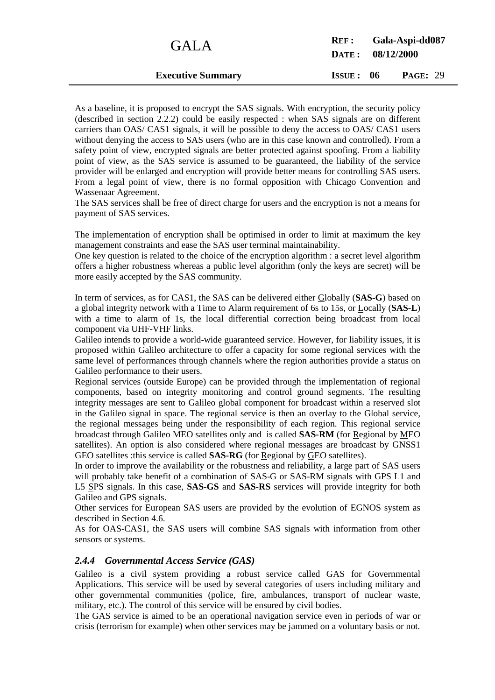#### **Executive Summary ISSUE : 06 PAGE:** 29

As a baseline, it is proposed to encrypt the SAS signals. With encryption, the security policy (described in section 2.2.2) could be easily respected : when SAS signals are on different carriers than OAS/ CAS1 signals, it will be possible to deny the access to OAS/ CAS1 users without denying the access to SAS users (who are in this case known and controlled). From a safety point of view, encrypted signals are better protected against spoofing. From a liability point of view, as the SAS service is assumed to be guaranteed, the liability of the service provider will be enlarged and encryption will provide better means for controlling SAS users. From a legal point of view, there is no formal opposition with Chicago Convention and Wassenaar Agreement.

The SAS services shall be free of direct charge for users and the encryption is not a means for payment of SAS services.

The implementation of encryption shall be optimised in order to limit at maximum the key management constraints and ease the SAS user terminal maintainability.

One key question is related to the choice of the encryption algorithm : a secret level algorithm offers a higher robustness whereas a public level algorithm (only the keys are secret) will be more easily accepted by the SAS community.

In term of services, as for CAS1, the SAS can be delivered either Globally (**SAS-G**) based on a global integrity network with a Time to Alarm requirement of 6s to 15s, or Locally (**SAS-L**) with a time to alarm of 1s, the local differential correction being broadcast from local component via UHF-VHF links.

Galileo intends to provide a world-wide guaranteed service. However, for liability issues, it is proposed within Galileo architecture to offer a capacity for some regional services with the same level of performances through channels where the region authorities provide a status on Galileo performance to their users.

Regional services (outside Europe) can be provided through the implementation of regional components, based on integrity monitoring and control ground segments. The resulting integrity messages are sent to Galileo global component for broadcast within a reserved slot in the Galileo signal in space. The regional service is then an overlay to the Global service, the regional messages being under the responsibility of each region. This regional service broadcast through Galileo MEO satellites only and is called **SAS-RM** (for Regional by MEO satellites). An option is also considered where regional messages are broadcast by GNSS1 GEO satellites :this service is called **SAS-RG** (for Regional by GEO satellites).

In order to improve the availability or the robustness and reliability, a large part of SAS users will probably take benefit of a combination of SAS-G or SAS-RM signals with GPS L1 and L5 SPS signals. In this case, **SAS-GS** and **SAS-RS** services will provide integrity for both Galileo and GPS signals.

Other services for European SAS users are provided by the evolution of EGNOS system as described in Section 4.6.

As for OAS-CAS1, the SAS users will combine SAS signals with information from other sensors or systems.

#### *2.4.4 Governmental Access Service (GAS)*

Galileo is a civil system providing a robust service called GAS for Governmental Applications. This service will be used by several categories of users including military and other governmental communities (police, fire, ambulances, transport of nuclear waste, military, etc.). The control of this service will be ensured by civil bodies.

The GAS service is aimed to be an operational navigation service even in periods of war or crisis (terrorism for example) when other services may be jammed on a voluntary basis or not.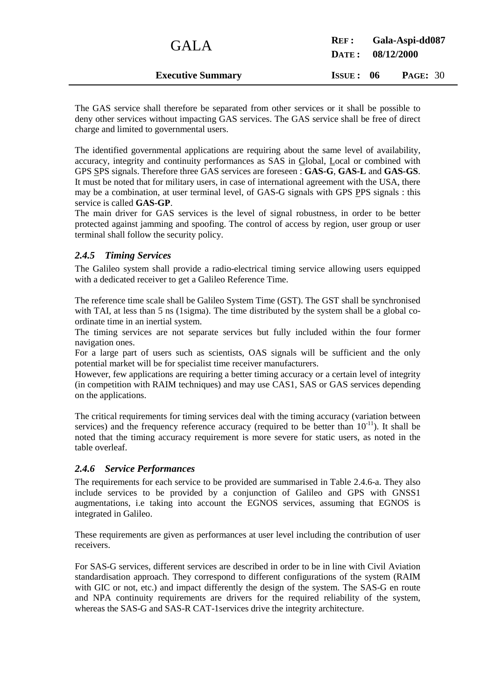| GALA                     | REF: Gala-Aspi-dd087<br>DATE: $08/12/2000$ |                 |  |  |
|--------------------------|--------------------------------------------|-----------------|--|--|
| <b>Executive Summary</b> | ISSUE: 06                                  | <b>PAGE: 30</b> |  |  |

The GAS service shall therefore be separated from other services or it shall be possible to deny other services without impacting GAS services. The GAS service shall be free of direct charge and limited to governmental users.

The identified governmental applications are requiring about the same level of availability, accuracy, integrity and continuity performances as SAS in Global, Local or combined with GPS SPS signals. Therefore three GAS services are foreseen : **GAS-G**, **GAS-L** and **GAS-GS**. It must be noted that for military users, in case of international agreement with the USA, there may be a combination, at user terminal level, of GAS-G signals with GPS PPS signals : this service is called **GAS-GP**.

The main driver for GAS services is the level of signal robustness, in order to be better protected against jamming and spoofing. The control of access by region, user group or user terminal shall follow the security policy.

#### *2.4.5 Timing Services*

The Galileo system shall provide a radio-electrical timing service allowing users equipped with a dedicated receiver to get a Galileo Reference Time.

The reference time scale shall be Galileo System Time (GST). The GST shall be synchronised with TAI, at less than 5 ns (1sigma). The time distributed by the system shall be a global coordinate time in an inertial system.

The timing services are not separate services but fully included within the four former navigation ones.

For a large part of users such as scientists, OAS signals will be sufficient and the only potential market will be for specialist time receiver manufacturers.

However, few applications are requiring a better timing accuracy or a certain level of integrity (in competition with RAIM techniques) and may use CAS1, SAS or GAS services depending on the applications.

The critical requirements for timing services deal with the timing accuracy (variation between services) and the frequency reference accuracy (required to be better than  $10^{-11}$ ). It shall be noted that the timing accuracy requirement is more severe for static users, as noted in the table overleaf.

#### *2.4.6 Service Performances*

The requirements for each service to be provided are summarised in Table 2.4.6-a. They also include services to be provided by a conjunction of Galileo and GPS with GNSS1 augmentations, i.e taking into account the EGNOS services, assuming that EGNOS is integrated in Galileo.

These requirements are given as performances at user level including the contribution of user receivers.

For SAS-G services, different services are described in order to be in line with Civil Aviation standardisation approach. They correspond to different configurations of the system (RAIM with GIC or not, etc.) and impact differently the design of the system. The SAS-G en route and NPA continuity requirements are drivers for the required reliability of the system, whereas the SAS-G and SAS-R CAT-1services drive the integrity architecture.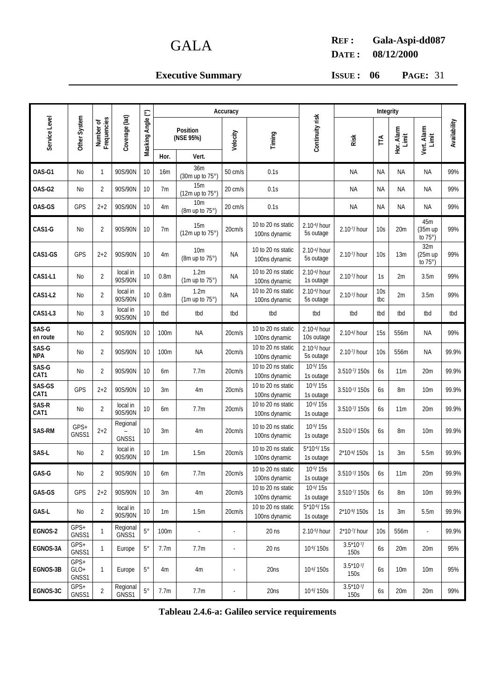# GALA<sup>REF:</sup>

# **Gala-Aspi-dd087**

**DATE : 08/12/2000**

### **Executive Summary ISSUE : 06 PAGE:** 31

|                     |                         |                          |                     |                   |                  |                                            |                          | Accuracy                            |                            |                    |                        | Integrity           |                                       |              |  |
|---------------------|-------------------------|--------------------------|---------------------|-------------------|------------------|--------------------------------------------|--------------------------|-------------------------------------|----------------------------|--------------------|------------------------|---------------------|---------------------------------------|--------------|--|
| Service Level       | Other System            | Frequencies<br>Number of | Coverage (lat)      | Masking Angle (°) |                  | <b>Position</b><br>(NSE 95%)               | Velocity                 | Timing                              | Continuity risk            | Risk               | ГÃ                     | Hor. Alarm<br>Limit | Vert. Alarm<br>Limit                  | Availability |  |
|                     |                         |                          |                     |                   | Hor.             | Vert.                                      |                          |                                     |                            |                    |                        |                     |                                       |              |  |
| OAS-G1              | No                      | 1                        | 90S/90N             | 10                | 16m              | 36m<br>(30m up to 75°)                     | 50 cm/s                  | 0.1s                                |                            | <b>NA</b>          | <b>NA</b>              | ΝA                  | <b>NA</b>                             | 99%          |  |
| OAS-G2              | No                      | $\overline{2}$           | 90S/90N             | 10                | 7m               | 15m<br>(12m up to 75°)                     | 20 cm/s                  | 0.1s                                |                            | ΝA                 | ΝA                     | ΝA                  | NА                                    | 99%          |  |
| OAS-GS              | GPS                     | $2 + 2$                  | 90S/90N             | 10                | 4m               | 10 <sub>m</sub><br>(8m up to 75°)          | 20 cm/s                  | 0.1s                                |                            | <b>NA</b>          | <b>NA</b>              | ΝA                  | <b>NA</b>                             | 99%          |  |
| CAS1-G              | No                      | 2                        | 90S/90N             | 10                | 7 <sub>m</sub>   | 15m<br>(12m up to 75°)                     | 20cm/s                   | 10 to 20 ns static<br>100ns dynamic | 2.10-4/ hour<br>5s outage  | 2.10-7/ hour       | 10 <sub>S</sub>        | 20 <sub>m</sub>     | 45m<br>$(35m$ up<br>to $75^{\circ}$ ) | 99%          |  |
| CAS1-GS             | GPS                     | $2+2$                    | 90S/90N             | 10                | 4m               | 10 <sub>m</sub><br>(8m up to 75°)          | ΝA                       | 10 to 20 ns static<br>100ns dynamic | 2.10-4/ hour<br>5s outage  | 2.10-7/ hour       | 10 <sub>S</sub>        | 13m                 | 32m<br>(25m up<br>to $75^{\circ}$ )   | 99%          |  |
| CAS1-L1             | No                      | $\overline{2}$           | local in<br>90S/90N | 10                | 0.8 <sub>m</sub> | 1.2 <sub>m</sub><br>(1m up to $75^\circ$ ) | <b>NA</b>                | 10 to 20 ns static<br>100ns dynamic | 2.10-4/ hour<br>1s outage  | 2.10-7/ hour       | 1s                     | 2m                  | 3.5 <sub>m</sub>                      | 99%          |  |
| CAS1-L2             | No                      | 2                        | local in<br>90S/90N | 10                | 0.8 <sub>m</sub> | 1.2 <sub>m</sub><br>(1m up to $75^\circ$ ) | ΝA                       | 10 to 20 ns static<br>100ns dynamic | 2.10-4/ hour<br>5s outage  | 2.10-7/ hour       | 10 <sub>S</sub><br>tbc | 2m                  | 3.5 <sub>m</sub>                      | 99%          |  |
| CAS1-L3             | No                      | 3                        | local in<br>90S/90N | 10                | tbd              | tbd                                        | tbd                      | tbd                                 | tbd                        | tbd                | tbd                    | tbd                 | tbd                                   | tbd          |  |
| SAS-G<br>en route   | No                      | 2                        | 90S/90N             | 10                | 100m             | ΝA                                         | 20cm/s                   | 10 to 20 ns static<br>100ns dynamic | 2.10-4/ hour<br>10s outage | 2.10-4/ hour       | 15s                    | 556m                | NА                                    | 99%          |  |
| SAS-G<br><b>NPA</b> | No                      | 2                        | 90S/90N             | 10                | 100m             | <b>NA</b>                                  | 20cm/s                   | 10 to 20 ns static<br>100ns dynamic | 2.10-5/ hour<br>5s outage  | 2.10-7/ hour       | 10 <sub>S</sub>        | 556m                | <b>NA</b>                             | 99.9%        |  |
| SAS-G<br>CAT1       | No                      | $\overline{2}$           | 90S/90N             | 10                | 6m               | 7.7 <sub>m</sub>                           | 20cm/s                   | 10 to 20 ns static<br>100ns dynamic | 10-5/15s<br>1s outage      | 3.510-7/150s       | 6s                     | 11 <sub>m</sub>     | 20m                                   | 99.9%        |  |
| SAS-GS<br>CAT1      | GPS                     | $2+2$                    | 90S/90N             | 10                | 3m               | 4m                                         | 20cm/s                   | 10 to 20 ns static<br>100ns dynamic | 10-5/15s<br>1s outage      | 3.510-7/150s       | 6s                     | 8m                  | 10 <sub>m</sub>                       | 99.9%        |  |
| SAS-R<br>CAT1       | No                      | 2                        | local in<br>90S/90N | 10 <sup>10</sup>  | 6m               | 7.7 <sub>m</sub>                           | 20cm/s                   | 10 to 20 ns static<br>100ns dynamic | 10-5/15s<br>1s outage      | 3.510-7/150s       | 6s                     | 11 <sub>m</sub>     | 20 <sub>m</sub>                       | 99.9%        |  |
| <b>SAS-RM</b>       | GPS+<br>GNSS1           | $2+2$                    | Regional<br>GNSS1   | 10                | 3m               | 4m                                         | 20cm/s                   | 10 to 20 ns static<br>100ns dynamic | 10-5/15s<br>1s outage      | 3.510-7/150s       | 6s                     | 8m                  | 10 <sub>m</sub>                       | 99.9%        |  |
| SAS-L               | No                      | $\overline{2}$           | local in<br>90S/90N | 10                | 1 <sub>m</sub>   | 1.5m                                       | 20cm/s                   | 10 to 20 ns static<br>100ns dynamic | 5*10-6/15s<br>1s outage    | 2*10-9/150s        | 1s                     | 3m                  | 5.5m                                  | 99.9%        |  |
| GAS-G               | No                      | 2                        | 90S/90N             | 10                | 6m               | 7.7 <sub>m</sub>                           | 20cm/s                   | 10 to 20 ns static<br>100ns dynamic | 10-5/15s<br>1s outage      | 3.510-7/150s       | 6s                     | 11 <sub>m</sub>     | 20 <sub>m</sub>                       | 99.9%        |  |
| GAS-GS              | GPS                     | $2+2$                    | 90S/90N             | 10                | 3m               | 4m                                         | 20cm/s                   | 10 to 20 ns static<br>100ns dynamic | 10-5/15s<br>1s outage      | 3.510-7/150s       | 6s                     | 8m                  | 10 <sub>m</sub>                       | 99.9%        |  |
| GAS-L               | No                      | $\overline{2}$           | local in<br>90S/90N | 10                | 1m               | 1.5m                                       | 20cm/s                   | 10 to 20 ns static<br>100ns dynamic | 5*10-6/15s<br>1s outage    | 2*10-9/150s        | 1s                     | 3m                  | 5.5m                                  | 99.9%        |  |
| EGNOS-2             | $GPS+$<br>GNSS1         | 1                        | Regional<br>GNSS1   | $5^{\circ}$       | 100m             |                                            | ÷,                       | $20$ ns                             | 2.10-5/hour                | 2*10-7/ hour       | 10 <sub>S</sub>        | 556m                | $\Box$                                | 99.9%        |  |
| EGNOS-3A            | GPS+<br>GNSS1           | 1                        | Europe              | $5^{\circ}$       | 7.7 <sub>m</sub> | 7.7 <sub>m</sub>                           | $\overline{\phantom{a}}$ | $20$ ns                             | 10 <sup>-6</sup> /150s     | $3.5*10-7$<br>150s | 6s                     | 20 <sub>m</sub>     | 20 <sub>m</sub>                       | 95%          |  |
| EGNOS-3B            | GPS+<br>$GLO+$<br>GNSS1 | 1                        | Europe              | $5^{\circ}$       | 4m               | 4m                                         | $\overline{\phantom{a}}$ | 20ns                                | 10 <sup>6</sup> / 150s     | $3.5*10-7$<br>150s | 6s                     | 10 <sub>m</sub>     | 10 <sub>m</sub>                       | 95%          |  |
| EGNOS-3C            | GPS+<br>GNSS1           | $\overline{2}$           | Regional<br>GNSS1   | $5^{\circ}$       | 7.7 <sub>m</sub> | 7.7 <sub>m</sub>                           | $\overline{\phantom{a}}$ | 20ns                                | 10-6/150s                  | $3.5*10-7$<br>150s | 6s                     | 20m                 | 20m                                   | 99%          |  |

**Tableau 2.4.6-a: Galileo service requirements**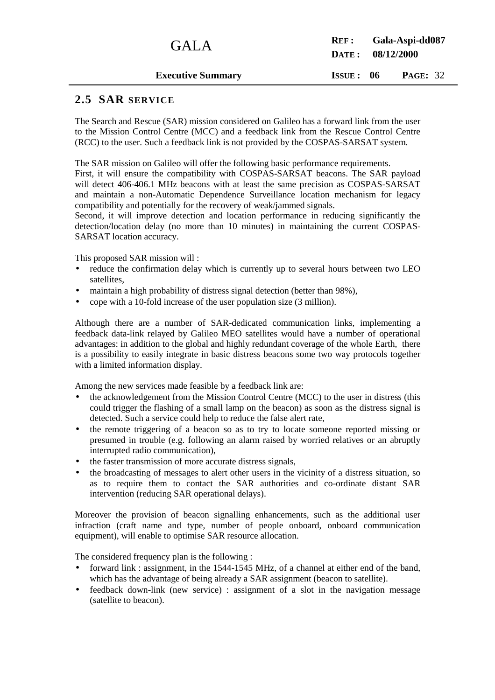| <b>GALA</b>              |                    | REF: Gala-Aspi-dd087<br>$\text{DATE}: \quad 08/12/2000$ |                 |  |
|--------------------------|--------------------|---------------------------------------------------------|-----------------|--|
| <b>Executive Summary</b> | $\text{ISSUE}: 06$ |                                                         | <b>PAGE: 32</b> |  |

### **2.5 SAR SERVICE**

The Search and Rescue (SAR) mission considered on Galileo has a forward link from the user to the Mission Control Centre (MCC) and a feedback link from the Rescue Control Centre (RCC) to the user. Such a feedback link is not provided by the COSPAS-SARSAT system.

The SAR mission on Galileo will offer the following basic performance requirements. First, it will ensure the compatibility with COSPAS-SARSAT beacons. The SAR payload will detect 406-406.1 MHz beacons with at least the same precision as COSPAS-SARSAT and maintain a non-Automatic Dependence Surveillance location mechanism for legacy compatibility and potentially for the recovery of weak/jammed signals.

Second, it will improve detection and location performance in reducing significantly the detection/location delay (no more than 10 minutes) in maintaining the current COSPAS-SARSAT location accuracy.

This proposed SAR mission will :

- reduce the confirmation delay which is currently up to several hours between two LEO satellites,
- maintain a high probability of distress signal detection (better than 98%),
- cope with a 10-fold increase of the user population size (3 million).

Although there are a number of SAR-dedicated communication links, implementing a feedback data-link relayed by Galileo MEO satellites would have a number of operational advantages: in addition to the global and highly redundant coverage of the whole Earth, there is a possibility to easily integrate in basic distress beacons some two way protocols together with a limited information display.

Among the new services made feasible by a feedback link are:

- the acknowledgement from the Mission Control Centre (MCC) to the user in distress (this could trigger the flashing of a small lamp on the beacon) as soon as the distress signal is detected. Such a service could help to reduce the false alert rate,
- the remote triggering of a beacon so as to try to locate someone reported missing or presumed in trouble (e.g. following an alarm raised by worried relatives or an abruptly interrupted radio communication),
- the faster transmission of more accurate distress signals,
- the broadcasting of messages to alert other users in the vicinity of a distress situation, so as to require them to contact the SAR authorities and co-ordinate distant SAR intervention (reducing SAR operational delays).

Moreover the provision of beacon signalling enhancements, such as the additional user infraction (craft name and type, number of people onboard, onboard communication equipment), will enable to optimise SAR resource allocation.

The considered frequency plan is the following :

- forward link : assignment, in the 1544-1545 MHz, of a channel at either end of the band, which has the advantage of being already a SAR assignment (beacon to satellite).
- feedback down-link (new service) : assignment of a slot in the navigation message (satellite to beacon).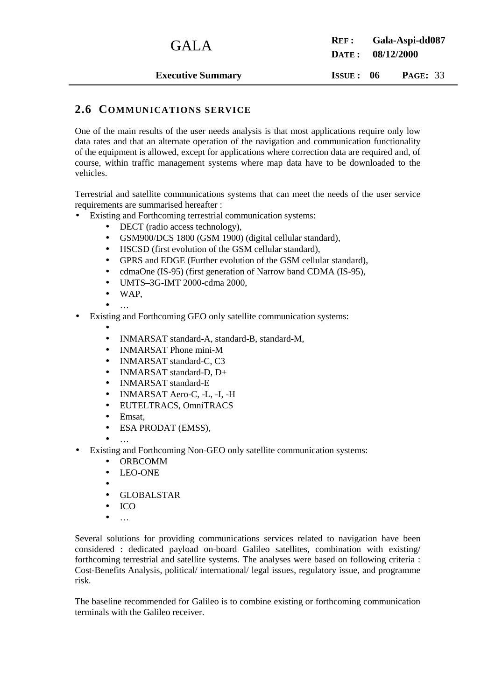#### **Executive Summary ISSUE : 06 PAGE:** 33

# **2.6 COMMUNICATIONS SERVICE**

One of the main results of the user needs analysis is that most applications require only low data rates and that an alternate operation of the navigation and communication functionality of the equipment is allowed, except for applications where correction data are required and, of course, within traffic management systems where map data have to be downloaded to the vehicles.

Terrestrial and satellite communications systems that can meet the needs of the user service requirements are summarised hereafter :

- Existing and Forthcoming terrestrial communication systems:
	- DECT (radio access technology),
	- GSM900/DCS 1800 (GSM 1900) (digital cellular standard),
	- HSCSD (first evolution of the GSM cellular standard),
	- GPRS and EDGE (Further evolution of the GSM cellular standard),
	- cdmaOne (IS-95) (first generation of Narrow band CDMA (IS-95),
	- UMTS–3G-IMT 2000-cdma 2000,
	- WAP,
	- …
- Existing and Forthcoming GEO only satellite communication systems:
	- •
	- INMARSAT standard-A, standard-B, standard-M,
	- INMARSAT Phone mini-M
	- INMARSAT standard-C, C3
	- INMARSAT standard-D, D+
	- INMARSAT standard-E
	- INMARSAT Aero-C, -L, -I, -H
	- EUTELTRACS, OmniTRACS
	- Emsat,
	- ESA PRODAT (EMSS),

• …

- Existing and Forthcoming Non-GEO only satellite communication systems:
	- ORBCOMM
	- LEO-ONE
	- •
	- GLOBALSTAR
	- ICO
	- $\mathbb{R}^n$

Several solutions for providing communications services related to navigation have been considered : dedicated payload on-board Galileo satellites, combination with existing/ forthcoming terrestrial and satellite systems. The analyses were based on following criteria : Cost-Benefits Analysis, political/ international/ legal issues, regulatory issue, and programme risk.

The baseline recommended for Galileo is to combine existing or forthcoming communication terminals with the Galileo receiver.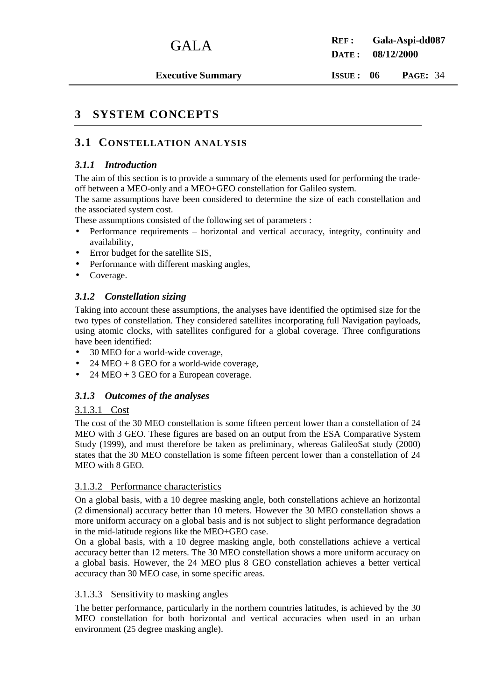GALA<sup>REF:</sup>

# **3 SYSTEM CONCEPTS**

# **3.1 CONSTELLATION ANALYSIS**

### *3.1.1 Introduction*

The aim of this section is to provide a summary of the elements used for performing the tradeoff between a MEO-only and a MEO+GEO constellation for Galileo system.

The same assumptions have been considered to determine the size of each constellation and the associated system cost.

These assumptions consisted of the following set of parameters :

- Performance requirements horizontal and vertical accuracy, integrity, continuity and availability,
- Error budget for the satellite SIS,
- Performance with different masking angles,
- Coverage.

### *3.1.2 Constellation sizing*

Taking into account these assumptions, the analyses have identified the optimised size for the two types of constellation. They considered satellites incorporating full Navigation payloads, using atomic clocks, with satellites configured for a global coverage. Three configurations have been identified:

- 30 MEO for a world-wide coverage.
- $24 \text{ MED} + 8 \text{ GEO}$  for a world-wide coverage.
- 24 MEO + 3 GEO for a European coverage.

#### *3.1.3 Outcomes of the analyses*

#### 3.1.3.1 Cost

The cost of the 30 MEO constellation is some fifteen percent lower than a constellation of 24 MEO with 3 GEO. These figures are based on an output from the ESA Comparative System Study (1999), and must therefore be taken as preliminary, whereas GalileoSat study (2000) states that the 30 MEO constellation is some fifteen percent lower than a constellation of 24 MEO with 8 GEO.

#### 3.1.3.2 Performance characteristics

On a global basis, with a 10 degree masking angle, both constellations achieve an horizontal (2 dimensional) accuracy better than 10 meters. However the 30 MEO constellation shows a more uniform accuracy on a global basis and is not subject to slight performance degradation in the mid-latitude regions like the MEO+GEO case.

On a global basis, with a 10 degree masking angle, both constellations achieve a vertical accuracy better than 12 meters. The 30 MEO constellation shows a more uniform accuracy on a global basis. However, the 24 MEO plus 8 GEO constellation achieves a better vertical accuracy than 30 MEO case, in some specific areas.

#### 3.1.3.3 Sensitivity to masking angles

The better performance, particularly in the northern countries latitudes, is achieved by the 30 MEO constellation for both horizontal and vertical accuracies when used in an urban environment (25 degree masking angle).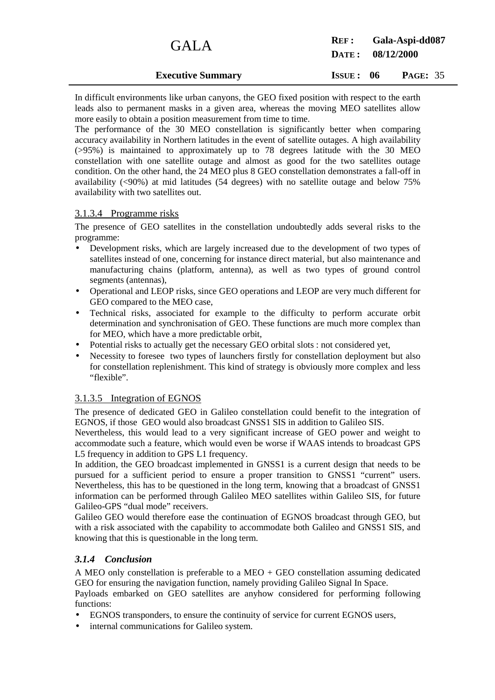| <b>GALA</b>              |           | $\text{DATE}: \quad 08/12/2000$ | REF: Gala-Aspi-dd087 |  |
|--------------------------|-----------|---------------------------------|----------------------|--|
| <b>Executive Summary</b> | ISSUE: 06 |                                 | <b>PAGE: 35</b>      |  |

In difficult environments like urban canyons, the GEO fixed position with respect to the earth leads also to permanent masks in a given area, whereas the moving MEO satellites allow more easily to obtain a position measurement from time to time.

The performance of the 30 MEO constellation is significantly better when comparing accuracy availability in Northern latitudes in the event of satellite outages. A high availability (>95%) is maintained to approximately up to 78 degrees latitude with the 30 MEO constellation with one satellite outage and almost as good for the two satellites outage condition. On the other hand, the 24 MEO plus 8 GEO constellation demonstrates a fall-off in availability  $(\leq 90\%)$  at mid latitudes (54 degrees) with no satellite outage and below 75% availability with two satellites out.

### 3.1.3.4 Programme risks

The presence of GEO satellites in the constellation undoubtedly adds several risks to the programme:

- Development risks, which are largely increased due to the development of two types of satellites instead of one, concerning for instance direct material, but also maintenance and manufacturing chains (platform, antenna), as well as two types of ground control segments (antennas),
- Operational and LEOP risks, since GEO operations and LEOP are very much different for GEO compared to the MEO case,
- Technical risks, associated for example to the difficulty to perform accurate orbit determination and synchronisation of GEO. These functions are much more complex than for MEO, which have a more predictable orbit,
- Potential risks to actually get the necessary GEO orbital slots : not considered yet,
- Necessity to foresee two types of launchers firstly for constellation deployment but also for constellation replenishment. This kind of strategy is obviously more complex and less "flexible".

# 3.1.3.5 Integration of EGNOS

The presence of dedicated GEO in Galileo constellation could benefit to the integration of EGNOS, if those GEO would also broadcast GNSS1 SIS in addition to Galileo SIS.

Nevertheless, this would lead to a very significant increase of GEO power and weight to accommodate such a feature, which would even be worse if WAAS intends to broadcast GPS L5 frequency in addition to GPS L1 frequency.

In addition, the GEO broadcast implemented in GNSS1 is a current design that needs to be pursued for a sufficient period to ensure a proper transition to GNSS1 "current" users. Nevertheless, this has to be questioned in the long term, knowing that a broadcast of GNSS1 information can be performed through Galileo MEO satellites within Galileo SIS, for future Galileo-GPS "dual mode" receivers.

Galileo GEO would therefore ease the continuation of EGNOS broadcast through GEO, but with a risk associated with the capability to accommodate both Galileo and GNSS1 SIS, and knowing that this is questionable in the long term.

# *3.1.4 Conclusion*

A MEO only constellation is preferable to a MEO + GEO constellation assuming dedicated GEO for ensuring the navigation function, namely providing Galileo Signal In Space.

Payloads embarked on GEO satellites are anyhow considered for performing following functions:

- EGNOS transponders, to ensure the continuity of service for current EGNOS users,
- internal communications for Galileo system.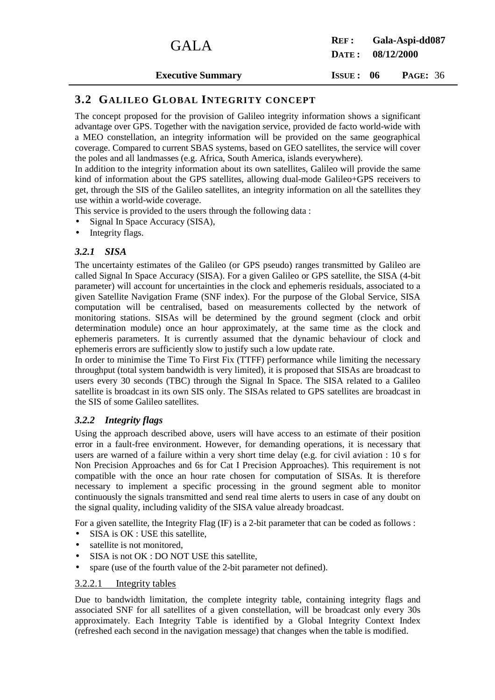| <b>GALA</b> | <b>REF:</b>     |
|-------------|-----------------|
|             | <b>B</b> + 2000 |

#### **Executive Summary ISSUE : 06 PAGE:** 36

# **3.2 GALILEO GLOBAL INTEGRITY CONCEPT**

The concept proposed for the provision of Galileo integrity information shows a significant advantage over GPS. Together with the navigation service, provided de facto world-wide with a MEO constellation, an integrity information will be provided on the same geographical coverage. Compared to current SBAS systems, based on GEO satellites, the service will cover the poles and all landmasses (e.g. Africa, South America, islands everywhere).

In addition to the integrity information about its own satellites, Galileo will provide the same kind of information about the GPS satellites, allowing dual-mode Galileo+GPS receivers to get, through the SIS of the Galileo satellites, an integrity information on all the satellites they use within a world-wide coverage.

This service is provided to the users through the following data :

- Signal In Space Accuracy (SISA),
- Integrity flags.

#### *3.2.1 SISA*

The uncertainty estimates of the Galileo (or GPS pseudo) ranges transmitted by Galileo are called Signal In Space Accuracy (SISA). For a given Galileo or GPS satellite, the SISA (4-bit parameter) will account for uncertainties in the clock and ephemeris residuals, associated to a given Satellite Navigation Frame (SNF index). For the purpose of the Global Service, SISA computation will be centralised, based on measurements collected by the network of monitoring stations. SISAs will be determined by the ground segment (clock and orbit determination module) once an hour approximately, at the same time as the clock and ephemeris parameters. It is currently assumed that the dynamic behaviour of clock and ephemeris errors are sufficiently slow to justify such a low update rate.

In order to minimise the Time To First Fix (TTFF) performance while limiting the necessary throughput (total system bandwidth is very limited), it is proposed that SISAs are broadcast to users every 30 seconds (TBC) through the Signal In Space. The SISA related to a Galileo satellite is broadcast in its own SIS only. The SISAs related to GPS satellites are broadcast in the SIS of some Galileo satellites.

#### *3.2.2 Integrity flags*

Using the approach described above, users will have access to an estimate of their position error in a fault-free environment. However, for demanding operations, it is necessary that users are warned of a failure within a very short time delay (e.g. for civil aviation : 10 s for Non Precision Approaches and 6s for Cat I Precision Approaches). This requirement is not compatible with the once an hour rate chosen for computation of SISAs. It is therefore necessary to implement a specific processing in the ground segment able to monitor continuously the signals transmitted and send real time alerts to users in case of any doubt on the signal quality, including validity of the SISA value already broadcast.

For a given satellite, the Integrity Flag (IF) is a 2-bit parameter that can be coded as follows :

- SISA is OK : USE this satellite.
- satellite is not monitored.
- SISA is not OK : DO NOT USE this satellite.
- spare (use of the fourth value of the 2-bit parameter not defined).

#### 3.2.2.1 Integrity tables

Due to bandwidth limitation, the complete integrity table, containing integrity flags and associated SNF for all satellites of a given constellation, will be broadcast only every 30s approximately. Each Integrity Table is identified by a Global Integrity Context Index (refreshed each second in the navigation message) that changes when the table is modified.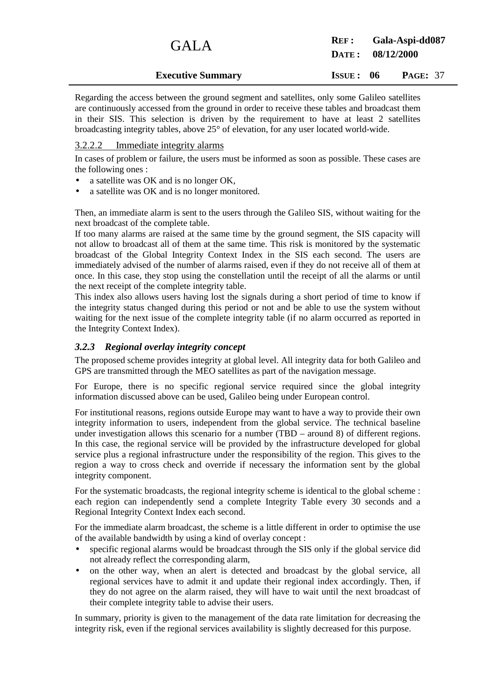| GALA                     | $\text{DATE}: \quad 08/12/2000$ | REF: Gala-Aspi-dd087 |
|--------------------------|---------------------------------|----------------------|
| <b>Executive Summary</b> | ISSUE : 06                      | <b>PAGE: 37</b>      |

Regarding the access between the ground segment and satellites, only some Galileo satellites are continuously accessed from the ground in order to receive these tables and broadcast them in their SIS. This selection is driven by the requirement to have at least 2 satellites broadcasting integrity tables, above 25° of elevation, for any user located world-wide.

#### 3.2.2.2 Immediate integrity alarms

In cases of problem or failure, the users must be informed as soon as possible. These cases are the following ones :

- a satellite was OK and is no longer OK,
- a satellite was OK and is no longer monitored.

Then, an immediate alarm is sent to the users through the Galileo SIS, without waiting for the next broadcast of the complete table.

If too many alarms are raised at the same time by the ground segment, the SIS capacity will not allow to broadcast all of them at the same time. This risk is monitored by the systematic broadcast of the Global Integrity Context Index in the SIS each second. The users are immediately advised of the number of alarms raised, even if they do not receive all of them at once. In this case, they stop using the constellation until the receipt of all the alarms or until the next receipt of the complete integrity table.

This index also allows users having lost the signals during a short period of time to know if the integrity status changed during this period or not and be able to use the system without waiting for the next issue of the complete integrity table (if no alarm occurred as reported in the Integrity Context Index).

### *3.2.3 Regional overlay integrity concept*

The proposed scheme provides integrity at global level. All integrity data for both Galileo and GPS are transmitted through the MEO satellites as part of the navigation message.

For Europe, there is no specific regional service required since the global integrity information discussed above can be used, Galileo being under European control.

For institutional reasons, regions outside Europe may want to have a way to provide their own integrity information to users, independent from the global service. The technical baseline under investigation allows this scenario for a number (TBD – around 8) of different regions. In this case, the regional service will be provided by the infrastructure developed for global service plus a regional infrastructure under the responsibility of the region. This gives to the region a way to cross check and override if necessary the information sent by the global integrity component.

For the systematic broadcasts, the regional integrity scheme is identical to the global scheme : each region can independently send a complete Integrity Table every 30 seconds and a Regional Integrity Context Index each second.

For the immediate alarm broadcast, the scheme is a little different in order to optimise the use of the available bandwidth by using a kind of overlay concept :

- specific regional alarms would be broadcast through the SIS only if the global service did not already reflect the corresponding alarm,
- on the other way, when an alert is detected and broadcast by the global service, all regional services have to admit it and update their regional index accordingly. Then, if they do not agree on the alarm raised, they will have to wait until the next broadcast of their complete integrity table to advise their users.

In summary, priority is given to the management of the data rate limitation for decreasing the integrity risk, even if the regional services availability is slightly decreased for this purpose.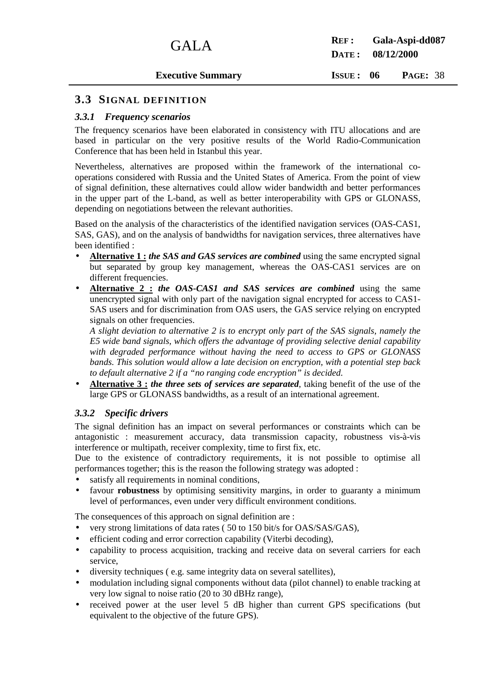#### **Executive Summary ISSUE : 06 PAGE:** 38

## **3.3 SIGNAL DEFINITION**

#### *3.3.1 Frequency scenarios*

The frequency scenarios have been elaborated in consistency with ITU allocations and are based in particular on the very positive results of the World Radio-Communication Conference that has been held in Istanbul this year.

Nevertheless, alternatives are proposed within the framework of the international cooperations considered with Russia and the United States of America. From the point of view of signal definition, these alternatives could allow wider bandwidth and better performances in the upper part of the L-band, as well as better interoperability with GPS or GLONASS, depending on negotiations between the relevant authorities.

Based on the analysis of the characteristics of the identified navigation services (OAS-CAS1, SAS, GAS), and on the analysis of bandwidths for navigation services, three alternatives have been identified :

- **Alternative 1 :** *the SAS and GAS services are combined* using the same encrypted signal but separated by group key management, whereas the OAS-CAS1 services are on different frequencies.
- **Alternative 2 :** *the OAS-CAS1 and SAS services are combined* using the same unencrypted signal with only part of the navigation signal encrypted for access to CAS1- SAS users and for discrimination from OAS users, the GAS service relying on encrypted signals on other frequencies.

*A slight deviation to alternative 2 is to encrypt only part of the SAS signals, namely the E5 wide band signals, which offers the advantage of providing selective denial capability with degraded performance without having the need to access to GPS or GLONASS bands. This solution would allow a late decision on encryption, with a potential step back to default alternative 2 if a "no ranging code encryption" is decided.*

• **Alternative 3 :** *the three sets of services are separated*, taking benefit of the use of the large GPS or GLONASS bandwidths, as a result of an international agreement.

#### *3.3.2 Specific drivers*

The signal definition has an impact on several performances or constraints which can be antagonistic : measurement accuracy, data transmission capacity, robustness vis-à-vis interference or multipath, receiver complexity, time to first fix, etc.

Due to the existence of contradictory requirements, it is not possible to optimise all performances together; this is the reason the following strategy was adopted :

- satisfy all requirements in nominal conditions,
- favour **robustness** by optimising sensitivity margins, in order to guaranty a minimum level of performances, even under very difficult environment conditions.

The consequences of this approach on signal definition are :

- very strong limitations of data rates ( 50 to 150 bit/s for OAS/SAS/GAS),
- efficient coding and error correction capability (Viterbi decoding),
- capability to process acquisition, tracking and receive data on several carriers for each service,
- diversity techniques (e.g. same integrity data on several satellites),
- modulation including signal components without data (pilot channel) to enable tracking at very low signal to noise ratio (20 to 30 dBHz range),
- received power at the user level 5 dB higher than current GPS specifications (but equivalent to the objective of the future GPS).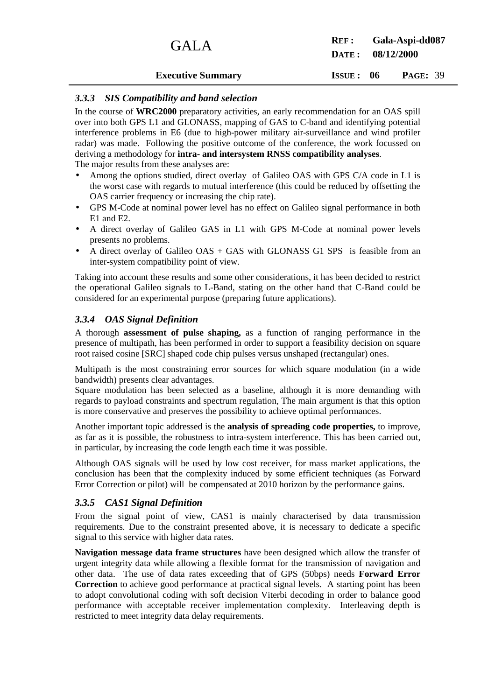| <b>GALA</b>              | REF: Gala-Aspi-dd087<br>$\text{DATE}: \quad 08/12/2000$ |                 |  |
|--------------------------|---------------------------------------------------------|-----------------|--|
| <b>Executive Summary</b> | ISSUE: 06                                               | <b>PAGE: 39</b> |  |

### *3.3.3 SIS Compatibility and band selection*

In the course of **WRC2000** preparatory activities, an early recommendation for an OAS spill over into both GPS L1 and GLONASS, mapping of GAS to C-band and identifying potential interference problems in E6 (due to high-power military air-surveillance and wind profiler radar) was made. Following the positive outcome of the conference, the work focussed on deriving a methodology for **intra- and intersystem RNSS compatibility analyses**.

The major results from these analyses are:

- Among the options studied, direct overlay of Galileo OAS with GPS C/A code in L1 is the worst case with regards to mutual interference (this could be reduced by offsetting the OAS carrier frequency or increasing the chip rate).
- GPS M-Code at nominal power level has no effect on Galileo signal performance in both E1 and E2.
- A direct overlay of Galileo GAS in L1 with GPS M-Code at nominal power levels presents no problems.
- A direct overlay of Galileo OAS + GAS with GLONASS G1 SPS is feasible from an inter-system compatibility point of view.

Taking into account these results and some other considerations, it has been decided to restrict the operational Galileo signals to L-Band, stating on the other hand that C-Band could be considered for an experimental purpose (preparing future applications).

### *3.3.4 OAS Signal Definition*

A thorough **assessment of pulse shaping,** as a function of ranging performance in the presence of multipath, has been performed in order to support a feasibility decision on square root raised cosine [SRC] shaped code chip pulses versus unshaped (rectangular) ones.

Multipath is the most constraining error sources for which square modulation (in a wide bandwidth) presents clear advantages.

Square modulation has been selected as a baseline, although it is more demanding with regards to payload constraints and spectrum regulation, The main argument is that this option is more conservative and preserves the possibility to achieve optimal performances.

Another important topic addressed is the **analysis of spreading code properties,** to improve, as far as it is possible, the robustness to intra-system interference. This has been carried out, in particular, by increasing the code length each time it was possible.

Although OAS signals will be used by low cost receiver, for mass market applications, the conclusion has been that the complexity induced by some efficient techniques (as Forward Error Correction or pilot) will be compensated at 2010 horizon by the performance gains.

#### *3.3.5 CAS1 Signal Definition*

From the signal point of view, CAS1 is mainly characterised by data transmission requirements. Due to the constraint presented above, it is necessary to dedicate a specific signal to this service with higher data rates.

**Navigation message data frame structures** have been designed which allow the transfer of urgent integrity data while allowing a flexible format for the transmission of navigation and other data. The use of data rates exceeding that of GPS (50bps) needs **Forward Error Correction** to achieve good performance at practical signal levels. A starting point has been to adopt convolutional coding with soft decision Viterbi decoding in order to balance good performance with acceptable receiver implementation complexity. Interleaving depth is restricted to meet integrity data delay requirements.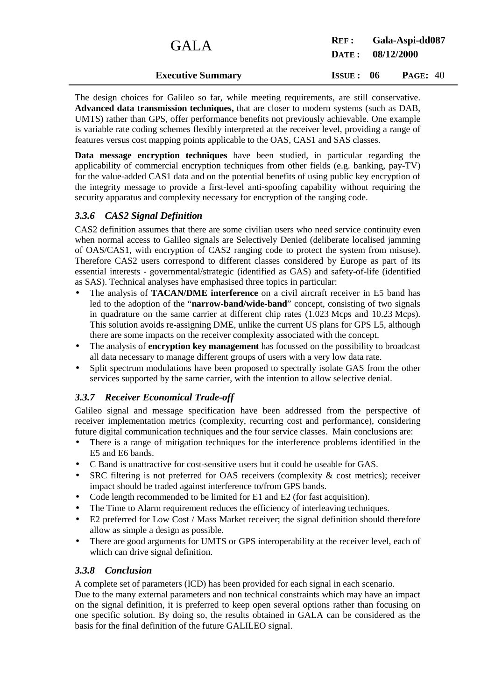| <b>GALA</b>              | REF: Gala-Aspi-dd087<br>$\text{DATE}: \quad 08/12/2000$ |
|--------------------------|---------------------------------------------------------|
| <b>Executive Summary</b> | $\text{ISSUE}: 06$ PAGE: 40                             |

The design choices for Galileo so far, while meeting requirements, are still conservative. **Advanced data transmission techniques,** that are closer to modern systems (such as DAB, UMTS) rather than GPS, offer performance benefits not previously achievable. One example is variable rate coding schemes flexibly interpreted at the receiver level, providing a range of features versus cost mapping points applicable to the OAS, CAS1 and SAS classes.

**Data message encryption techniques** have been studied, in particular regarding the applicability of commercial encryption techniques from other fields (e.g. banking, pay-TV) for the value-added CAS1 data and on the potential benefits of using public key encryption of the integrity message to provide a first-level anti-spoofing capability without requiring the security apparatus and complexity necessary for encryption of the ranging code.

# *3.3.6 CAS2 Signal Definition*

CAS2 definition assumes that there are some civilian users who need service continuity even when normal access to Galileo signals are Selectively Denied (deliberate localised jamming of OAS/CAS1, with encryption of CAS2 ranging code to protect the system from misuse). Therefore CAS2 users correspond to different classes considered by Europe as part of its essential interests - governmental/strategic (identified as GAS) and safety-of-life (identified as SAS). Technical analyses have emphasised three topics in particular:

- The analysis of **TACAN/DME interference** on a civil aircraft receiver in E5 band has led to the adoption of the "**narrow-band/wide-band**" concept, consisting of two signals in quadrature on the same carrier at different chip rates (1.023 Mcps and 10.23 Mcps). This solution avoids re-assigning DME, unlike the current US plans for GPS L5, although there are some impacts on the receiver complexity associated with the concept.
- The analysis of **encryption key management** has focussed on the possibility to broadcast all data necessary to manage different groups of users with a very low data rate.
- Split spectrum modulations have been proposed to spectrally isolate GAS from the other services supported by the same carrier, with the intention to allow selective denial.

# *3.3.7 Receiver Economical Trade-off*

Galileo signal and message specification have been addressed from the perspective of receiver implementation metrics (complexity, recurring cost and performance), considering future digital communication techniques and the four service classes. Main conclusions are:

- There is a range of mitigation techniques for the interference problems identified in the E5 and E6 bands.
- C Band is unattractive for cost-sensitive users but it could be useable for GAS.
- SRC filtering is not preferred for OAS receivers (complexity  $\&$  cost metrics); receiver impact should be traded against interference to/from GPS bands.
- Code length recommended to be limited for E1 and E2 (for fast acquisition).
- The Time to Alarm requirement reduces the efficiency of interleaving techniques.
- E2 preferred for Low Cost / Mass Market receiver; the signal definition should therefore allow as simple a design as possible.
- There are good arguments for UMTS or GPS interoperability at the receiver level, each of which can drive signal definition.

# *3.3.8 Conclusion*

A complete set of parameters (ICD) has been provided for each signal in each scenario.

Due to the many external parameters and non technical constraints which may have an impact on the signal definition, it is preferred to keep open several options rather than focusing on one specific solution. By doing so, the results obtained in GALA can be considered as the basis for the final definition of the future GALILEO signal.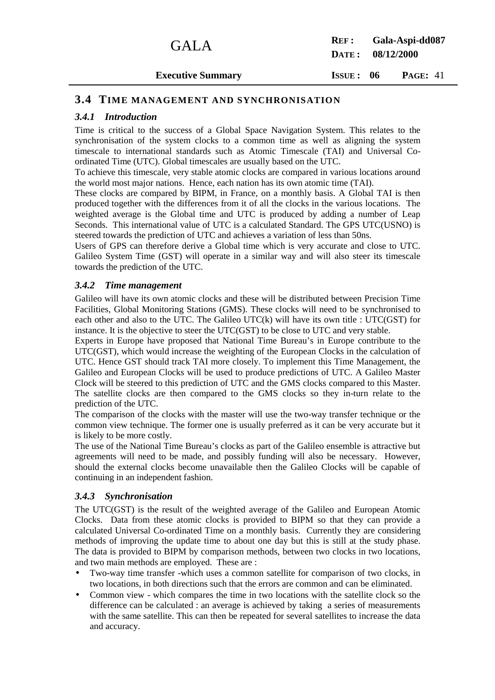| <b>GALA</b> | <b>REF:</b> |
|-------------|-------------|
|             | n           |

# **3.4 TIME MANAGEMENT AND SYNCHRONISATION**

#### *3.4.1 Introduction*

Time is critical to the success of a Global Space Navigation System. This relates to the synchronisation of the system clocks to a common time as well as aligning the system timescale to international standards such as Atomic Timescale (TAI) and Universal Coordinated Time (UTC). Global timescales are usually based on the UTC.

To achieve this timescale, very stable atomic clocks are compared in various locations around the world most major nations. Hence, each nation has its own atomic time (TAI).

These clocks are compared by BIPM, in France, on a monthly basis. A Global TAI is then produced together with the differences from it of all the clocks in the various locations. The weighted average is the Global time and UTC is produced by adding a number of Leap Seconds. This international value of UTC is a calculated Standard. The GPS UTC(USNO) is steered towards the prediction of UTC and achieves a variation of less than 50ns.

Users of GPS can therefore derive a Global time which is very accurate and close to UTC. Galileo System Time (GST) will operate in a similar way and will also steer its timescale towards the prediction of the UTC.

#### *3.4.2 Time management*

Galileo will have its own atomic clocks and these will be distributed between Precision Time Facilities, Global Monitoring Stations (GMS). These clocks will need to be synchronised to each other and also to the UTC. The Galileo UTC(k) will have its own title : UTC(GST) for instance. It is the objective to steer the UTC(GST) to be close to UTC and very stable.

Experts in Europe have proposed that National Time Bureau's in Europe contribute to the UTC(GST), which would increase the weighting of the European Clocks in the calculation of UTC. Hence GST should track TAI more closely. To implement this Time Management, the Galileo and European Clocks will be used to produce predictions of UTC. A Galileo Master Clock will be steered to this prediction of UTC and the GMS clocks compared to this Master. The satellite clocks are then compared to the GMS clocks so they in-turn relate to the prediction of the UTC.

The comparison of the clocks with the master will use the two-way transfer technique or the common view technique. The former one is usually preferred as it can be very accurate but it is likely to be more costly.

The use of the National Time Bureau's clocks as part of the Galileo ensemble is attractive but agreements will need to be made, and possibly funding will also be necessary. However, should the external clocks become unavailable then the Galileo Clocks will be capable of continuing in an independent fashion.

#### *3.4.3 Synchronisation*

The UTC(GST) is the result of the weighted average of the Galileo and European Atomic Clocks. Data from these atomic clocks is provided to BIPM so that they can provide a calculated Universal Co-ordinated Time on a monthly basis. Currently they are considering methods of improving the update time to about one day but this is still at the study phase. The data is provided to BIPM by comparison methods, between two clocks in two locations, and two main methods are employed. These are :

- Two-way time transfer -which uses a common satellite for comparison of two clocks, in two locations, in both directions such that the errors are common and can be eliminated.
- Common view which compares the time in two locations with the satellite clock so the difference can be calculated : an average is achieved by taking a series of measurements with the same satellite. This can then be repeated for several satellites to increase the data and accuracy.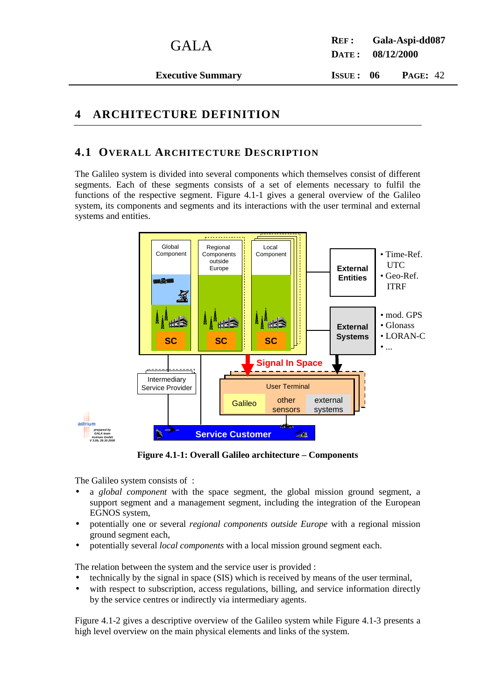GALA<sup>REF:</sup>

**Executive Summary ISSUE : 06 PAGE:** 42

# **4 ARCHITECTURE DEFINITION**

# **4.1 OVERALL ARCHITECTURE DESCRIPTION**

The Galileo system is divided into several components which themselves consist of different segments. Each of these segments consists of a set of elements necessary to fulfil the functions of the respective segment. Figure 4.1-1 gives a general overview of the Galileo system, its components and segments and its interactions with the user terminal and external systems and entities.



**Figure 4.1-1: Overall Galileo architecture – Components**

The Galileo system consists of :

- a *global component* with the space segment, the global mission ground segment, a support segment and a management segment, including the integration of the European EGNOS system,
- potentially one or several *regional components outside Europe* with a regional mission ground segment each,
- potentially several *local components* with a local mission ground segment each.

The relation between the system and the service user is provided :

- technically by the signal in space (SIS) which is received by means of the user terminal,
- with respect to subscription, access regulations, billing, and service information directly by the service centres or indirectly via intermediary agents.

Figure 4.1-2 gives a descriptive overview of the Galileo system while Figure 4.1-3 presents a high level overview on the main physical elements and links of the system.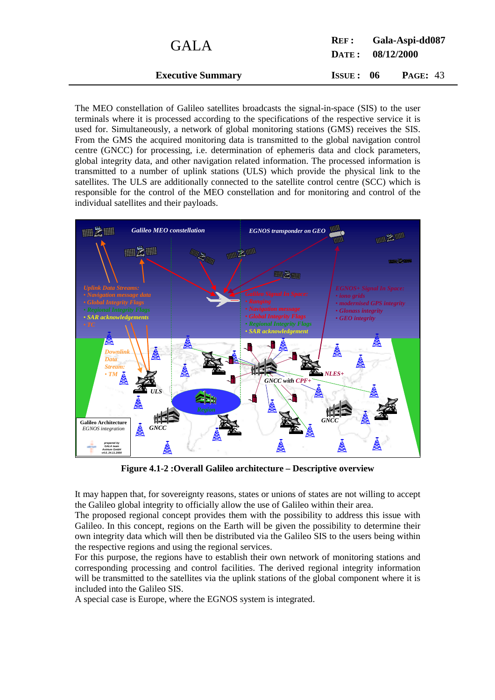| <b>GALA</b>              | REF: Gala-Aspi-dd087<br>$\text{DATE}: \quad 08/12/2000$ |  |
|--------------------------|---------------------------------------------------------|--|
| <b>Executive Summary</b> | $\text{ISSUE}: 06$ PAGE: 43                             |  |

The MEO constellation of Galileo satellites broadcasts the signal-in-space (SIS) to the user terminals where it is processed according to the specifications of the respective service it is used for. Simultaneously, a network of global monitoring stations (GMS) receives the SIS. From the GMS the acquired monitoring data is transmitted to the global navigation control centre (GNCC) for processing, i.e. determination of ephemeris data and clock parameters, global integrity data, and other navigation related information. The processed information is transmitted to a number of uplink stations (ULS) which provide the physical link to the satellites. The ULS are additionally connected to the satellite control centre (SCC) which is responsible for the control of the MEO constellation and for monitoring and control of the individual satellites and their payloads.



**Figure 4.1-2 :Overall Galileo architecture – Descriptive overview**

It may happen that, for sovereignty reasons, states or unions of states are not willing to accept the Galileo global integrity to officially allow the use of Galileo within their area.

The proposed regional concept provides them with the possibility to address this issue with Galileo. In this concept, regions on the Earth will be given the possibility to determine their own integrity data which will then be distributed via the Galileo SIS to the users being within the respective regions and using the regional services.

For this purpose, the regions have to establish their own network of monitoring stations and corresponding processing and control facilities. The derived regional integrity information will be transmitted to the satellites via the uplink stations of the global component where it is included into the Galileo SIS.

A special case is Europe, where the EGNOS system is integrated.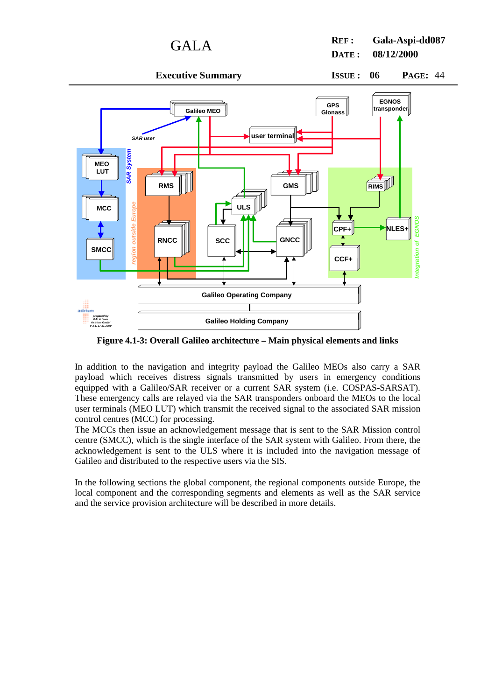

**Figure 4.1-3: Overall Galileo architecture – Main physical elements and links**

In addition to the navigation and integrity payload the Galileo MEOs also carry a SAR payload which receives distress signals transmitted by users in emergency conditions equipped with a Galileo/SAR receiver or a current SAR system (i.e. COSPAS-SARSAT). These emergency calls are relayed via the SAR transponders onboard the MEOs to the local user terminals (MEO LUT) which transmit the received signal to the associated SAR mission control centres (MCC) for processing.

The MCCs then issue an acknowledgement message that is sent to the SAR Mission control centre (SMCC), which is the single interface of the SAR system with Galileo. From there, the acknowledgement is sent to the ULS where it is included into the navigation message of Galileo and distributed to the respective users via the SIS.

In the following sections the global component, the regional components outside Europe, the local component and the corresponding segments and elements as well as the SAR service and the service provision architecture will be described in more details.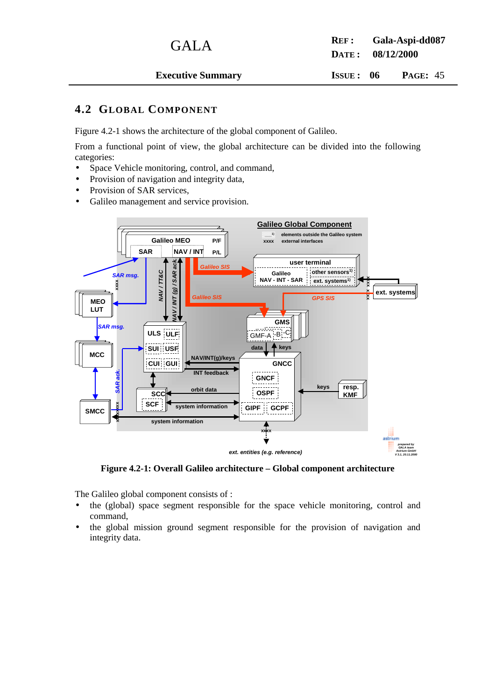#### **Executive Summary ISSUE : 06 PAGE:** 45

# **4.2 GLOBAL COMPONENT**

Figure 4.2-1 shows the architecture of the global component of Galileo.

From a functional point of view, the global architecture can be divided into the following categories:

- Space Vehicle monitoring, control, and command,
- Provision of navigation and integrity data,
- Provision of SAR services,
- Galileo management and service provision.



**Figure 4.2-1: Overall Galileo architecture – Global component architecture**

The Galileo global component consists of :

- the (global) space segment responsible for the space vehicle monitoring, control and command,
- the global mission ground segment responsible for the provision of navigation and integrity data.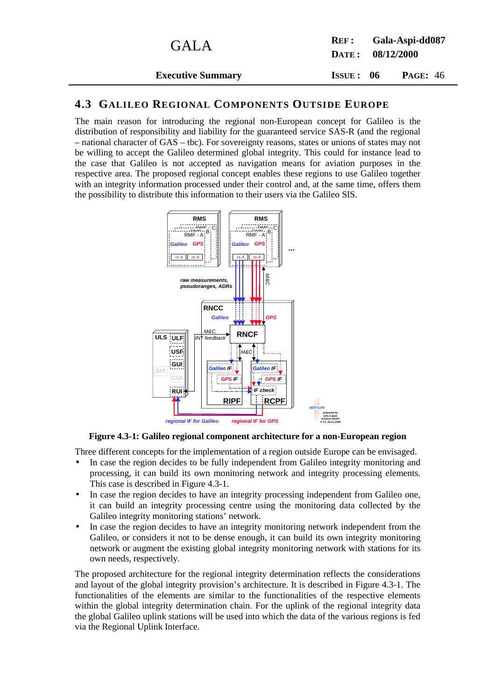| GALA                     |                       | REF: Gala-Aspi-dd087<br>$\text{DATE}: \quad 08/12/2000$ |
|--------------------------|-----------------------|---------------------------------------------------------|
| <b>Executive Summary</b> | $I_{\text{SSUE}}: 06$ | <b>PAGE: 46</b>                                         |

# **4.3 GALILEO REGIONAL COMPONENTS OUTSIDE EUROPE**

The main reason for introducing the regional non-European concept for Galileo is the distribution of responsibility and liability for the guaranteed service SAS-R (and the regional – national character of GAS – tbc). For sovereignty reasons, states or unions of states may not be willing to accept the Galileo determined global integrity. This could for instance lead to the case that Galileo is not accepted as navigation means for aviation purposes in the respective area. The proposed regional concept enables these regions to use Galileo together with an integrity information processed under their control and, at the same time, offers them the possibility to distribute this information to their users via the Galileo SIS.



**Figure 4.3-1: Galileo regional component architecture for a non-European region**

Three different concepts for the implementation of a region outside Europe can be envisaged.

- In case the region decides to be fully independent from Galileo integrity monitoring and processing, it can build its own monitoring network and integrity processing elements. This case is described in Figure 4.3-1.
- In case the region decides to have an integrity processing independent from Galileo one, it can build an integrity processing centre using the monitoring data collected by the Galileo integrity monitoring stations' network.
- In case the region decides to have an integrity monitoring network independent from the Galileo, or considers it not to be dense enough, it can build its own integrity monitoring network or augment the existing global integrity monitoring network with stations for its own needs, respectively.

The proposed architecture for the regional integrity determination reflects the considerations and layout of the global integrity provision's architecture. It is described in Figure 4.3-1. The functionalities of the elements are similar to the functionalities of the respective elements within the global integrity determination chain. For the uplink of the regional integrity data the global Galileo uplink stations will be used into which the data of the various regions is fed via the Regional Uplink Interface.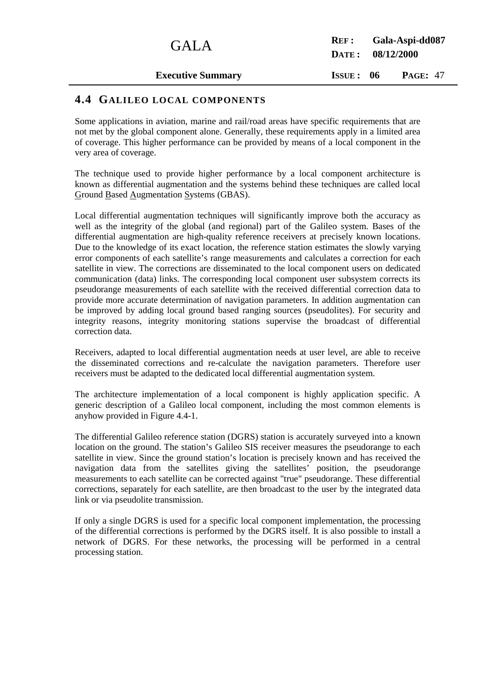| <b>GALA</b>              |           | REF: Gala-Aspi-dd087<br>$\text{DATE}: \quad 08/12/2000$ |
|--------------------------|-----------|---------------------------------------------------------|
| <b>Executive Summary</b> | ISSUE: 06 | <b>PAGE: 47</b>                                         |

# **4.4 GALILEO LOCAL COMPONENTS**

Some applications in aviation, marine and rail/road areas have specific requirements that are not met by the global component alone. Generally, these requirements apply in a limited area of coverage. This higher performance can be provided by means of a local component in the very area of coverage.

The technique used to provide higher performance by a local component architecture is known as differential augmentation and the systems behind these techniques are called local Ground Based Augmentation Systems (GBAS).

Local differential augmentation techniques will significantly improve both the accuracy as well as the integrity of the global (and regional) part of the Galileo system. Bases of the differential augmentation are high-quality reference receivers at precisely known locations. Due to the knowledge of its exact location, the reference station estimates the slowly varying error components of each satellite's range measurements and calculates a correction for each satellite in view. The corrections are disseminated to the local component users on dedicated communication (data) links. The corresponding local component user subsystem corrects its pseudorange measurements of each satellite with the received differential correction data to provide more accurate determination of navigation parameters. In addition augmentation can be improved by adding local ground based ranging sources (pseudolites). For security and integrity reasons, integrity monitoring stations supervise the broadcast of differential correction data.

Receivers, adapted to local differential augmentation needs at user level, are able to receive the disseminated corrections and re-calculate the navigation parameters. Therefore user receivers must be adapted to the dedicated local differential augmentation system.

The architecture implementation of a local component is highly application specific. A generic description of a Galileo local component, including the most common elements is anyhow provided in Figure 4.4-1.

The differential Galileo reference station (DGRS) station is accurately surveyed into a known location on the ground. The station's Galileo SIS receiver measures the pseudorange to each satellite in view. Since the ground station's location is precisely known and has received the navigation data from the satellites giving the satellites' position, the pseudorange measurements to each satellite can be corrected against "true" pseudorange. These differential corrections, separately for each satellite, are then broadcast to the user by the integrated data link or via pseudolite transmission.

If only a single DGRS is used for a specific local component implementation, the processing of the differential corrections is performed by the DGRS itself. It is also possible to install a network of DGRS. For these networks, the processing will be performed in a central processing station.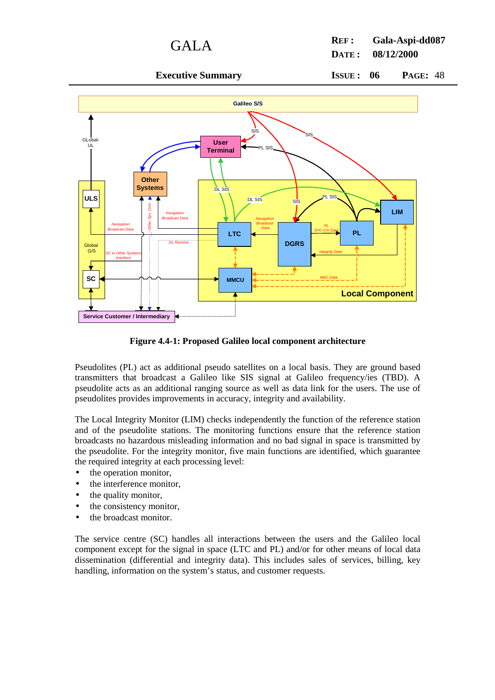

**Figure 4.4-1: Proposed Galileo local component architecture**

Pseudolites (PL) act as additional pseudo satellites on a local basis. They are ground based transmitters that broadcast a Galileo like SIS signal at Galileo frequency/ies (TBD). A pseudolite acts as an additional ranging source as well as data link for the users. The use of pseudolites provides improvements in accuracy, integrity and availability.

The Local Integrity Monitor (LIM) checks independently the function of the reference station and of the pseudolite stations. The monitoring functions ensure that the reference station broadcasts no hazardous misleading information and no bad signal in space is transmitted by the pseudolite. For the integrity monitor, five main functions are identified, which guarantee the required integrity at each processing level:

- the operation monitor,
- the interference monitor,
- the quality monitor,
- the consistency monitor,
- the broadcast monitor.

The service centre (SC) handles all interactions between the users and the Galileo local component except for the signal in space (LTC and PL) and/or for other means of local data dissemination (differential and integrity data). This includes sales of services, billing, key handling, information on the system's status, and customer requests.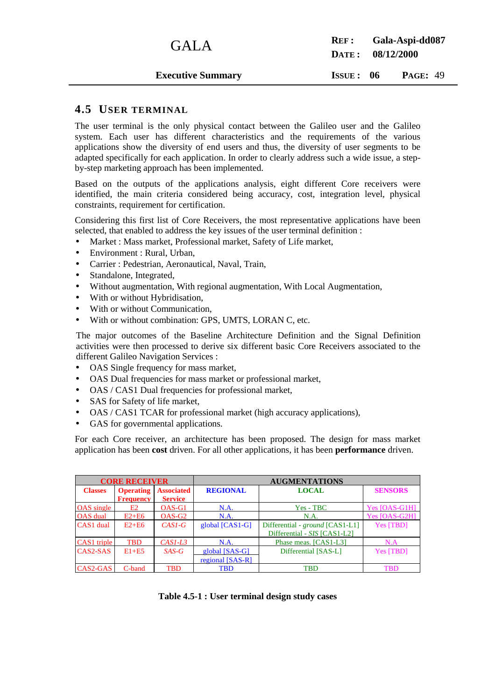#### **Executive Summary ISSUE : 06 PAGE:** 49

# **4.5 USER TERMINAL**

The user terminal is the only physical contact between the Galileo user and the Galileo system. Each user has different characteristics and the requirements of the various applications show the diversity of end users and thus, the diversity of user segments to be adapted specifically for each application. In order to clearly address such a wide issue, a stepby-step marketing approach has been implemented.

Based on the outputs of the applications analysis, eight different Core receivers were identified, the main criteria considered being accuracy, cost, integration level, physical constraints, requirement for certification.

Considering this first list of Core Receivers, the most representative applications have been selected, that enabled to address the key issues of the user terminal definition :

- Market : Mass market, Professional market, Safety of Life market,
- Environment : Rural, Urban,
- Carrier : Pedestrian, Aeronautical, Naval, Train,
- Standalone, Integrated,
- Without augmentation, With regional augmentation, With Local Augmentation,
- With or without Hybridisation.
- With or without Communication.
- With or without combination: GPS, UMTS, LORAN C, etc.

The major outcomes of the Baseline Architecture Definition and the Signal Definition activities were then processed to derive six different basic Core Receivers associated to the different Galileo Navigation Services :

- OAS Single frequency for mass market,
- OAS Dual frequencies for mass market or professional market,
- OAS / CAS1 Dual frequencies for professional market,
- SAS for Safety of life market,
- OAS / CAS1 TCAR for professional market (high accuracy applications),
- GAS for governmental applications.

For each Core receiver, an architecture has been proposed. The design for mass market application has been **cost** driven. For all other applications, it has been **performance** driven.

| <b>CORE RECEIVER</b> |                                      |                                     | <b>AUGMENTATIONS</b>               |                                                                 |                |
|----------------------|--------------------------------------|-------------------------------------|------------------------------------|-----------------------------------------------------------------|----------------|
| <b>Classes</b>       | <b>Operating</b><br><b>Frequency</b> | <b>Associated</b><br><b>Service</b> | <b>REGIONAL</b>                    | <b>LOCAL</b>                                                    | <b>SENSORS</b> |
| OAS single           | E2                                   | $OAS-G1$                            | N.A.                               | Yes - TBC                                                       | Yes [OAS-G1H]  |
| OAS dual             | $E2 + E6$                            | OAS-G <sub>2</sub>                  | N.A.                               | N.A.                                                            | Yes [OAS-G2H]  |
| CAS1 dual            | $E2 + E6$                            | $CAS1-G$                            | global [CAS1-G]                    | Differential - ground [CAS1-L1]<br>Differential - SIS [CAS1-L2] | Yes [TBD]      |
| CAS1 triple          | <b>TBD</b>                           | $CAS1-L3$                           | N.A.                               | Phase meas. [CAS1-L3]                                           | N.A            |
| CAS2-SAS             | $E1 + E5$                            | $SAS-G$                             | global [SAS-G]<br>regional [SAS-R] | Differential [SAS-L]                                            | Yes [TBD]      |
| CAS2-GAS             | C-band                               | <b>TBD</b>                          | <b>TBD</b>                         | <b>TBD</b>                                                      | TRD            |

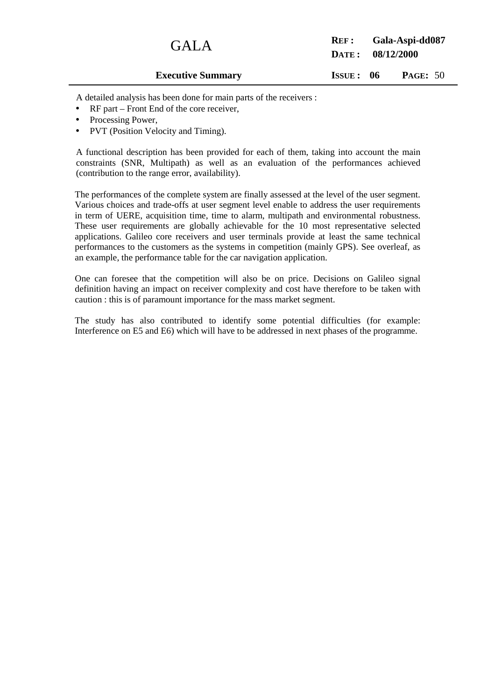| <b>GALA</b>              | $\text{DATE}: \quad 08/12/2000$ | REF: Gala-Aspi-dd087 |
|--------------------------|---------------------------------|----------------------|
| <b>Executive Summary</b> | $I_{\text{SSUE}}: 06$           | <b>PAGE: 50</b>      |

A detailed analysis has been done for main parts of the receivers :

- RF part Front End of the core receiver,
- Processing Power,
- PVT (Position Velocity and Timing).

A functional description has been provided for each of them, taking into account the main constraints (SNR, Multipath) as well as an evaluation of the performances achieved (contribution to the range error, availability).

The performances of the complete system are finally assessed at the level of the user segment. Various choices and trade-offs at user segment level enable to address the user requirements in term of UERE, acquisition time, time to alarm, multipath and environmental robustness. These user requirements are globally achievable for the 10 most representative selected applications. Galileo core receivers and user terminals provide at least the same technical performances to the customers as the systems in competition (mainly GPS). See overleaf, as an example, the performance table for the car navigation application.

One can foresee that the competition will also be on price. Decisions on Galileo signal definition having an impact on receiver complexity and cost have therefore to be taken with caution : this is of paramount importance for the mass market segment.

The study has also contributed to identify some potential difficulties (for example: Interference on E5 and E6) which will have to be addressed in next phases of the programme.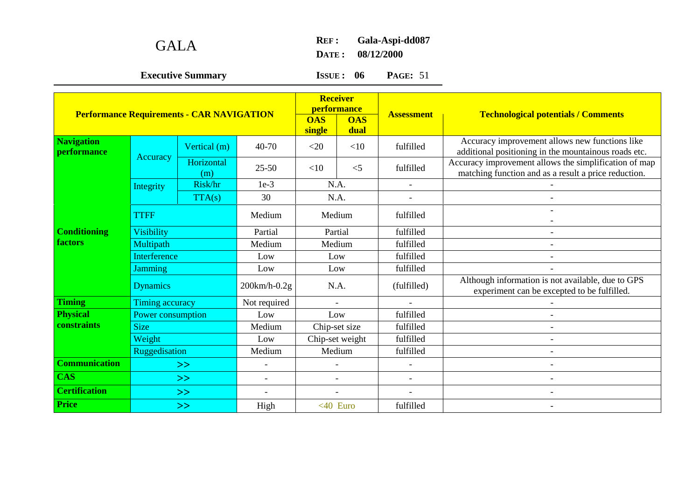|--|

 **REF : Gala-Aspi-dd087**

**DATE : 08/12/2000**

**Executive Summary ISSUE : 06 PAGE:** 51

| <b>Performance Requirements - CAR NAVIGATION</b> |                   |                   |                          | <b>Receiver</b><br><b>performance</b><br><b>OAS</b><br><b>OAS</b><br>single<br>dual |                 | <b>Assessment</b>        | <b>Technological potentials / Comments</b>                                                                    |
|--------------------------------------------------|-------------------|-------------------|--------------------------|-------------------------------------------------------------------------------------|-----------------|--------------------------|---------------------------------------------------------------------------------------------------------------|
| <b>Navigation</b><br>performance                 | Accuracy          | Vertical (m)      | 40-70                    | $<$ 20<br><10                                                                       |                 | fulfilled                | Accuracy improvement allows new functions like<br>additional positioning in the mountainous roads etc.        |
|                                                  |                   | Horizontal<br>(m) | $25 - 50$                | <10                                                                                 | $<$ 5           | fulfilled                | Accuracy improvement allows the simplification of map<br>matching function and as a result a price reduction. |
|                                                  | Integrity         | Risk/hr           | $1e-3$                   | N.A.                                                                                |                 | $\overline{\phantom{a}}$ |                                                                                                               |
|                                                  |                   | TTA(s)            | 30                       | N.A.                                                                                |                 | $\overline{\phantom{a}}$ |                                                                                                               |
|                                                  | <b>TTFF</b>       |                   | Medium                   | Medium                                                                              |                 | fulfilled                |                                                                                                               |
| <b>Conditioning</b>                              | <b>Visibility</b> |                   | Partial                  | Partial                                                                             |                 | fulfilled                | $\blacksquare$                                                                                                |
| factors                                          | Multipath         |                   | Medium                   | Medium                                                                              |                 | fulfilled                | $\blacksquare$                                                                                                |
|                                                  | Interference      |                   | Low                      | Low                                                                                 |                 | fulfilled                |                                                                                                               |
|                                                  | <b>Jamming</b>    |                   | Low                      | Low                                                                                 |                 | fulfilled                |                                                                                                               |
|                                                  | <b>Dynamics</b>   |                   | $200$ km/h- $0.2$ g      | N.A.                                                                                |                 | (fulfilled)              | Although information is not available, due to GPS<br>experiment can be excepted to be fulfilled.              |
| <b>Timing</b>                                    | Timing accuracy   |                   | Not required             |                                                                                     |                 |                          |                                                                                                               |
| <b>Physical</b>                                  | Power consumption |                   | Low                      | Low                                                                                 |                 | fulfilled                | $\overline{\phantom{0}}$                                                                                      |
| constraints                                      | <b>Size</b>       |                   | Medium                   | Chip-set size                                                                       |                 | fulfilled                | $\blacksquare$                                                                                                |
|                                                  | Weight            |                   | Low                      |                                                                                     | Chip-set weight | fulfilled                |                                                                                                               |
|                                                  | Ruggedisation     |                   | Medium                   | Medium                                                                              |                 | fulfilled                | $\equiv$                                                                                                      |
| <b>Communication</b>                             |                   | >>                |                          |                                                                                     |                 |                          |                                                                                                               |
| <b>CAS</b>                                       |                   | >>                | $\blacksquare$           |                                                                                     |                 |                          |                                                                                                               |
| <b>Certification</b>                             |                   | $\gt$             | $\overline{\phantom{a}}$ | $\overline{\phantom{a}}$                                                            |                 |                          | $\blacksquare$                                                                                                |
| <b>Price</b>                                     |                   | $\gt$             | High                     | $<$ 40 Euro                                                                         |                 | fulfilled                | $\overline{\phantom{a}}$                                                                                      |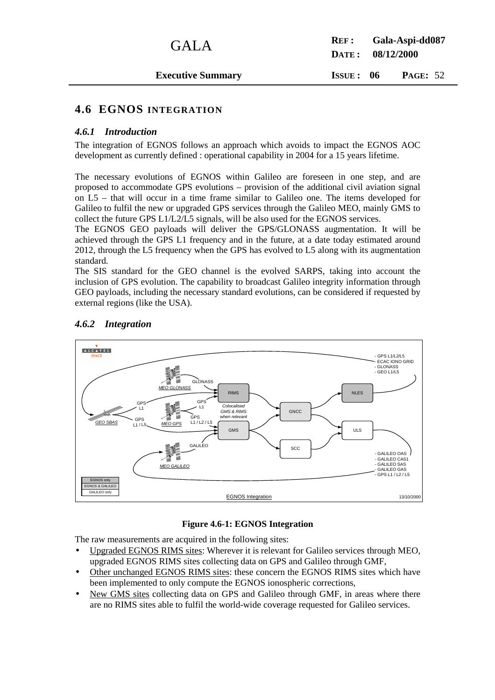| <b>GALA</b> | <b>REF:</b> |
|-------------|-------------|
|             | n           |

### **4.6 EGNOS INTEGRATION**

#### *4.6.1 Introduction*

The integration of EGNOS follows an approach which avoids to impact the EGNOS AOC development as currently defined : operational capability in 2004 for a 15 years lifetime.

The necessary evolutions of EGNOS within Galileo are foreseen in one step, and are proposed to accommodate GPS evolutions – provision of the additional civil aviation signal on L5 – that will occur in a time frame similar to Galileo one. The items developed for Galileo to fulfil the new or upgraded GPS services through the Galileo MEO, mainly GMS to collect the future GPS L1/L2/L5 signals, will be also used for the EGNOS services.

The EGNOS GEO payloads will deliver the GPS/GLONASS augmentation. It will be achieved through the GPS L1 frequency and in the future, at a date today estimated around 2012, through the L5 frequency when the GPS has evolved to L5 along with its augmentation standard.

The SIS standard for the GEO channel is the evolved SARPS, taking into account the inclusion of GPS evolution. The capability to broadcast Galileo integrity information through GEO payloads, including the necessary standard evolutions, can be considered if requested by external regions (like the USA).



#### *4.6.2 Integration*

#### **Figure 4.6-1: EGNOS Integration**

The raw measurements are acquired in the following sites:

- Upgraded EGNOS RIMS sites: Wherever it is relevant for Galileo services through MEO, upgraded EGNOS RIMS sites collecting data on GPS and Galileo through GMF,
- Other unchanged EGNOS RIMS sites: these concern the EGNOS RIMS sites which have been implemented to only compute the EGNOS ionospheric corrections,
- New GMS sites collecting data on GPS and Galileo through GMF, in areas where there are no RIMS sites able to fulfil the world-wide coverage requested for Galileo services.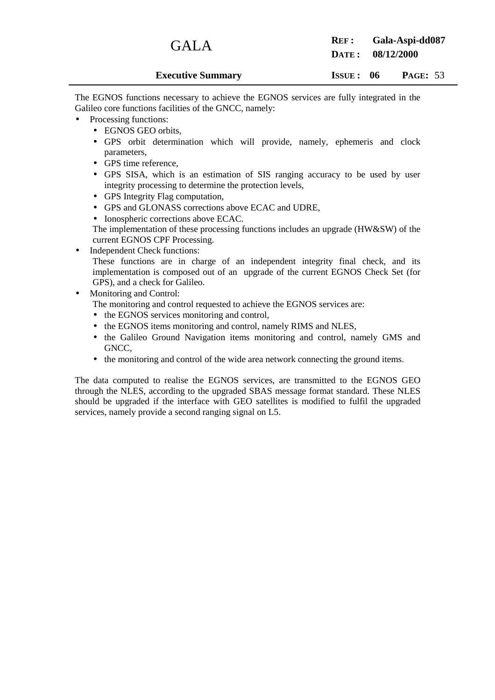The EGNOS functions necessary to achieve the EGNOS services are fully integrated in the Galileo core functions facilities of the GNCC, namely:

- Processing functions:
	- EGNOS GEO orbits,
	- GPS orbit determination which will provide, namely, ephemeris and clock parameters,
	- GPS time reference,
	- GPS SISA, which is an estimation of SIS ranging accuracy to be used by user integrity processing to determine the protection levels,
	- GPS Integrity Flag computation,
	- GPS and GLONASS corrections above ECAC and UDRE.
	- Ionospheric corrections above ECAC.

The implementation of these processing functions includes an upgrade (HW&SW) of the current EGNOS CPF Processing.

• Independent Check functions:

These functions are in charge of an independent integrity final check, and its implementation is composed out of an upgrade of the current EGNOS Check Set (for GPS), and a check for Galileo.

- Monitoring and Control:
	- The monitoring and control requested to achieve the EGNOS services are:
	- the EGNOS services monitoring and control,
	- the EGNOS items monitoring and control, namely RIMS and NLES.
	- the Galileo Ground Navigation items monitoring and control, namely GMS and GNCC.
	- the monitoring and control of the wide area network connecting the ground items.

The data computed to realise the EGNOS services, are transmitted to the EGNOS GEO through the NLES, according to the upgraded SBAS message format standard. These NLES should be upgraded if the interface with GEO satellites is modified to fulfil the upgraded services, namely provide a second ranging signal on L5.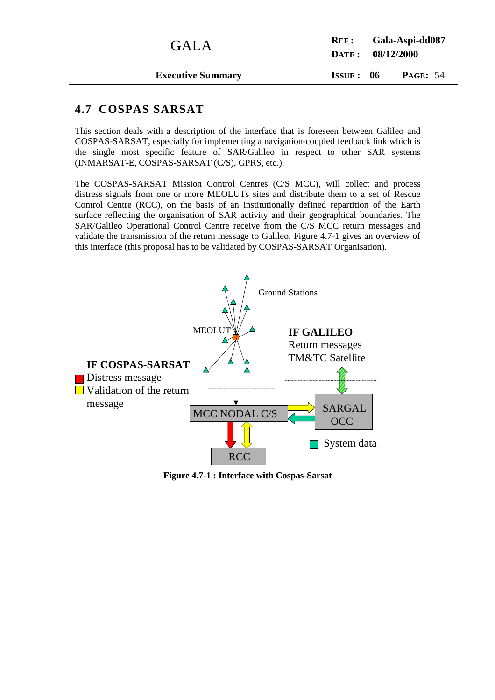| <b>GALA</b>              | REF: Gala-Aspi-dd087<br>$\text{DATE}: \quad 08/12/2000$ |
|--------------------------|---------------------------------------------------------|
| <b>Executive Summary</b> | $\text{ISSUE}: 06$ PAGE: 54                             |

# **4.7 COSPAS SARSAT**

This section deals with a description of the interface that is foreseen between Galileo and COSPAS-SARSAT, especially for implementing a navigation-coupled feedback link which is the single most specific feature of SAR/Galileo in respect to other SAR systems (INMARSAT-E, COSPAS-SARSAT (C/S), GPRS, etc.).

The COSPAS-SARSAT Mission Control Centres (C/S MCC), will collect and process distress signals from one or more MEOLUTs sites and distribute them to a set of Rescue Control Centre (RCC), on the basis of an institutionally defined repartition of the Earth surface reflecting the organisation of SAR activity and their geographical boundaries. The SAR/Galileo Operational Control Centre receive from the C/S MCC return messages and validate the transmission of the return message to Galileo. Figure 4.7-1 gives an overview of this interface (this proposal has to be validated by COSPAS-SARSAT Organisation).



**Figure 4.7-1 : Interface with Cospas-Sarsat**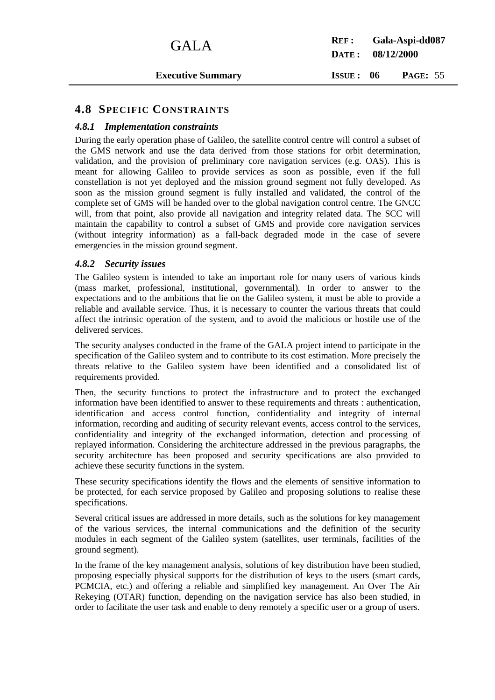#### **4.8 SPECIFIC CONSTRAINTS**

#### *4.8.1 Implementation constraints*

During the early operation phase of Galileo, the satellite control centre will control a subset of the GMS network and use the data derived from those stations for orbit determination, validation, and the provision of preliminary core navigation services (e.g. OAS). This is meant for allowing Galileo to provide services as soon as possible, even if the full constellation is not yet deployed and the mission ground segment not fully developed. As soon as the mission ground segment is fully installed and validated, the control of the complete set of GMS will be handed over to the global navigation control centre. The GNCC will, from that point, also provide all navigation and integrity related data. The SCC will maintain the capability to control a subset of GMS and provide core navigation services (without integrity information) as a fall-back degraded mode in the case of severe emergencies in the mission ground segment.

#### *4.8.2 Security issues*

The Galileo system is intended to take an important role for many users of various kinds (mass market, professional, institutional, governmental). In order to answer to the expectations and to the ambitions that lie on the Galileo system, it must be able to provide a reliable and available service. Thus, it is necessary to counter the various threats that could affect the intrinsic operation of the system, and to avoid the malicious or hostile use of the delivered services.

The security analyses conducted in the frame of the GALA project intend to participate in the specification of the Galileo system and to contribute to its cost estimation. More precisely the threats relative to the Galileo system have been identified and a consolidated list of requirements provided.

Then, the security functions to protect the infrastructure and to protect the exchanged information have been identified to answer to these requirements and threats : authentication, identification and access control function, confidentiality and integrity of internal information, recording and auditing of security relevant events, access control to the services, confidentiality and integrity of the exchanged information, detection and processing of replayed information. Considering the architecture addressed in the previous paragraphs, the security architecture has been proposed and security specifications are also provided to achieve these security functions in the system.

These security specifications identify the flows and the elements of sensitive information to be protected, for each service proposed by Galileo and proposing solutions to realise these specifications.

Several critical issues are addressed in more details, such as the solutions for key management of the various services, the internal communications and the definition of the security modules in each segment of the Galileo system (satellites, user terminals, facilities of the ground segment).

In the frame of the key management analysis, solutions of key distribution have been studied, proposing especially physical supports for the distribution of keys to the users (smart cards, PCMCIA, etc.) and offering a reliable and simplified key management. An Over The Air Rekeying (OTAR) function, depending on the navigation service has also been studied, in order to facilitate the user task and enable to deny remotely a specific user or a group of users.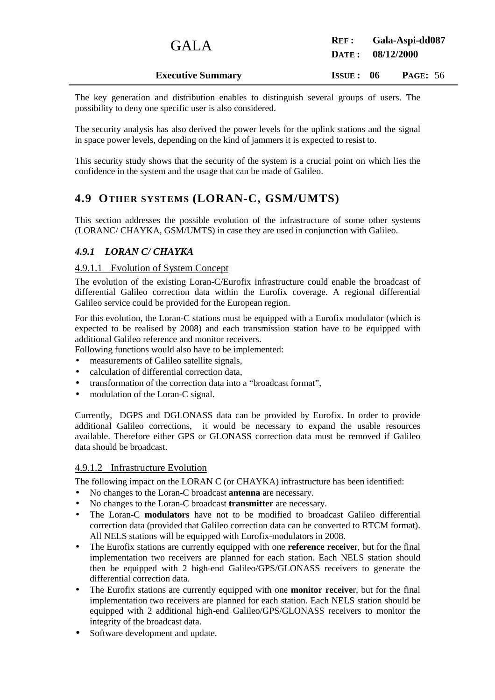| GALA                     | $\text{DATE}: \quad 08/12/2000$ | REF: Gala-Aspi-dd087 |
|--------------------------|---------------------------------|----------------------|
| <b>Executive Summary</b> | $\text{ISSUE}: 06$              | <b>PAGE: 56</b>      |

The key generation and distribution enables to distinguish several groups of users. The possibility to deny one specific user is also considered.

The security analysis has also derived the power levels for the uplink stations and the signal in space power levels, depending on the kind of jammers it is expected to resist to.

This security study shows that the security of the system is a crucial point on which lies the confidence in the system and the usage that can be made of Galileo.

# **4.9 OTHER SYSTEMS (LORAN-C, GSM/UMTS)**

This section addresses the possible evolution of the infrastructure of some other systems (LORANC/ CHAYKA, GSM/UMTS) in case they are used in conjunction with Galileo.

# *4.9.1 LORAN C/ CHAYKA*

#### 4.9.1.1 Evolution of System Concept

The evolution of the existing Loran-C/Eurofix infrastructure could enable the broadcast of differential Galileo correction data within the Eurofix coverage. A regional differential Galileo service could be provided for the European region.

For this evolution, the Loran-C stations must be equipped with a Eurofix modulator (which is expected to be realised by 2008) and each transmission station have to be equipped with additional Galileo reference and monitor receivers.

Following functions would also have to be implemented:

- measurements of Galileo satellite signals,
- calculation of differential correction data,
- transformation of the correction data into a "broadcast format",
- modulation of the Loran-C signal.

Currently, DGPS and DGLONASS data can be provided by Eurofix. In order to provide additional Galileo corrections, it would be necessary to expand the usable resources available. Therefore either GPS or GLONASS correction data must be removed if Galileo data should be broadcast.

#### 4.9.1.2 Infrastructure Evolution

The following impact on the LORAN C (or CHAYKA) infrastructure has been identified:

- No changes to the Loran-C broadcast **antenna** are necessary.
- No changes to the Loran-C broadcast **transmitter** are necessary.
- The Loran-C **modulators** have not to be modified to broadcast Galileo differential correction data (provided that Galileo correction data can be converted to RTCM format). All NELS stations will be equipped with Eurofix-modulators in 2008.
- The Eurofix stations are currently equipped with one **reference receive**r, but for the final implementation two receivers are planned for each station. Each NELS station should then be equipped with 2 high-end Galileo/GPS/GLONASS receivers to generate the differential correction data.
- The Eurofix stations are currently equipped with one **monitor receive**r, but for the final implementation two receivers are planned for each station. Each NELS station should be equipped with 2 additional high-end Galileo/GPS/GLONASS receivers to monitor the integrity of the broadcast data.
- Software development and update.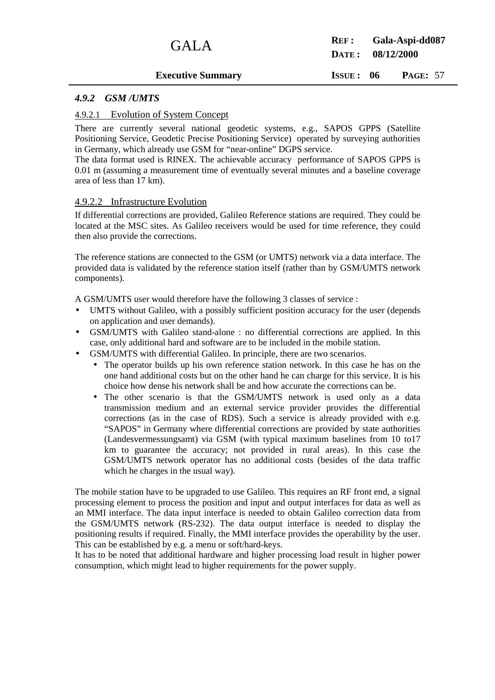#### *4.9.2 GSM /UMTS*

#### 4.9.2.1 Evolution of System Concept

There are currently several national geodetic systems, e.g., SAPOS GPPS (Satellite Positioning Service, Geodetic Precise Positioning Service) operated by surveying authorities in Germany, which already use GSM for "near-online" DGPS service.

The data format used is RINEX. The achievable accuracy performance of SAPOS GPPS is 0.01 m (assuming a measurement time of eventually several minutes and a baseline coverage area of less than 17 km).

#### 4.9.2.2 Infrastructure Evolution

If differential corrections are provided, Galileo Reference stations are required. They could be located at the MSC sites. As Galileo receivers would be used for time reference, they could then also provide the corrections.

The reference stations are connected to the GSM (or UMTS) network via a data interface. The provided data is validated by the reference station itself (rather than by GSM/UMTS network components).

A GSM/UMTS user would therefore have the following 3 classes of service :

- UMTS without Galileo, with a possibly sufficient position accuracy for the user (depends on application and user demands).
- GSM/UMTS with Galileo stand-alone : no differential corrections are applied. In this case, only additional hard and software are to be included in the mobile station.
- GSM/UMTS with differential Galileo. In principle, there are two scenarios.
	- The operator builds up his own reference station network. In this case he has on the one hand additional costs but on the other hand he can charge for this service. It is his choice how dense his network shall be and how accurate the corrections can be.
	- The other scenario is that the GSM/UMTS network is used only as a data transmission medium and an external service provider provides the differential corrections (as in the case of RDS). Such a service is already provided with e.g. "SAPOS" in Germany where differential corrections are provided by state authorities (Landesvermessungsamt) via GSM (with typical maximum baselines from 10 to17 km to guarantee the accuracy; not provided in rural areas). In this case the GSM/UMTS network operator has no additional costs (besides of the data traffic which he charges in the usual way).

The mobile station have to be upgraded to use Galileo. This requires an RF front end, a signal processing element to process the position and input and output interfaces for data as well as an MMI interface. The data input interface is needed to obtain Galileo correction data from the GSM/UMTS network (RS-232). The data output interface is needed to display the positioning results if required. Finally, the MMI interface provides the operability by the user. This can be established by e.g. a menu or soft/hard-keys.

It has to be noted that additional hardware and higher processing load result in higher power consumption, which might lead to higher requirements for the power supply.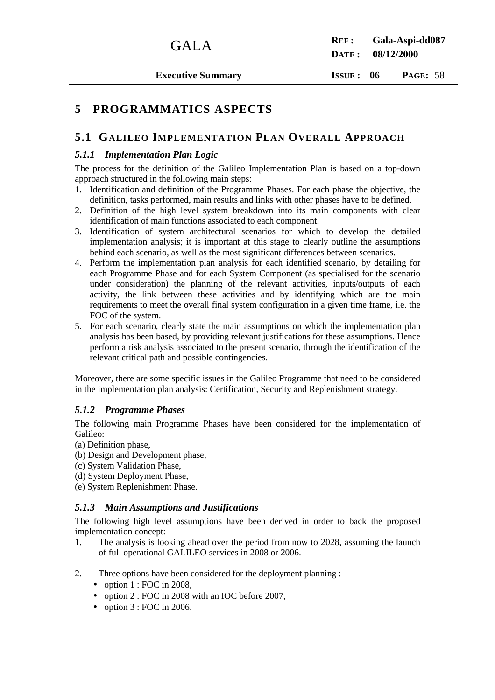GALA<sup>REF:</sup>

# **5 PROGRAMMATICS ASPECTS**

### **5.1 GALILEO IMPLEMENTATION PLAN OVERALL APPROACH**

#### *5.1.1 Implementation Plan Logic*

The process for the definition of the Galileo Implementation Plan is based on a top-down approach structured in the following main steps:

- 1. Identification and definition of the Programme Phases. For each phase the objective, the definition, tasks performed, main results and links with other phases have to be defined.
- 2. Definition of the high level system breakdown into its main components with clear identification of main functions associated to each component.
- 3. Identification of system architectural scenarios for which to develop the detailed implementation analysis; it is important at this stage to clearly outline the assumptions behind each scenario, as well as the most significant differences between scenarios.
- 4. Perform the implementation plan analysis for each identified scenario, by detailing for each Programme Phase and for each System Component (as specialised for the scenario under consideration) the planning of the relevant activities, inputs/outputs of each activity, the link between these activities and by identifying which are the main requirements to meet the overall final system configuration in a given time frame, i.e. the FOC of the system.
- 5. For each scenario, clearly state the main assumptions on which the implementation plan analysis has been based, by providing relevant justifications for these assumptions. Hence perform a risk analysis associated to the present scenario, through the identification of the relevant critical path and possible contingencies.

Moreover, there are some specific issues in the Galileo Programme that need to be considered in the implementation plan analysis: Certification, Security and Replenishment strategy.

#### *5.1.2 Programme Phases*

The following main Programme Phases have been considered for the implementation of Galileo:

- (a) Definition phase,
- (b) Design and Development phase,
- (c) System Validation Phase,
- (d) System Deployment Phase,
- (e) System Replenishment Phase.

#### *5.1.3 Main Assumptions and Justifications*

The following high level assumptions have been derived in order to back the proposed implementation concept:

- 1. The analysis is looking ahead over the period from now to 2028, assuming the launch of full operational GALILEO services in 2008 or 2006.
- 2. Three options have been considered for the deployment planning :
	- option  $1:$  FOC in 2008,
	- option 2 : FOC in 2008 with an IOC before 2007,
	- option  $3:$  FOC in 2006.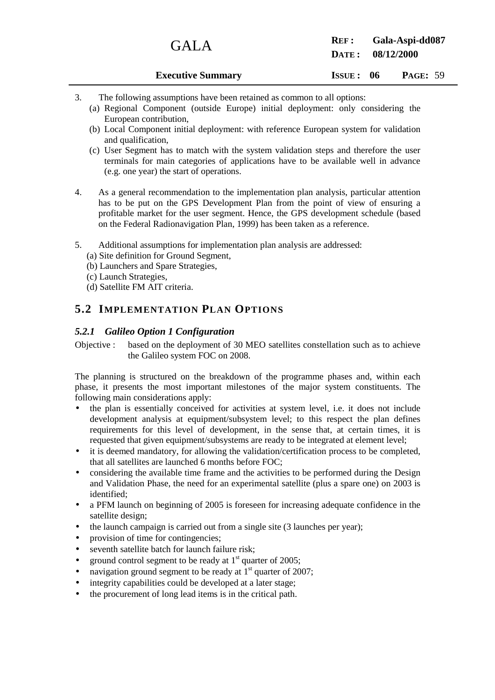| <b>GALA</b>              |                       | REF: Gala-Aspi-dd087<br>DATE: $08/12/2000$ |                 |  |
|--------------------------|-----------------------|--------------------------------------------|-----------------|--|
| <b>Executive Summary</b> | $I_{\text{S}sUE}: 06$ |                                            | <b>PAGE: 59</b> |  |

- 3. The following assumptions have been retained as common to all options:
	- (a) Regional Component (outside Europe) initial deployment: only considering the European contribution,
	- (b) Local Component initial deployment: with reference European system for validation and qualification,
	- (c) User Segment has to match with the system validation steps and therefore the user terminals for main categories of applications have to be available well in advance (e.g. one year) the start of operations.
- 4. As a general recommendation to the implementation plan analysis, particular attention has to be put on the GPS Development Plan from the point of view of ensuring a profitable market for the user segment. Hence, the GPS development schedule (based on the Federal Radionavigation Plan, 1999) has been taken as a reference.
- 5. Additional assumptions for implementation plan analysis are addressed:
	- (a) Site definition for Ground Segment,
	- (b) Launchers and Spare Strategies,
	- (c) Launch Strategies,
	- (d) Satellite FM AIT criteria.

# **5.2 IMPLEMENTATION PLAN OPTIONS**

#### *5.2.1 Galileo Option 1 Configuration*

Objective : based on the deployment of 30 MEO satellites constellation such as to achieve the Galileo system FOC on 2008.

The planning is structured on the breakdown of the programme phases and, within each phase, it presents the most important milestones of the major system constituents. The following main considerations apply:

- the plan is essentially conceived for activities at system level, i.e. it does not include development analysis at equipment/subsystem level; to this respect the plan defines requirements for this level of development, in the sense that, at certain times, it is requested that given equipment/subsystems are ready to be integrated at element level;
- it is deemed mandatory, for allowing the validation/certification process to be completed, that all satellites are launched 6 months before FOC;
- considering the available time frame and the activities to be performed during the Design and Validation Phase, the need for an experimental satellite (plus a spare one) on 2003 is identified;
- a PFM launch on beginning of 2005 is foreseen for increasing adequate confidence in the satellite design;
- the launch campaign is carried out from a single site (3 launches per year);
- provision of time for contingencies;
- seventh satellite batch for launch failure risk;
- ground control segment to be ready at  $1<sup>st</sup>$  quarter of 2005;
- navigation ground segment to be ready at  $1<sup>st</sup>$  quarter of 2007;
- integrity capabilities could be developed at a later stage;
- the procurement of long lead items is in the critical path.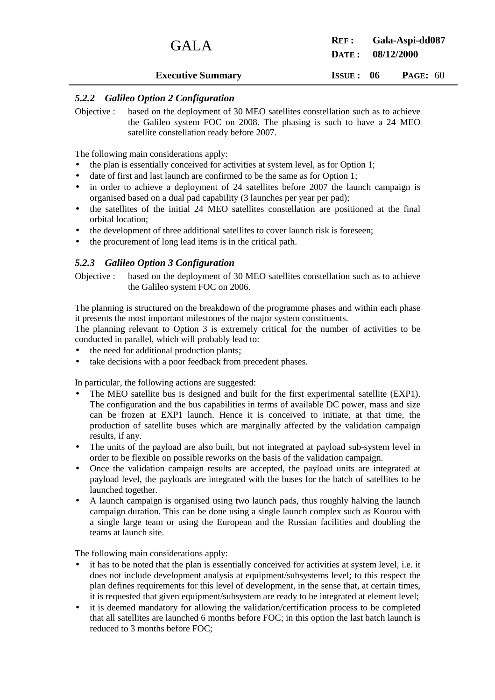| <b>GALA</b> | <b>REF:</b> |
|-------------|-------------|
|             | n           |

**DATE : Gala-Aspi-dd087 08/12/2000**

#### **Executive Summary ISSUE : 06 PAGE:** 60

### *5.2.2 Galileo Option 2 Configuration*

Objective : based on the deployment of 30 MEO satellites constellation such as to achieve the Galileo system FOC on 2008. The phasing is such to have a 24 MEO satellite constellation ready before 2007.

The following main considerations apply:

- the plan is essentially conceived for activities at system level, as for Option 1;
- date of first and last launch are confirmed to be the same as for Option 1;
- in order to achieve a deployment of 24 satellites before 2007 the launch campaign is organised based on a dual pad capability (3 launches per year per pad);
- the satellites of the initial 24 MEO satellites constellation are positioned at the final orbital location;
- the development of three additional satellites to cover launch risk is foreseen;
- the procurement of long lead items is in the critical path.

#### *5.2.3 Galileo Option 3 Configuration*

Objective : based on the deployment of 30 MEO satellites constellation such as to achieve the Galileo system FOC on 2006.

The planning is structured on the breakdown of the programme phases and within each phase it presents the most important milestones of the major system constituents.

The planning relevant to Option 3 is extremely critical for the number of activities to be conducted in parallel, which will probably lead to:

- the need for additional production plants;
- take decisions with a poor feedback from precedent phases.

In particular, the following actions are suggested:

- The MEO satellite bus is designed and built for the first experimental satellite (EXP1). The configuration and the bus capabilities in terms of available DC power, mass and size can be frozen at EXP1 launch. Hence it is conceived to initiate, at that time, the production of satellite buses which are marginally affected by the validation campaign results, if any.
- The units of the payload are also built, but not integrated at payload sub-system level in order to be flexible on possible reworks on the basis of the validation campaign.
- Once the validation campaign results are accepted, the payload units are integrated at payload level, the payloads are integrated with the buses for the batch of satellites to be launched together.
- A launch campaign is organised using two launch pads, thus roughly halving the launch campaign duration. This can be done using a single launch complex such as Kourou with a single large team or using the European and the Russian facilities and doubling the teams at launch site.

The following main considerations apply:

- it has to be noted that the plan is essentially conceived for activities at system level, i.e. it does not include development analysis at equipment/subsystems level; to this respect the plan defines requirements for this level of development, in the sense that, at certain times, it is requested that given equipment/subsystem are ready to be integrated at element level;
- it is deemed mandatory for allowing the validation/certification process to be completed that all satellites are launched 6 months before FOC; in this option the last batch launch is reduced to 3 months before FOC;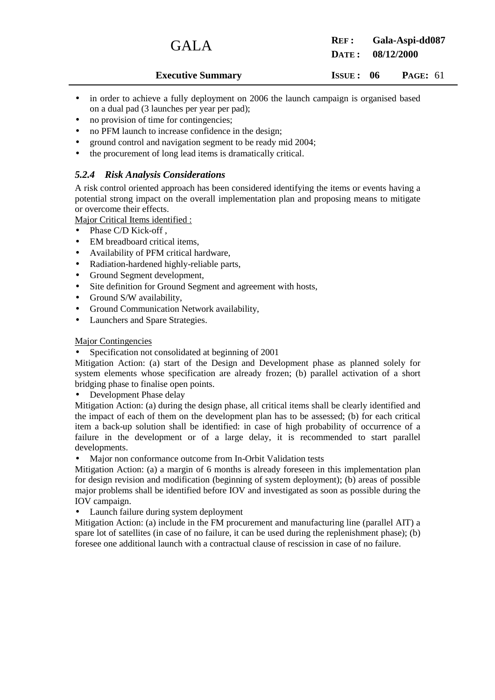

**DATE : Gala-Aspi-dd087 08/12/2000**

**Executive Summary ISSUE : 06 PAGE:** 61

- in order to achieve a fully deployment on 2006 the launch campaign is organised based on a dual pad (3 launches per year per pad);
- no provision of time for contingencies;
- no PFM launch to increase confidence in the design:
- ground control and navigation segment to be ready mid 2004;
- the procurement of long lead items is dramatically critical.

### *5.2.4 Risk Analysis Considerations*

A risk control oriented approach has been considered identifying the items or events having a potential strong impact on the overall implementation plan and proposing means to mitigate or overcome their effects.

Major Critical Items identified :

- Phase C/D Kick-off,
- EM breadboard critical items.
- Availability of PFM critical hardware,
- Radiation-hardened highly-reliable parts,
- Ground Segment development,
- Site definition for Ground Segment and agreement with hosts,
- Ground S/W availability,
- Ground Communication Network availability,
- Launchers and Spare Strategies.

#### Major Contingencies

Specification not consolidated at beginning of 2001

Mitigation Action: (a) start of the Design and Development phase as planned solely for system elements whose specification are already frozen; (b) parallel activation of a short bridging phase to finalise open points.

• Development Phase delay

Mitigation Action: (a) during the design phase, all critical items shall be clearly identified and the impact of each of them on the development plan has to be assessed; (b) for each critical item a back-up solution shall be identified: in case of high probability of occurrence of a failure in the development or of a large delay, it is recommended to start parallel developments.

• Major non conformance outcome from In-Orbit Validation tests

Mitigation Action: (a) a margin of 6 months is already foreseen in this implementation plan for design revision and modification (beginning of system deployment); (b) areas of possible major problems shall be identified before IOV and investigated as soon as possible during the IOV campaign.

• Launch failure during system deployment

Mitigation Action: (a) include in the FM procurement and manufacturing line (parallel AIT) a spare lot of satellites (in case of no failure, it can be used during the replenishment phase); (b) foresee one additional launch with a contractual clause of rescission in case of no failure.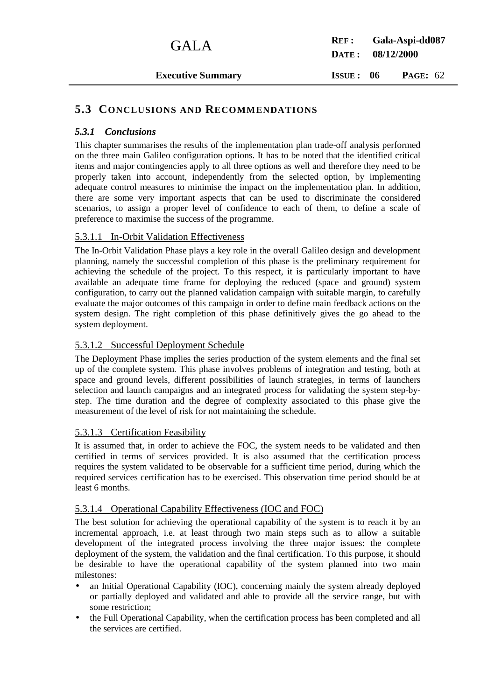# **5.3 CONCLUSIONS AND RECOMMENDATIONS**

#### *5.3.1 Conclusions*

This chapter summarises the results of the implementation plan trade-off analysis performed on the three main Galileo configuration options. It has to be noted that the identified critical items and major contingencies apply to all three options as well and therefore they need to be properly taken into account, independently from the selected option, by implementing adequate control measures to minimise the impact on the implementation plan. In addition, there are some very important aspects that can be used to discriminate the considered scenarios, to assign a proper level of confidence to each of them, to define a scale of preference to maximise the success of the programme.

#### 5.3.1.1 In-Orbit Validation Effectiveness

The In-Orbit Validation Phase plays a key role in the overall Galileo design and development planning, namely the successful completion of this phase is the preliminary requirement for achieving the schedule of the project. To this respect, it is particularly important to have available an adequate time frame for deploying the reduced (space and ground) system configuration, to carry out the planned validation campaign with suitable margin, to carefully evaluate the major outcomes of this campaign in order to define main feedback actions on the system design. The right completion of this phase definitively gives the go ahead to the system deployment.

#### 5.3.1.2 Successful Deployment Schedule

The Deployment Phase implies the series production of the system elements and the final set up of the complete system. This phase involves problems of integration and testing, both at space and ground levels, different possibilities of launch strategies, in terms of launchers selection and launch campaigns and an integrated process for validating the system step-bystep. The time duration and the degree of complexity associated to this phase give the measurement of the level of risk for not maintaining the schedule.

#### 5.3.1.3 Certification Feasibility

It is assumed that, in order to achieve the FOC, the system needs to be validated and then certified in terms of services provided. It is also assumed that the certification process requires the system validated to be observable for a sufficient time period, during which the required services certification has to be exercised. This observation time period should be at least 6 months.

# 5.3.1.4 Operational Capability Effectiveness (IOC and FOC)

The best solution for achieving the operational capability of the system is to reach it by an incremental approach, i.e. at least through two main steps such as to allow a suitable development of the integrated process involving the three major issues: the complete deployment of the system, the validation and the final certification. To this purpose, it should be desirable to have the operational capability of the system planned into two main milestones:

- an Initial Operational Capability (IOC), concerning mainly the system already deployed or partially deployed and validated and able to provide all the service range, but with some restriction;
- the Full Operational Capability, when the certification process has been completed and all the services are certified.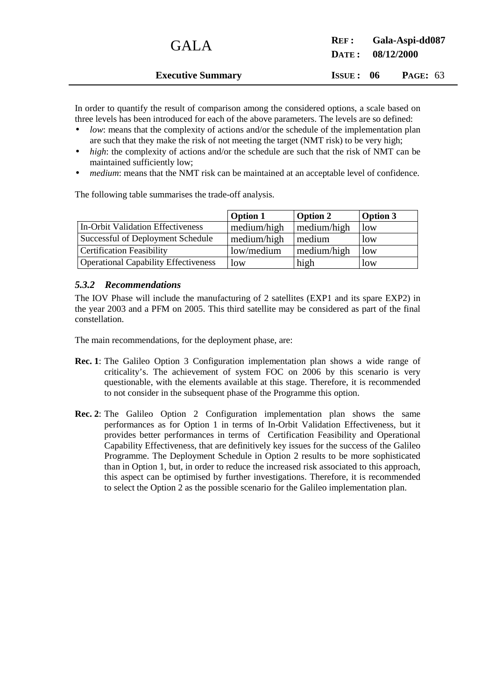| GALA                     |            | REF: Gala-Aspi-dd087<br>$\text{DATE}: \quad 08/12/2000$ |
|--------------------------|------------|---------------------------------------------------------|
| <b>Executive Summary</b> | ISSUE : 06 | <b>PAGE: 63</b>                                         |

In order to quantify the result of comparison among the considered options, a scale based on three levels has been introduced for each of the above parameters. The levels are so defined:

- *low*: means that the complexity of actions and/or the schedule of the implementation plan are such that they make the risk of not meeting the target (NMT risk) to be very high;
- *high*: the complexity of actions and/or the schedule are such that the risk of NMT can be maintained sufficiently low;
- *medium*: means that the NMT risk can be maintained at an acceptable level of confidence.

The following table summarises the trade-off analysis.

|                                             | <b>Option 1</b> | Option 2    | Option 3 |
|---------------------------------------------|-----------------|-------------|----------|
| In-Orbit Validation Effectiveness           | medium/high     | medium/high | low      |
| Successful of Deployment Schedule           | medium/high     | medium      | low      |
| <b>Certification Feasibility</b>            | low/medium      | medium/high | low      |
| <b>Operational Capability Effectiveness</b> | low             | high        | low      |

### *5.3.2 Recommendations*

The IOV Phase will include the manufacturing of 2 satellites (EXP1 and its spare EXP2) in the year 2003 and a PFM on 2005. This third satellite may be considered as part of the final constellation.

The main recommendations, for the deployment phase, are:

- **Rec. 1**: The Galileo Option 3 Configuration implementation plan shows a wide range of criticality's. The achievement of system FOC on 2006 by this scenario is very questionable, with the elements available at this stage. Therefore, it is recommended to not consider in the subsequent phase of the Programme this option.
- **Rec. 2**: The Galileo Option 2 Configuration implementation plan shows the same performances as for Option 1 in terms of In-Orbit Validation Effectiveness, but it provides better performances in terms of Certification Feasibility and Operational Capability Effectiveness, that are definitively key issues for the success of the Galileo Programme. The Deployment Schedule in Option 2 results to be more sophisticated than in Option 1, but, in order to reduce the increased risk associated to this approach, this aspect can be optimised by further investigations. Therefore, it is recommended to select the Option 2 as the possible scenario for the Galileo implementation plan.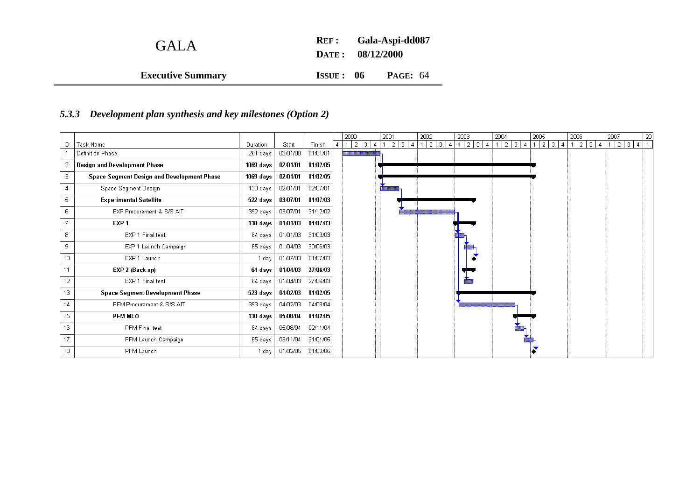| GALA                     | $\text{DATE}: \quad 08/12/2000$ | REF: Gala-Aspi-dd087 |
|--------------------------|---------------------------------|----------------------|
| <b>Executive Summary</b> | ISSUE : 06                      | <b>PAGE: 64</b>      |

#### *5.3.3 Development plan synthesis and key milestones (Option 2)*

|    |                                                   |            |          |          | 2000                   | 2001               | 2002 | 2003                   | 2004                        | 2005     | 2006                                     | 2007   | 20 |
|----|---------------------------------------------------|------------|----------|----------|------------------------|--------------------|------|------------------------|-----------------------------|----------|------------------------------------------|--------|----|
|    | ID   Task Name                                    | Duration   | Start    | Finish   | 2 3 <br>4<br>$\vert$ 4 | $\vert$ 2<br>l з I | 2 3  | 2 <sup>1</sup><br>-3 I | $\overline{2}$<br>-3 I<br>4 | з.<br>-4 | -3  <br>$\overline{2}$<br>$\overline{4}$ | 3<br>4 |    |
|    | Definition Phase                                  | 261 days   | 03/01/00 | 01/01/01 |                        |                    |      |                        |                             |          |                                          |        |    |
| 2  | <b>Design and Development Phase</b>               | 1069 days  | 02/01/01 | 01/02/05 |                        |                    |      |                        |                             |          |                                          |        |    |
| з. | <b>Space Segment Design and Development Phase</b> | 1069 days  | 02/01/01 | 01/02/05 |                        |                    |      |                        |                             |          |                                          |        |    |
|    | Space Segment Design                              | 130 days   | 02/01/01 | 02/07/01 |                        |                    |      |                        |                             |          |                                          |        |    |
| 5. | <b>Experimental Satellite</b>                     | $522$ days | 03/07/01 | 01/07/03 |                        |                    |      |                        |                             |          |                                          |        |    |
| 6  | EXP Procurement & S/S AIT                         | 392 days   | 03/07/01 | 31/12/02 |                        |                    |      |                        |                             |          |                                          |        |    |
|    | EXP <sub>1</sub>                                  | 130 days   | 01/01/03 | 01/07/03 |                        |                    |      |                        |                             |          |                                          |        |    |
| 8  | EXP 1 Final test                                  | 64 days    | 01/01/03 | 31/03/03 |                        |                    |      |                        |                             |          |                                          |        |    |
| 9  | EXP 1 Launch Campaign                             | 65 days    | 01/04/03 | 30/06/03 |                        |                    |      |                        |                             |          |                                          |        |    |
| 10 | EXP 1 Launch                                      | 1 day      | 01/07/03 | 01/07/03 |                        |                    |      |                        |                             |          |                                          |        |    |
| 11 | EXP 2 (Back-up)                                   | 64 days    | 01/04/03 | 27/06/03 |                        |                    |      |                        |                             |          |                                          |        |    |
| 12 | EXP 1 Final test                                  | 64 days    | 01/04/03 | 27/06/03 |                        |                    |      |                        |                             |          |                                          |        |    |
| 13 | <b>Space Segment Development Phase</b>            | 523 days   | 04/02/03 | 01/02/05 |                        |                    |      |                        |                             |          |                                          |        |    |
| 14 | PFM Procurement & S/S AIT                         | 393 days   | 04/02/03 | 04/08/04 |                        |                    |      |                        |                             |          |                                          |        |    |
| 15 | PFM MEO                                           | 130 days   | 05/08/04 | 01/02/05 |                        |                    |      |                        |                             |          |                                          |        |    |
| 16 | PFM Final test                                    | 64 days    | 05/08/04 | 02/11/04 |                        |                    |      |                        |                             |          |                                          |        |    |
| 17 | PFM Launch Campaign                               | 65 days    | 03/11/04 | 31/01/05 |                        |                    |      |                        |                             |          |                                          |        |    |
| 18 | PFM Launch                                        | 1 day      | 01/02/05 | 01/02/05 |                        |                    |      |                        |                             |          |                                          |        |    |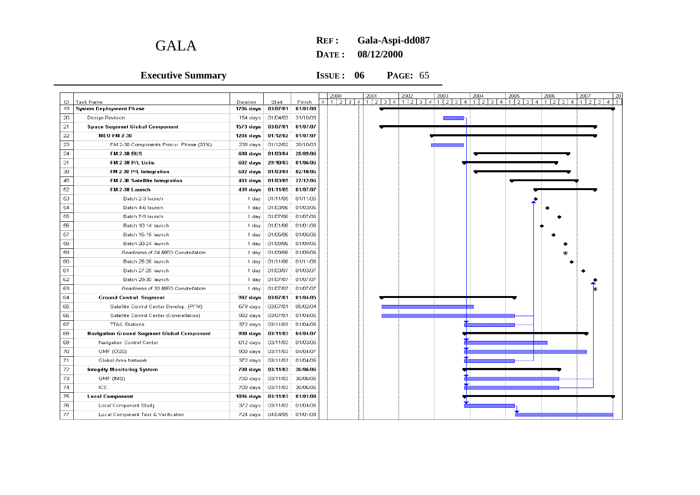GALA **REF**:

# **Gala-Aspi-dd087**

**DATE : 08/12/2000**

**Executive Summary ISSUE : 06 PAGE:** 65

| ID | Task Name                                         | Duration    | Start    | Finish   |
|----|---------------------------------------------------|-------------|----------|----------|
| 19 | <b>System Deployment Phase</b>                    | 1706 days   | 03/07/01 | 01/01/08 |
| 20 | Design Revision                                   | 154 days    | 01/04/03 | 31/10/03 |
| 21 | <b>Space Segment Global Component</b>             | $1573$ days | 03/07/01 | 01/07/07 |
| 22 | <b>MEO FM 2-30</b>                                | 1204 days   | 01/12/02 | 01/07/07 |
| 23 | FM 2-30 Components Procur. Phase (20%)            | 238 days    | 01/12/02 | 28/10/03 |
| 24 | <b>FM 2-30 BUS</b>                                | 680 days    | 01/03/04 | 28/09/06 |
| 31 | FM 2-30 P/L Units                                 | 682 days    | 29/10/03 | 01/06/06 |
| 38 | FM 2-30 P/L Integration                           | 682 days    | 01/03/04 | 02/10/06 |
| 45 | FM 2-30 Satellite Integration                     | 481 days    | 01/03/05 | 27/12/06 |
| 52 | FM 2-30 Launch                                    | 439 days    | 01/11/05 | 01/07/07 |
| 53 | Batch 2-3 launch                                  | 1 day       | 01/11/05 | 01/11/05 |
| 54 | Batch 4-6 launch                                  | 1 day       | 01/03/06 | 01/03/06 |
| 55 | Batch 7-9 launch                                  | 1 day       | 01/07/06 | 01/07/06 |
| 56 | Batch 10-14 launch                                | 1 day       | 01/01/06 | 01/01/06 |
| 57 | Batch 15-19 launch                                | 1 day       | 01/05/06 | 01/05/06 |
| 58 | Batch 20-24 launch                                | 1 day       | 01/09/06 | 01/09/06 |
| 59 | Readiness of 24 MEO Constellation                 | 1 day       | 01/09/06 | 01/09/06 |
| 60 | Batch 25-26 launch                                | 1 day       | 01/11/06 | 01/11/06 |
| 61 | Batch 27-28 launch                                | 1 day       | 01/03/07 | 01/03/07 |
| 62 | Batch 29-30 launch                                | 1 day       | 01/07/07 | 01/07/07 |
| 63 | Readiness of 30 MEO Constellation                 | 1 day       | 01/07/07 | 01/07/07 |
| 64 | <b>Ground Control Segment</b>                     | 982 days    | 03/07/01 | 01/04/05 |
| 65 | Satellite Control Center Develop. (PFM)           | 679 days    | 03/07/01 | 05/02/04 |
| 66 | Satellite Control Center (Constellation)          | 982 days    | 03/07/01 | 01/04/05 |
| 67 | <b>TT&amp;C</b> Stations                          | 372 days    | 03/11/03 | 01/04/05 |
| 68 | <b>Navigation Ground Segment Global Component</b> | 900 days    | 03/11/03 | 04/04/07 |
| 69 | Navigation Control Center                         | 612 days    | 03/11/03 | 01/03/06 |
| 70 | GMF (OSS)                                         | 900 days    | 03/11/03 | 04/04/07 |
| 71 |                                                   |             |          |          |
|    | Global Area Network                               | 372 days    | 03/11/03 | 01/04/05 |
| 72 | <b>Integrity Monitoring System</b>                | 700 days    | 03/11/03 | 30/06/06 |
| 73 | GMF (IMS)                                         | 700 days    | 03/11/03 | 30/06/06 |
| 74 | ICC.                                              | 700 days    | 03/11/03 | 30/06/06 |
| 75 | <b>Local Component</b>                            | 1096 days   | 03/11/03 | 01/01/08 |
| 76 | Local Component Study                             | 372 days    | 03/11/03 | 01/04/05 |
| 77 | Local Component Test & Verification               | 724 days    | 04/04/05 | 01/01/08 |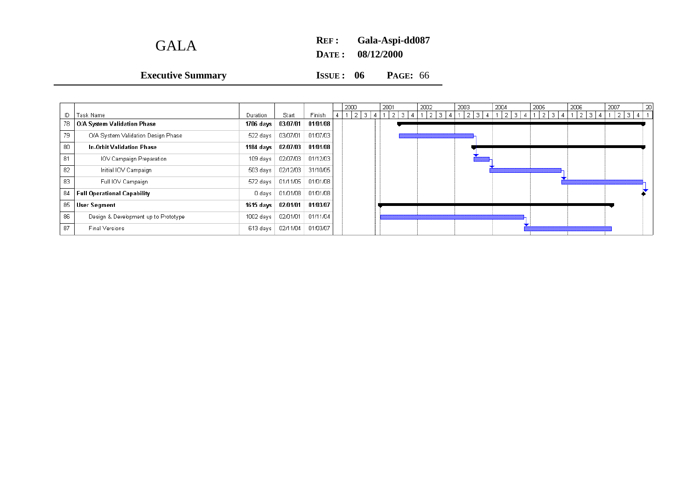**REF : DATE : 08/12/2000 Gala-Aspi-dd087**

**Executive Summary ISSUE : 06 PAGE:** 66

|    |                                      |             |                   |          | 2000 | 2001 |  | 2002 | 2003      | 2004 |     |    | 2005 |       | 2006 | 2007      |       | 20 <sub>l</sub> |
|----|--------------------------------------|-------------|-------------------|----------|------|------|--|------|-----------|------|-----|----|------|-------|------|-----------|-------|-----------------|
|    | ID   Task Name                       | Duration    | Start             | Finish   |      |      |  | 2 3  | 1   2   3 |      | 2 3 | -4 |      | 2 3 4 | 2 3  | $\vert$ 2 | l 3 l |                 |
| 78 | O/A System Validation Phase          | 1706 days   | 03/07/01          | 01/01/08 |      |      |  |      |           |      |     |    |      |       |      |           |       |                 |
| 79 | O/A System Validation Design Phase   | $522$ days  | 03/07/01          | 01/07/03 |      |      |  |      |           |      |     |    |      |       |      |           |       |                 |
| 80 | <b>In-Orbit Validation Phase</b>     | 1184 days   | 02/07/03          | 01/01/08 |      |      |  |      |           |      |     |    |      |       |      |           |       |                 |
| 81 | IOV Campaign Preparation             | $109$ days  | 02/07/03          | 01/12/03 |      |      |  |      |           |      |     |    |      |       |      |           |       |                 |
| 82 | Initial IOV Campaign                 | $503$ days  | 02/12/03          | 31/10/05 |      |      |  |      |           |      |     |    |      |       |      |           |       |                 |
| 83 | Full IOV Campaign                    | $572$ days  | 01/11/05          | 01/01/08 |      |      |  |      |           |      |     |    |      |       |      |           |       |                 |
| 84 | <b>Full Operational Capability</b>   |             | O days   01/01/08 | 01/01/08 |      |      |  |      |           |      |     |    |      |       |      |           |       |                 |
| 85 | <b>User Segment</b>                  | 1615 days   | 02/01/01          | 01/03/07 |      |      |  |      |           |      |     |    |      |       |      |           |       |                 |
| 86 | Design & Development up to Prototype | $1002$ days | 02/01/01          | 01/11/04 |      |      |  |      |           |      |     |    |      |       |      |           |       |                 |
| 87 | Final Versions                       | $613$ days  | 02/11/04          | 01/03/07 |      |      |  |      |           |      |     |    |      |       |      |           |       |                 |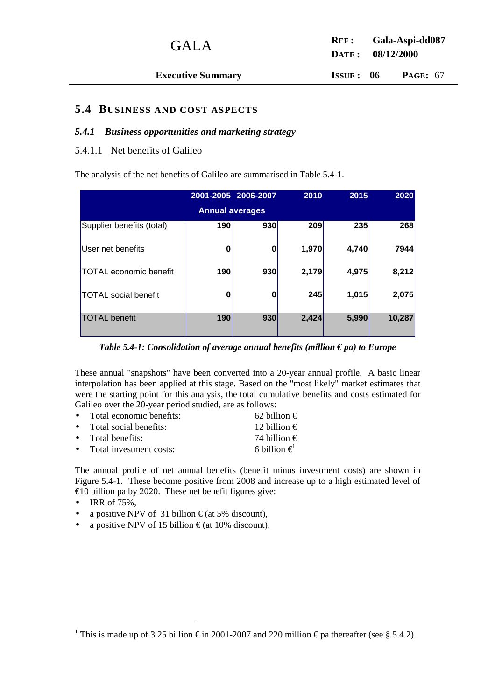# **5.4 BUSINESS AND COST ASPECTS**

#### *5.4.1 Business opportunities and marketing strategy*

#### 5.4.1.1 Net benefits of Galileo

The analysis of the net benefits of Galileo are summarised in Table 5.4-1.

|                               |     | 2001-2005 2006-2007 | 2010  | 2015  | 2020   |  |  |  |  |  |
|-------------------------------|-----|---------------------|-------|-------|--------|--|--|--|--|--|
| <b>Annual averages</b>        |     |                     |       |       |        |  |  |  |  |  |
| Supplier benefits (total)     | 190 | 930                 | 209   | 235   | 268    |  |  |  |  |  |
| User net benefits             | 0   | 0                   | 1,970 | 4,740 | 7944   |  |  |  |  |  |
| <b>TOTAL</b> economic benefit | 190 | 930                 | 2,179 | 4,975 | 8,212  |  |  |  |  |  |
| <b>TOTAL</b> social benefit   | 0   | 0                   | 245   | 1,015 | 2,075  |  |  |  |  |  |
| <b>TOTAL</b> benefit          | 190 | 930                 | 2,424 | 5,990 | 10,287 |  |  |  |  |  |

*Table 5.4-1: Consolidation of average annual benefits (million € pa) to Europe*

These annual "snapshots" have been converted into a 20-year annual profile. A basic linear interpolation has been applied at this stage. Based on the "most likely" market estimates that were the starting point for this analysis, the total cumulative benefits and costs estimated for Galileo over the 20-year period studied, are as follows:

| $\bullet$ Total economic benefits: | 62 billion €         |
|------------------------------------|----------------------|
| $\bullet$ Total social benefits:   | 12 billion €         |
| $\bullet$ Total benefits:          | 74 billion $\in$     |
| • Total investment costs:          | 6 billion $\epsilon$ |

The annual profile of net annual benefits (benefit minus investment costs) are shown in Figure 5.4-1. These become positive from 2008 and increase up to a high estimated level of  $\overline{610}$  billion pa by 2020. These net benefit figures give:

• IRR of 75%,

l

- a positive NPV of 31 billion  $\epsilon$  (at 5% discount),
- a positive NPV of 15 billion  $\epsilon$  (at 10% discount).

<sup>&</sup>lt;sup>1</sup> This is made up of 3.25 billion €in 2001-2007 and 220 million €pa thereafter (see § 5.4.2).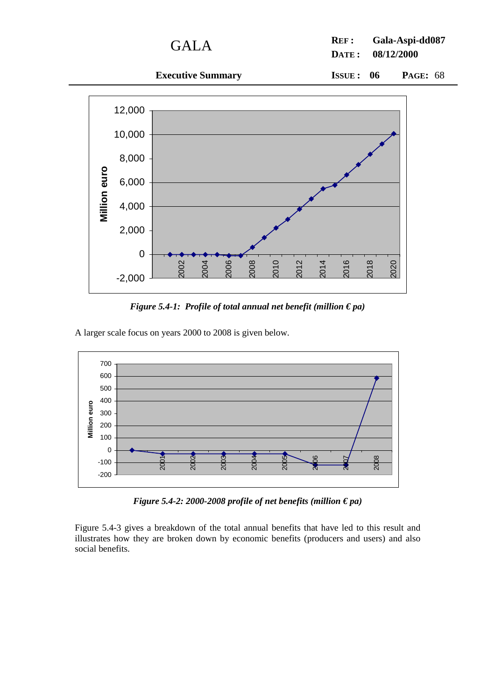

**Executive Summary ISSUE : 06 PAGE:** 68



*Figure 5.4-1: Profile of total annual net benefit (million € pa)*

A larger scale focus on years 2000 to 2008 is given below.



*Figure 5.4-2: 2000-2008 profile of net benefits (million € pa)*

Figure 5.4-3 gives a breakdown of the total annual benefits that have led to this result and illustrates how they are broken down by economic benefits (producers and users) and also social benefits.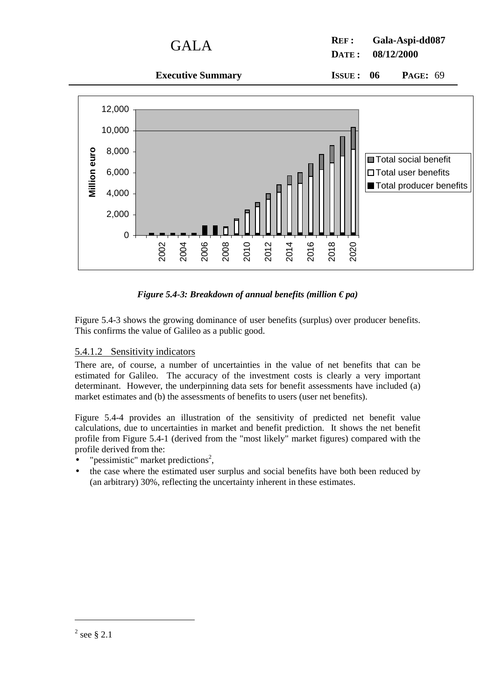

## *Figure 5.4-3: Breakdown of annual benefits (million € pa)*

Figure 5.4-3 shows the growing dominance of user benefits (surplus) over producer benefits. This confirms the value of Galileo as a public good.

## 5.4.1.2 Sensitivity indicators

There are, of course, a number of uncertainties in the value of net benefits that can be estimated for Galileo. The accuracy of the investment costs is clearly a very important determinant. However, the underpinning data sets for benefit assessments have included (a) market estimates and (b) the assessments of benefits to users (user net benefits).

Figure 5.4-4 provides an illustration of the sensitivity of predicted net benefit value calculations, due to uncertainties in market and benefit prediction. It shows the net benefit profile from Figure 5.4-1 (derived from the "most likely" market figures) compared with the profile derived from the:

- "pessimistic" market predictions<sup>2</sup>,
- the case where the estimated user surplus and social benefits have both been reduced by (an arbitrary) 30%, reflecting the uncertainty inherent in these estimates.

l

 $2$  see § 2.1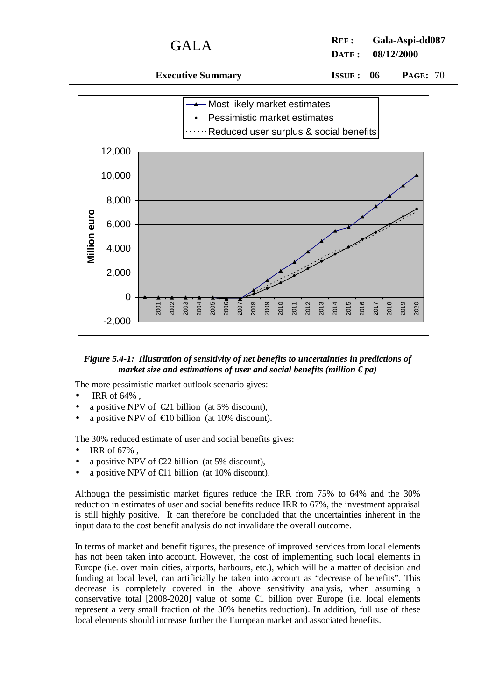

**Executive Summary ISSUE : 06 PAGE:** 70



*Figure 5.4-1: Illustration of sensitivity of net benefits to uncertainties in predictions of market size and estimations of user and social benefits (million € pa)*

The more pessimistic market outlook scenario gives:

- IRR of 64% ,
- a positive NPV of  $\bigoplus$  billion (at 5% discount),
- a positive NPV of  $\in$ 10 billion (at 10% discount).

The 30% reduced estimate of user and social benefits gives:

- $\bullet$  IRR of 67%.
- a positive NPV of  $\epsilon$ 22 billion (at 5% discount),
- a positive NPV of  $\in$ 1 billion (at 10% discount).

Although the pessimistic market figures reduce the IRR from 75% to 64% and the 30% reduction in estimates of user and social benefits reduce IRR to 67%, the investment appraisal is still highly positive. It can therefore be concluded that the uncertainties inherent in the input data to the cost benefit analysis do not invalidate the overall outcome.

In terms of market and benefit figures, the presence of improved services from local elements has not been taken into account. However, the cost of implementing such local elements in Europe (i.e. over main cities, airports, harbours, etc.), which will be a matter of decision and funding at local level, can artificially be taken into account as "decrease of benefits". This decrease is completely covered in the above sensitivity analysis, when assuming a conservative total  $[2008-2020]$  value of some  $\bigoplus$  billion over Europe (i.e. local elements represent a very small fraction of the 30% benefits reduction). In addition, full use of these local elements should increase further the European market and associated benefits.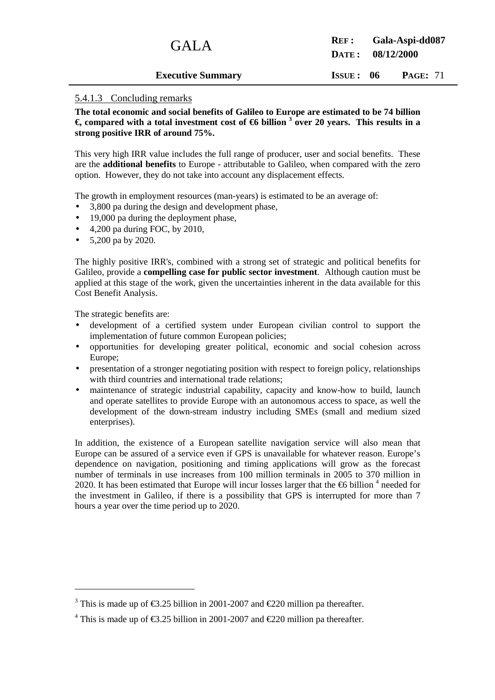| <b>GALA</b>              |            | REF: Gala-Aspi-dd087<br>$\text{DATE}: \quad 08/12/2000$ |
|--------------------------|------------|---------------------------------------------------------|
| <b>Executive Summary</b> | ISSUE : 06 | <b>PAGE: 71</b>                                         |

### 5.4.1.3 Concluding remarks

**The total economic and social benefits of Galileo to Europe are estimated to be 74 billion**  $\epsilon$  compared with a total investment cost of  $\epsilon$  billion <sup>3</sup> over 20 years. This results in a **strong positive IRR of around 75%.**

This very high IRR value includes the full range of producer, user and social benefits. These are the **additional benefits** to Europe - attributable to Galileo, when compared with the zero option. However, they do not take into account any displacement effects.

The growth in employment resources (man-years) is estimated to be an average of:

- 3,800 pa during the design and development phase,
- 19,000 pa during the deployment phase,
- $\bullet$  4,200 pa during FOC, by 2010,
- 5,200 pa by 2020.

The highly positive IRR's, combined with a strong set of strategic and political benefits for Galileo, provide a **compelling case for public sector investment**. Although caution must be applied at this stage of the work, given the uncertainties inherent in the data available for this Cost Benefit Analysis.

The strategic benefits are:

l

- development of a certified system under European civilian control to support the implementation of future common European policies;
- opportunities for developing greater political, economic and social cohesion across Europe;
- presentation of a stronger negotiating position with respect to foreign policy, relationships with third countries and international trade relations:
- maintenance of strategic industrial capability, capacity and know-how to build, launch and operate satellites to provide Europe with an autonomous access to space, as well the development of the down-stream industry including SMEs (small and medium sized enterprises).

In addition, the existence of a European satellite navigation service will also mean that Europe can be assured of a service even if GPS is unavailable for whatever reason. Europe's dependence on navigation, positioning and timing applications will grow as the forecast number of terminals in use increases from 100 million terminals in 2005 to 370 million in 2020. It has been estimated that Europe will incur losses larger that the  $66$  billion <sup>4</sup> needed for the investment in Galileo, if there is a possibility that GPS is interrupted for more than 7 hours a year over the time period up to 2020.

<sup>&</sup>lt;sup>3</sup> This is made up of  $\text{\textsterling}3.25$  billion in 2001-2007 and  $\text{\textsterling}20$  million pa thereafter.

<sup>&</sup>lt;sup>4</sup> This is made up of  $\text{\textsterling}3.25$  billion in 2001-2007 and  $\text{\textsterling}20$  million pa thereafter.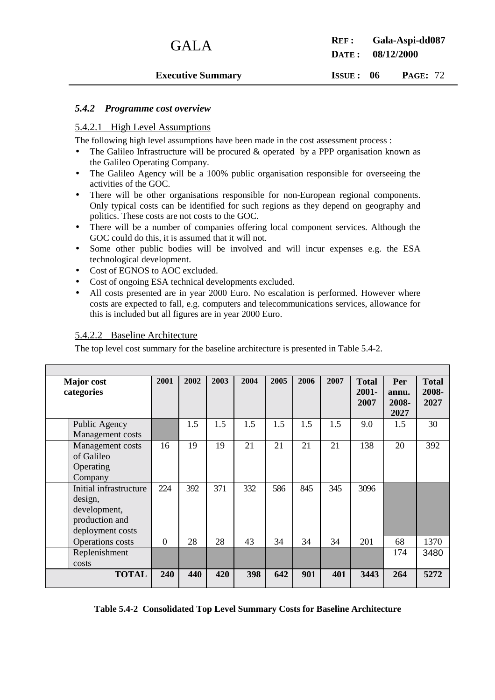#### *5.4.2 Programme cost overview*

#### 5.4.2.1 High Level Assumptions

The following high level assumptions have been made in the cost assessment process :

- The Galileo Infrastructure will be procured & operated by a PPP organisation known as the Galileo Operating Company.
- The Galileo Agency will be a 100% public organisation responsible for overseeing the activities of the GOC.
- There will be other organisations responsible for non-European regional components. Only typical costs can be identified for such regions as they depend on geography and politics. These costs are not costs to the GOC.
- There will be a number of companies offering local component services. Although the GOC could do this, it is assumed that it will not.
- Some other public bodies will be involved and will incur expenses e.g. the ESA technological development.
- Cost of EGNOS to AOC excluded.
- Cost of ongoing ESA technical developments excluded.
- All costs presented are in year 2000 Euro. No escalation is performed. However where costs are expected to fall, e.g. computers and telecommunications services, allowance for this is included but all figures are in year 2000 Euro.

#### 5.4.2.2 Baseline Architecture

The top level cost summary for the baseline architecture is presented in Table 5.4-2.

| <b>Major</b> cost<br>categories                                                         | 2001     | 2002 | 2003 | 2004 | 2005 | 2006 | 2007 | <b>Total</b><br>$2001 -$<br>2007 | Per<br>annu.<br>2008-<br>2027 | <b>Total</b><br>2008-<br>2027 |
|-----------------------------------------------------------------------------------------|----------|------|------|------|------|------|------|----------------------------------|-------------------------------|-------------------------------|
| Public Agency<br>Management costs                                                       |          | 1.5  | 1.5  | 1.5  | 1.5  | 1.5  | 1.5  | 9.0                              | 1.5                           | 30                            |
| Management costs<br>of Galileo<br>Operating<br>Company                                  | 16       | 19   | 19   | 21   | 21   | 21   | 21   | 138                              | 20                            | 392                           |
| Initial infrastructure<br>design,<br>development,<br>production and<br>deployment costs | 224      | 392  | 371  | 332  | 586  | 845  | 345  | 3096                             |                               |                               |
| Operations costs                                                                        | $\theta$ | 28   | 28   | 43   | 34   | 34   | 34   | 201                              | 68                            | 1370                          |
| Replenishment<br>costs                                                                  |          |      |      |      |      |      |      |                                  | 174                           | 3480                          |
| <b>TOTAL</b>                                                                            | 240      | 440  | 420  | 398  | 642  | 901  | 401  | 3443                             | 264                           | 5272                          |

**Table 5.4-2 Consolidated Top Level Summary Costs for Baseline Architecture**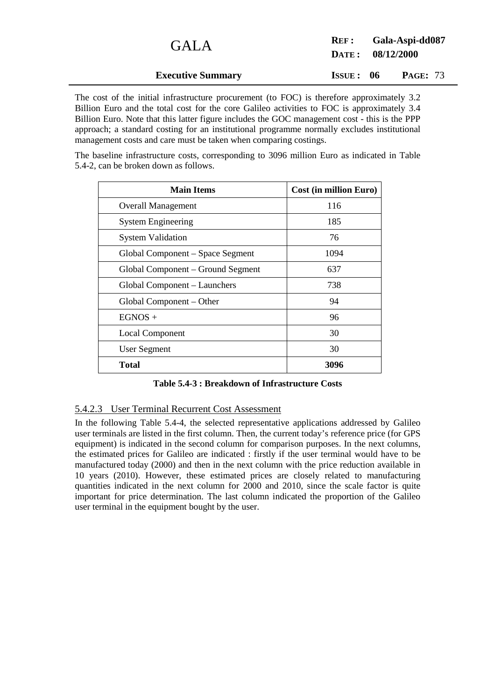| GALA                     |                       | REF: Gala-Aspi-dd087<br>DATE: $08/12/2000$ |
|--------------------------|-----------------------|--------------------------------------------|
| <b>Executive Summary</b> | $I_{\text{S}sUE}: 06$ | <b>PAGE: 73</b>                            |

The cost of the initial infrastructure procurement (to FOC) is therefore approximately 3.2 Billion Euro and the total cost for the core Galileo activities to FOC is approximately 3.4 Billion Euro. Note that this latter figure includes the GOC management cost - this is the PPP approach; a standard costing for an institutional programme normally excludes institutional management costs and care must be taken when comparing costings.

The baseline infrastructure costs, corresponding to 3096 million Euro as indicated in Table 5.4-2, can be broken down as follows.

| <b>Main Items</b>                 | <b>Cost (in million Euro)</b> |
|-----------------------------------|-------------------------------|
| <b>Overall Management</b>         | 116                           |
| <b>System Engineering</b>         | 185                           |
| <b>System Validation</b>          | 76                            |
| Global Component – Space Segment  | 1094                          |
| Global Component – Ground Segment | 637                           |
| Global Component – Launchers      | 738                           |
| Global Component – Other          | 94                            |
| $EGNOS +$                         | 96                            |
| Local Component                   | 30                            |
| User Segment                      | 30                            |
| Total                             | 3096                          |

**Table 5.4-3 : Breakdown of Infrastructure Costs**

## 5.4.2.3 User Terminal Recurrent Cost Assessment

In the following Table 5.4-4, the selected representative applications addressed by Galileo user terminals are listed in the first column. Then, the current today's reference price (for GPS equipment) is indicated in the second column for comparison purposes. In the next columns, the estimated prices for Galileo are indicated : firstly if the user terminal would have to be manufactured today (2000) and then in the next column with the price reduction available in 10 years (2010). However, these estimated prices are closely related to manufacturing quantities indicated in the next column for 2000 and 2010, since the scale factor is quite important for price determination. The last column indicated the proportion of the Galileo user terminal in the equipment bought by the user.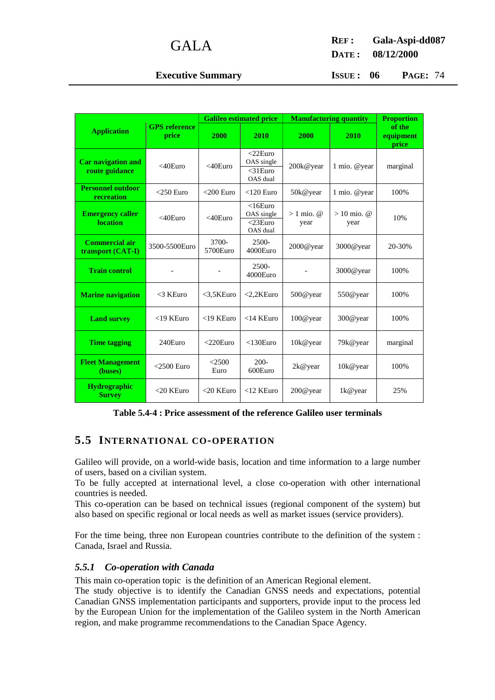GAL<sub>A</sub>

| REF:  | Gala-Aspi-dd087 |
|-------|-----------------|
| DATE: | 08/12/2000      |

## **Executive Summary ISSUE : 06 PAGE:** 74

|                                             |                               | <b>Galileo estimated price</b> |                                                    | <b>Manufacturing quantity</b> | <b>Proportion</b>           |                              |
|---------------------------------------------|-------------------------------|--------------------------------|----------------------------------------------------|-------------------------------|-----------------------------|------------------------------|
| <b>Application</b>                          | <b>GPS</b> reference<br>price | 2000                           | 2010                                               | 2000                          | 2010                        | of the<br>equipment<br>price |
| <b>Car navigation and</b><br>route guidance | $<$ 40Euro                    | $<$ 40Euro                     | $<$ 22Euro<br>OAS single<br>$<$ 31Euro<br>OAS dual | 200k@year                     | 1 mio. @year                | marginal                     |
| <b>Personnel outdoor</b><br>recreation      | $<$ 250 Euro                  | $<$ 200 Euro                   | $<$ 120 Euro                                       | 50k@year                      | 1 mio. @year                | 100%                         |
| <b>Emergency caller</b><br><b>location</b>  | $<$ 40Euro                    | $<$ 40Euro                     | $<$ 16Euro<br>OAS single<br>$<$ 23Euro<br>OAS dual | $>1$ mio. $\omega$<br>year    | $>10$ mio. $\omega$<br>year | 10%                          |
| <b>Commercial air</b><br>transport (CAT-I)  | 3500-5500Euro                 | 3700-<br>5700Euro              | $2500 -$<br>4000Euro                               | 2000@year                     | 3000@year                   | 20-30%                       |
| <b>Train control</b>                        |                               |                                | $2500 -$<br>4000Euro                               |                               | 3000@year                   | 100%                         |
| <b>Marine navigation</b>                    | $<$ 3 KEuro                   | $<$ 3.5KEuro                   | $<$ 2,2KEuro                                       | 500@year                      | 550@year                    | 100%                         |
| <b>Land survey</b>                          | $<$ 19 KEuro                  | $<$ 19 KEuro                   | $<$ 14 KEuro                                       | $100@$ year                   | 300@year                    | 100%                         |
| <b>Time tagging</b>                         | 240Euro                       | $<$ 220Euro                    | $<$ 130 $E$ uro                                    | 10k@year                      | 79k@year                    | marginal                     |
| <b>Fleet Management</b><br>(buses)          | $<$ 2500 Euro                 | < 2500<br>Euro                 | $200 -$<br>600Euro                                 | $2k@$ year                    | 10k@year                    | 100%                         |
| <b>Hydrographic</b><br><b>Survey</b>        | $<$ 20 KEuro                  | $<$ 20 KEuro                   | $<$ 12 KEuro                                       | 200@year                      | 1k@year                     | 25%                          |

**Table 5.4-4 : Price assessment of the reference Galileo user terminals**

## **5.5 INTERNATIONAL CO-OPERATION**

Galileo will provide, on a world-wide basis, location and time information to a large number of users, based on a civilian system.

To be fully accepted at international level, a close co-operation with other international countries is needed.

This co-operation can be based on technical issues (regional component of the system) but also based on specific regional or local needs as well as market issues (service providers).

For the time being, three non European countries contribute to the definition of the system : Canada, Israel and Russia.

## *5.5.1 Co-operation with Canada*

This main co-operation topic is the definition of an American Regional element.

The study objective is to identify the Canadian GNSS needs and expectations, potential Canadian GNSS implementation participants and supporters, provide input to the process led by the European Union for the implementation of the Galileo system in the North American region, and make programme recommendations to the Canadian Space Agency.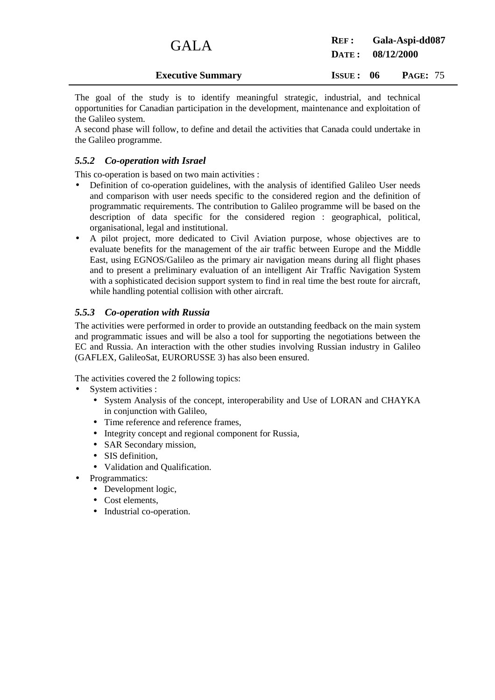| <b>GALA</b>              | $\text{DATE}: \quad 08/12/2000$ | REF: Gala-Aspi-dd087 |
|--------------------------|---------------------------------|----------------------|
| <b>Executive Summary</b> | ISSUE: 06                       | <b>PAGE: 75</b>      |

The goal of the study is to identify meaningful strategic, industrial, and technical opportunities for Canadian participation in the development, maintenance and exploitation of the Galileo system.

A second phase will follow, to define and detail the activities that Canada could undertake in the Galileo programme.

## *5.5.2 Co-operation with Israel*

This co-operation is based on two main activities :

- Definition of co-operation guidelines, with the analysis of identified Galileo User needs and comparison with user needs specific to the considered region and the definition of programmatic requirements. The contribution to Galileo programme will be based on the description of data specific for the considered region : geographical, political, organisational, legal and institutional.
- A pilot project, more dedicated to Civil Aviation purpose, whose objectives are to evaluate benefits for the management of the air traffic between Europe and the Middle East, using EGNOS/Galileo as the primary air navigation means during all flight phases and to present a preliminary evaluation of an intelligent Air Traffic Navigation System with a sophisticated decision support system to find in real time the best route for aircraft, while handling potential collision with other aircraft.

## *5.5.3 Co-operation with Russia*

The activities were performed in order to provide an outstanding feedback on the main system and programmatic issues and will be also a tool for supporting the negotiations between the EC and Russia. An interaction with the other studies involving Russian industry in Galileo (GAFLEX, GalileoSat, EURORUSSE 3) has also been ensured.

The activities covered the 2 following topics:

- System activities :
	- System Analysis of the concept, interoperability and Use of LORAN and CHAYKA in conjunction with Galileo,
	- Time reference and reference frames.
	- Integrity concept and regional component for Russia,
	- SAR Secondary mission,
	- SIS definition.
	- Validation and Qualification.
	- Programmatics:
		- Development logic,
		- Cost elements,
		- Industrial co-operation.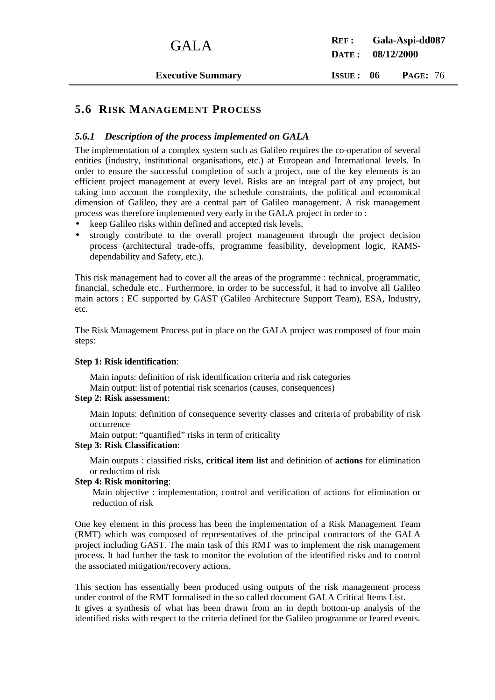| <b>GALA</b> | <b>REF:</b> |
|-------------|-------------|
|             | n           |

## **5.6 RISK MANAGEMENT PROCESS**

### *5.6.1 Description of the process implemented on GALA*

The implementation of a complex system such as Galileo requires the co-operation of several entities (industry, institutional organisations, etc.) at European and International levels. In order to ensure the successful completion of such a project, one of the key elements is an efficient project management at every level. Risks are an integral part of any project, but taking into account the complexity, the schedule constraints, the political and economical dimension of Galileo, they are a central part of Galileo management. A risk management process was therefore implemented very early in the GALA project in order to :

- keep Galileo risks within defined and accepted risk levels,
- strongly contribute to the overall project management through the project decision process (architectural trade-offs, programme feasibility, development logic, RAMSdependability and Safety, etc.).

This risk management had to cover all the areas of the programme : technical, programmatic, financial, schedule etc.. Furthermore, in order to be successful, it had to involve all Galileo main actors : EC supported by GAST (Galileo Architecture Support Team), ESA, Industry, etc.

The Risk Management Process put in place on the GALA project was composed of four main steps:

#### **Step 1: Risk identification**:

Main inputs: definition of risk identification criteria and risk categories Main output: list of potential risk scenarios (causes, consequences)

## **Step 2: Risk assessment**:

Main Inputs: definition of consequence severity classes and criteria of probability of risk occurrence

Main output: "quantified" risks in term of criticality

#### **Step 3: Risk Classification**:

Main outputs : classified risks, **critical item list** and definition of **actions** for elimination or reduction of risk

#### **Step 4: Risk monitoring**:

Main objective : implementation, control and verification of actions for elimination or reduction of risk

One key element in this process has been the implementation of a Risk Management Team (RMT) which was composed of representatives of the principal contractors of the GALA project including GAST. The main task of this RMT was to implement the risk management process. It had further the task to monitor the evolution of the identified risks and to control the associated mitigation/recovery actions.

This section has essentially been produced using outputs of the risk management process under control of the RMT formalised in the so called document GALA Critical Items List. It gives a synthesis of what has been drawn from an in depth bottom-up analysis of the identified risks with respect to the criteria defined for the Galileo programme or feared events.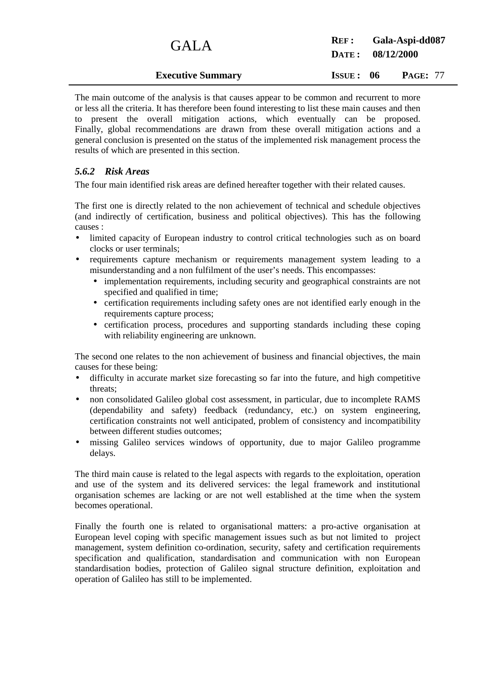| <b>GALA</b>              | REF: Gala-Aspi-dd087<br>$\text{DATE}: \quad 08/12/2000$ |
|--------------------------|---------------------------------------------------------|
| <b>Executive Summary</b> | $\text{ISSUE}: 06$ PAGE: 77                             |

The main outcome of the analysis is that causes appear to be common and recurrent to more or less all the criteria. It has therefore been found interesting to list these main causes and then to present the overall mitigation actions, which eventually can be proposed. Finally, global recommendations are drawn from these overall mitigation actions and a general conclusion is presented on the status of the implemented risk management process the results of which are presented in this section.

## *5.6.2 Risk Areas*

The four main identified risk areas are defined hereafter together with their related causes.

The first one is directly related to the non achievement of technical and schedule objectives (and indirectly of certification, business and political objectives). This has the following causes :

- limited capacity of European industry to control critical technologies such as on board clocks or user terminals;
- requirements capture mechanism or requirements management system leading to a misunderstanding and a non fulfilment of the user's needs. This encompasses:
	- implementation requirements, including security and geographical constraints are not specified and qualified in time;
	- certification requirements including safety ones are not identified early enough in the requirements capture process;
	- certification process, procedures and supporting standards including these coping with reliability engineering are unknown.

The second one relates to the non achievement of business and financial objectives, the main causes for these being:

- difficulty in accurate market size forecasting so far into the future, and high competitive threats;
- non consolidated Galileo global cost assessment, in particular, due to incomplete RAMS (dependability and safety) feedback (redundancy, etc.) on system engineering, certification constraints not well anticipated, problem of consistency and incompatibility between different studies outcomes;
- missing Galileo services windows of opportunity, due to major Galileo programme delays.

The third main cause is related to the legal aspects with regards to the exploitation, operation and use of the system and its delivered services: the legal framework and institutional organisation schemes are lacking or are not well established at the time when the system becomes operational.

Finally the fourth one is related to organisational matters: a pro-active organisation at European level coping with specific management issues such as but not limited to project management, system definition co-ordination, security, safety and certification requirements specification and qualification, standardisation and communication with non European standardisation bodies, protection of Galileo signal structure definition, exploitation and operation of Galileo has still to be implemented.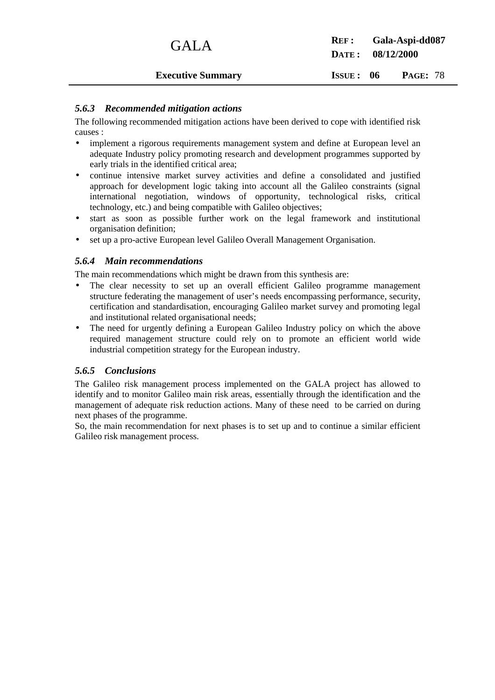| <b>GALA</b>              | REF: Gala-Aspi-dd087<br>$\text{DATE}: \quad 08/12/2000$ |                 |  |
|--------------------------|---------------------------------------------------------|-----------------|--|
| <b>Executive Summary</b> | $I_{\text{S}sUE}: 06$                                   | <b>PAGE: 78</b> |  |

## *5.6.3 Recommended mitigation actions*

The following recommended mitigation actions have been derived to cope with identified risk causes :

- implement a rigorous requirements management system and define at European level an adequate Industry policy promoting research and development programmes supported by early trials in the identified critical area;
- continue intensive market survey activities and define a consolidated and justified approach for development logic taking into account all the Galileo constraints (signal international negotiation, windows of opportunity, technological risks, critical technology, etc.) and being compatible with Galileo objectives;
- start as soon as possible further work on the legal framework and institutional organisation definition;
- set up a pro-active European level Galileo Overall Management Organisation.

## *5.6.4 Main recommendations*

The main recommendations which might be drawn from this synthesis are:

- The clear necessity to set up an overall efficient Galileo programme management structure federating the management of user's needs encompassing performance, security, certification and standardisation, encouraging Galileo market survey and promoting legal and institutional related organisational needs;
- The need for urgently defining a European Galileo Industry policy on which the above required management structure could rely on to promote an efficient world wide industrial competition strategy for the European industry.

## *5.6.5 Conclusions*

The Galileo risk management process implemented on the GALA project has allowed to identify and to monitor Galileo main risk areas, essentially through the identification and the management of adequate risk reduction actions. Many of these need to be carried on during next phases of the programme.

So, the main recommendation for next phases is to set up and to continue a similar efficient Galileo risk management process.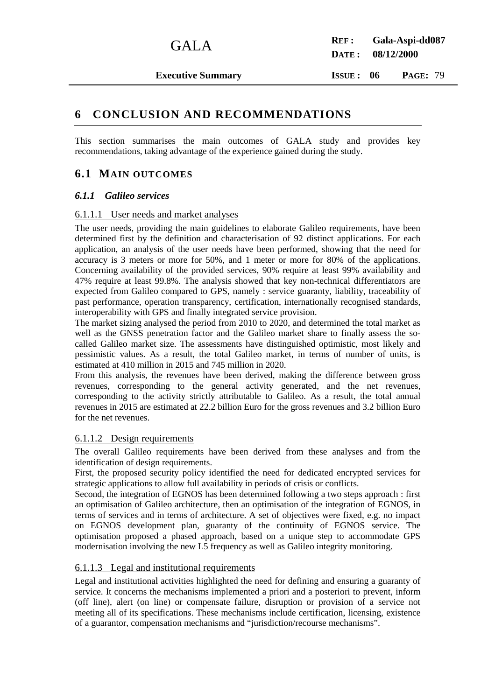## **6 CONCLUSION AND RECOMMENDATIONS**

This section summarises the main outcomes of GALA study and provides key recommendations, taking advantage of the experience gained during the study.

## **6.1 MAIN OUTCOMES**

### *6.1.1 Galileo services*

#### 6.1.1.1 User needs and market analyses

The user needs, providing the main guidelines to elaborate Galileo requirements, have been determined first by the definition and characterisation of 92 distinct applications. For each application, an analysis of the user needs have been performed, showing that the need for accuracy is 3 meters or more for 50%, and 1 meter or more for 80% of the applications. Concerning availability of the provided services, 90% require at least 99% availability and 47% require at least 99.8%. The analysis showed that key non-technical differentiators are expected from Galileo compared to GPS, namely : service guaranty, liability, traceability of past performance, operation transparency, certification, internationally recognised standards, interoperability with GPS and finally integrated service provision.

The market sizing analysed the period from 2010 to 2020, and determined the total market as well as the GNSS penetration factor and the Galileo market share to finally assess the socalled Galileo market size. The assessments have distinguished optimistic, most likely and pessimistic values. As a result, the total Galileo market, in terms of number of units, is estimated at 410 million in 2015 and 745 million in 2020.

From this analysis, the revenues have been derived, making the difference between gross revenues, corresponding to the general activity generated, and the net revenues, corresponding to the activity strictly attributable to Galileo. As a result, the total annual revenues in 2015 are estimated at 22.2 billion Euro for the gross revenues and 3.2 billion Euro for the net revenues.

#### 6.1.1.2 Design requirements

The overall Galileo requirements have been derived from these analyses and from the identification of design requirements.

First, the proposed security policy identified the need for dedicated encrypted services for strategic applications to allow full availability in periods of crisis or conflicts.

Second, the integration of EGNOS has been determined following a two steps approach : first an optimisation of Galileo architecture, then an optimisation of the integration of EGNOS, in terms of services and in terms of architecture. A set of objectives were fixed, e.g. no impact on EGNOS development plan, guaranty of the continuity of EGNOS service. The optimisation proposed a phased approach, based on a unique step to accommodate GPS modernisation involving the new L5 frequency as well as Galileo integrity monitoring.

#### 6.1.1.3 Legal and institutional requirements

Legal and institutional activities highlighted the need for defining and ensuring a guaranty of service. It concerns the mechanisms implemented a priori and a posteriori to prevent, inform (off line), alert (on line) or compensate failure, disruption or provision of a service not meeting all of its specifications. These mechanisms include certification, licensing, existence of a guarantor, compensation mechanisms and "jurisdiction/recourse mechanisms".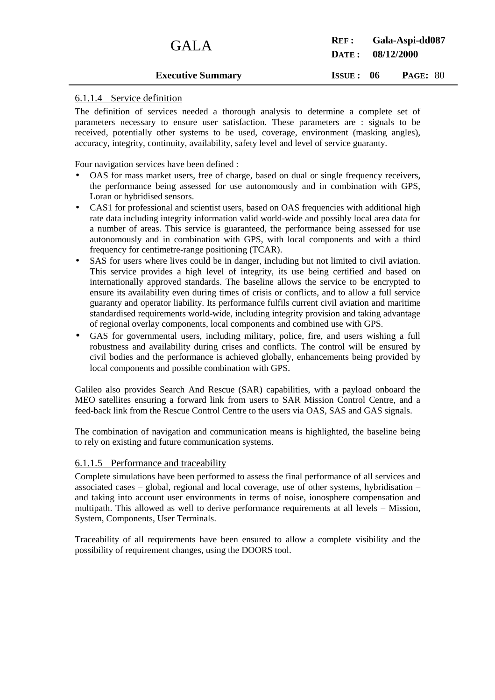| GALA                     |            | REF: Gala-Aspi-dd087<br>$\text{DATE}: \quad 08/12/2000$ |  |
|--------------------------|------------|---------------------------------------------------------|--|
| <b>Executive Summary</b> | ISSUE : 06 | <b>PAGE: 80</b>                                         |  |

### 6.1.1.4 Service definition

The definition of services needed a thorough analysis to determine a complete set of parameters necessary to ensure user satisfaction. These parameters are : signals to be received, potentially other systems to be used, coverage, environment (masking angles), accuracy, integrity, continuity, availability, safety level and level of service guaranty.

Four navigation services have been defined :

- OAS for mass market users, free of charge, based on dual or single frequency receivers, the performance being assessed for use autonomously and in combination with GPS, Loran or hybridised sensors.
- CAS1 for professional and scientist users, based on OAS frequencies with additional high rate data including integrity information valid world-wide and possibly local area data for a number of areas. This service is guaranteed, the performance being assessed for use autonomously and in combination with GPS, with local components and with a third frequency for centimetre-range positioning (TCAR).
- SAS for users where lives could be in danger, including but not limited to civil aviation. This service provides a high level of integrity, its use being certified and based on internationally approved standards. The baseline allows the service to be encrypted to ensure its availability even during times of crisis or conflicts, and to allow a full service guaranty and operator liability. Its performance fulfils current civil aviation and maritime standardised requirements world-wide, including integrity provision and taking advantage of regional overlay components, local components and combined use with GPS.
- GAS for governmental users, including military, police, fire, and users wishing a full robustness and availability during crises and conflicts. The control will be ensured by civil bodies and the performance is achieved globally, enhancements being provided by local components and possible combination with GPS.

Galileo also provides Search And Rescue (SAR) capabilities, with a payload onboard the MEO satellites ensuring a forward link from users to SAR Mission Control Centre, and a feed-back link from the Rescue Control Centre to the users via OAS, SAS and GAS signals.

The combination of navigation and communication means is highlighted, the baseline being to rely on existing and future communication systems.

#### 6.1.1.5 Performance and traceability

Complete simulations have been performed to assess the final performance of all services and associated cases – global, regional and local coverage, use of other systems, hybridisation – and taking into account user environments in terms of noise, ionosphere compensation and multipath. This allowed as well to derive performance requirements at all levels – Mission, System, Components, User Terminals.

Traceability of all requirements have been ensured to allow a complete visibility and the possibility of requirement changes, using the DOORS tool.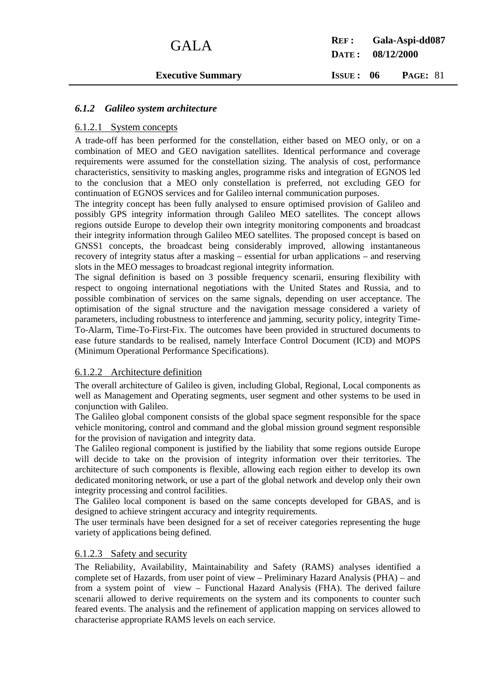### *6.1.2 Galileo system architecture*

#### 6.1.2.1 System concepts

A trade-off has been performed for the constellation, either based on MEO only, or on a combination of MEO and GEO navigation satellites. Identical performance and coverage requirements were assumed for the constellation sizing. The analysis of cost, performance characteristics, sensitivity to masking angles, programme risks and integration of EGNOS led to the conclusion that a MEO only constellation is preferred, not excluding GEO for continuation of EGNOS services and for Galileo internal communication purposes.

The integrity concept has been fully analysed to ensure optimised provision of Galileo and possibly GPS integrity information through Galileo MEO satellites. The concept allows regions outside Europe to develop their own integrity monitoring components and broadcast their integrity information through Galileo MEO satellites. The proposed concept is based on GNSS1 concepts, the broadcast being considerably improved, allowing instantaneous recovery of integrity status after a masking – essential for urban applications – and reserving slots in the MEO messages to broadcast regional integrity information.

The signal definition is based on 3 possible frequency scenarii, ensuring flexibility with respect to ongoing international negotiations with the United States and Russia, and to possible combination of services on the same signals, depending on user acceptance. The optimisation of the signal structure and the navigation message considered a variety of parameters, including robustness to interference and jamming, security policy, integrity Time-To-Alarm, Time-To-First-Fix. The outcomes have been provided in structured documents to ease future standards to be realised, namely Interface Control Document (ICD) and MOPS (Minimum Operational Performance Specifications).

#### 6.1.2.2 Architecture definition

The overall architecture of Galileo is given, including Global, Regional, Local components as well as Management and Operating segments, user segment and other systems to be used in conjunction with Galileo.

The Galileo global component consists of the global space segment responsible for the space vehicle monitoring, control and command and the global mission ground segment responsible for the provision of navigation and integrity data.

The Galileo regional component is justified by the liability that some regions outside Europe will decide to take on the provision of integrity information over their territories. The architecture of such components is flexible, allowing each region either to develop its own dedicated monitoring network, or use a part of the global network and develop only their own integrity processing and control facilities.

The Galileo local component is based on the same concepts developed for GBAS, and is designed to achieve stringent accuracy and integrity requirements.

The user terminals have been designed for a set of receiver categories representing the huge variety of applications being defined.

### 6.1.2.3 Safety and security

The Reliability, Availability, Maintainability and Safety (RAMS) analyses identified a complete set of Hazards, from user point of view – Preliminary Hazard Analysis (PHA) – and from a system point of view – Functional Hazard Analysis (FHA). The derived failure scenarii allowed to derive requirements on the system and its components to counter such feared events. The analysis and the refinement of application mapping on services allowed to characterise appropriate RAMS levels on each service.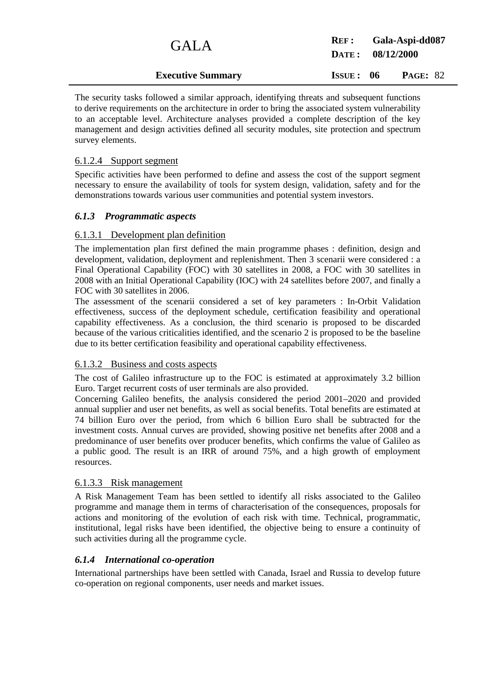| GALA                     | $\text{DATE}: \quad 08/12/2000$ | REF: Gala-Aspi-dd087 |
|--------------------------|---------------------------------|----------------------|
| <b>Executive Summary</b> | ISSUE : 06                      | <b>PAGE: 82</b>      |

The security tasks followed a similar approach, identifying threats and subsequent functions to derive requirements on the architecture in order to bring the associated system vulnerability to an acceptable level. Architecture analyses provided a complete description of the key management and design activities defined all security modules, site protection and spectrum survey elements.

## 6.1.2.4 Support segment

Specific activities have been performed to define and assess the cost of the support segment necessary to ensure the availability of tools for system design, validation, safety and for the demonstrations towards various user communities and potential system investors.

## *6.1.3 Programmatic aspects*

## 6.1.3.1 Development plan definition

The implementation plan first defined the main programme phases : definition, design and development, validation, deployment and replenishment. Then 3 scenarii were considered : a Final Operational Capability (FOC) with 30 satellites in 2008, a FOC with 30 satellites in 2008 with an Initial Operational Capability (IOC) with 24 satellites before 2007, and finally a FOC with 30 satellites in 2006.

The assessment of the scenarii considered a set of key parameters : In-Orbit Validation effectiveness, success of the deployment schedule, certification feasibility and operational capability effectiveness. As a conclusion, the third scenario is proposed to be discarded because of the various criticalities identified, and the scenario 2 is proposed to be the baseline due to its better certification feasibility and operational capability effectiveness.

## 6.1.3.2 Business and costs aspects

The cost of Galileo infrastructure up to the FOC is estimated at approximately 3.2 billion Euro. Target recurrent costs of user terminals are also provided.

Concerning Galileo benefits, the analysis considered the period 2001–2020 and provided annual supplier and user net benefits, as well as social benefits. Total benefits are estimated at 74 billion Euro over the period, from which 6 billion Euro shall be subtracted for the investment costs. Annual curves are provided, showing positive net benefits after 2008 and a predominance of user benefits over producer benefits, which confirms the value of Galileo as a public good. The result is an IRR of around 75%, and a high growth of employment resources.

## 6.1.3.3 Risk management

A Risk Management Team has been settled to identify all risks associated to the Galileo programme and manage them in terms of characterisation of the consequences, proposals for actions and monitoring of the evolution of each risk with time. Technical, programmatic, institutional, legal risks have been identified, the objective being to ensure a continuity of such activities during all the programme cycle.

## *6.1.4 International co-operation*

International partnerships have been settled with Canada, Israel and Russia to develop future co-operation on regional components, user needs and market issues.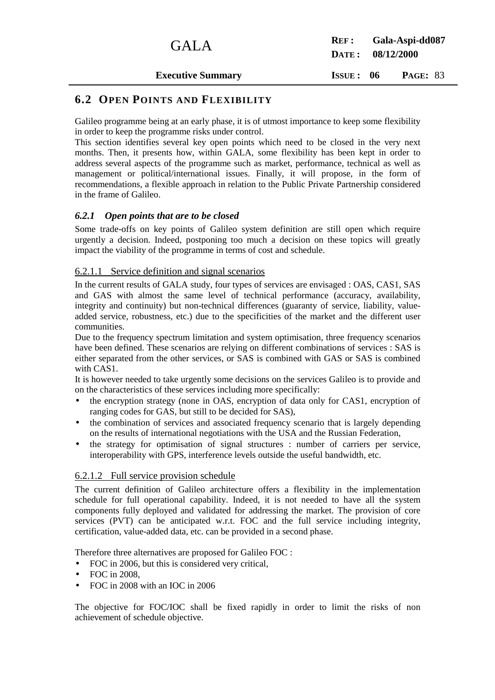| <b>GALA</b> | <b>REF:</b> |
|-------------|-------------|
|             | n           |

#### **Executive Summary ISSUE : 06 PAGE:** 83

# **6.2 OPEN POINTS AND FLEXIBILITY**

Galileo programme being at an early phase, it is of utmost importance to keep some flexibility in order to keep the programme risks under control.

This section identifies several key open points which need to be closed in the very next months. Then, it presents how, within GALA, some flexibility has been kept in order to address several aspects of the programme such as market, performance, technical as well as management or political/international issues. Finally, it will propose, in the form of recommendations, a flexible approach in relation to the Public Private Partnership considered in the frame of Galileo.

### *6.2.1 Open points that are to be closed*

Some trade-offs on key points of Galileo system definition are still open which require urgently a decision. Indeed, postponing too much a decision on these topics will greatly impact the viability of the programme in terms of cost and schedule.

### 6.2.1.1 Service definition and signal scenarios

In the current results of GALA study, four types of services are envisaged : OAS, CAS1, SAS and GAS with almost the same level of technical performance (accuracy, availability, integrity and continuity) but non-technical differences (guaranty of service, liability, valueadded service, robustness, etc.) due to the specificities of the market and the different user communities.

Due to the frequency spectrum limitation and system optimisation, three frequency scenarios have been defined. These scenarios are relying on different combinations of services : SAS is either separated from the other services, or SAS is combined with GAS or SAS is combined with CAS1.

It is however needed to take urgently some decisions on the services Galileo is to provide and on the characteristics of these services including more specifically:

- the encryption strategy (none in OAS, encryption of data only for CAS1, encryption of ranging codes for GAS, but still to be decided for SAS),
- the combination of services and associated frequency scenario that is largely depending on the results of international negotiations with the USA and the Russian Federation,
- the strategy for optimisation of signal structures : number of carriers per service, interoperability with GPS, interference levels outside the useful bandwidth, etc.

## 6.2.1.2 Full service provision schedule

The current definition of Galileo architecture offers a flexibility in the implementation schedule for full operational capability. Indeed, it is not needed to have all the system components fully deployed and validated for addressing the market. The provision of core services (PVT) can be anticipated w.r.t. FOC and the full service including integrity, certification, value-added data, etc. can be provided in a second phase.

Therefore three alternatives are proposed for Galileo FOC :

- FOC in 2006, but this is considered very critical,
- FOC in 2008.
- FOC in 2008 with an IOC in 2006

The objective for FOC/IOC shall be fixed rapidly in order to limit the risks of non achievement of schedule objective.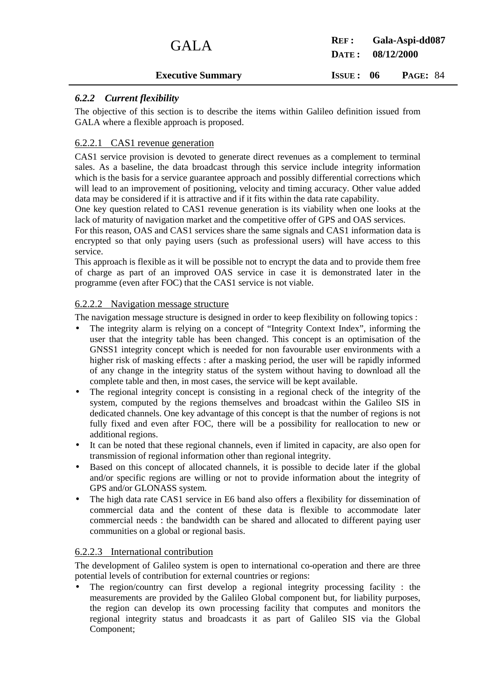GALA<sup>REF:</sup>

#### **Executive Summary ISSUE : 06 PAGE:** 84

### *6.2.2 Current flexibility*

The objective of this section is to describe the items within Galileo definition issued from GALA where a flexible approach is proposed.

## 6.2.2.1 CAS1 revenue generation

CAS1 service provision is devoted to generate direct revenues as a complement to terminal sales. As a baseline, the data broadcast through this service include integrity information which is the basis for a service guarantee approach and possibly differential corrections which will lead to an improvement of positioning, velocity and timing accuracy. Other value added data may be considered if it is attractive and if it fits within the data rate capability.

One key question related to CAS1 revenue generation is its viability when one looks at the lack of maturity of navigation market and the competitive offer of GPS and OAS services.

For this reason, OAS and CAS1 services share the same signals and CAS1 information data is encrypted so that only paying users (such as professional users) will have access to this service.

This approach is flexible as it will be possible not to encrypt the data and to provide them free of charge as part of an improved OAS service in case it is demonstrated later in the programme (even after FOC) that the CAS1 service is not viable.

#### 6.2.2.2 Navigation message structure

The navigation message structure is designed in order to keep flexibility on following topics :

- The integrity alarm is relying on a concept of "Integrity Context Index", informing the user that the integrity table has been changed. This concept is an optimisation of the GNSS1 integrity concept which is needed for non favourable user environments with a higher risk of masking effects : after a masking period, the user will be rapidly informed of any change in the integrity status of the system without having to download all the complete table and then, in most cases, the service will be kept available.
- The regional integrity concept is consisting in a regional check of the integrity of the system, computed by the regions themselves and broadcast within the Galileo SIS in dedicated channels. One key advantage of this concept is that the number of regions is not fully fixed and even after FOC, there will be a possibility for reallocation to new or additional regions.
- It can be noted that these regional channels, even if limited in capacity, are also open for transmission of regional information other than regional integrity.
- Based on this concept of allocated channels, it is possible to decide later if the global and/or specific regions are willing or not to provide information about the integrity of GPS and/or GLONASS system.
- The high data rate CAS1 service in E6 band also offers a flexibility for dissemination of commercial data and the content of these data is flexible to accommodate later commercial needs : the bandwidth can be shared and allocated to different paying user communities on a global or regional basis.

#### 6.2.2.3 International contribution

The development of Galileo system is open to international co-operation and there are three potential levels of contribution for external countries or regions:

• The region/country can first develop a regional integrity processing facility : the measurements are provided by the Galileo Global component but, for liability purposes, the region can develop its own processing facility that computes and monitors the regional integrity status and broadcasts it as part of Galileo SIS via the Global Component;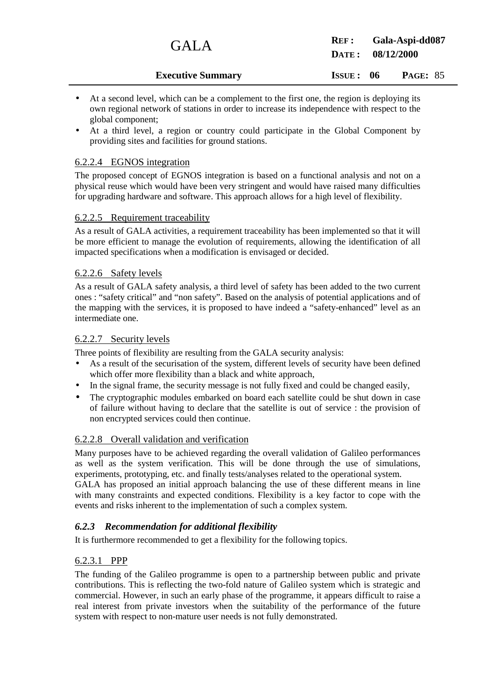| GALA                     | $\text{DATE}: \quad 08/12/2000$ | REF: Gala-Aspi-dd087 |
|--------------------------|---------------------------------|----------------------|
| <b>Executive Summary</b> | $\text{ISSUE}: 06$              | <b>PAGE: 85</b>      |

- At a second level, which can be a complement to the first one, the region is deploying its own regional network of stations in order to increase its independence with respect to the global component;
- At a third level, a region or country could participate in the Global Component by providing sites and facilities for ground stations.

## 6.2.2.4 EGNOS integration

The proposed concept of EGNOS integration is based on a functional analysis and not on a physical reuse which would have been very stringent and would have raised many difficulties for upgrading hardware and software. This approach allows for a high level of flexibility.

## 6.2.2.5 Requirement traceability

As a result of GALA activities, a requirement traceability has been implemented so that it will be more efficient to manage the evolution of requirements, allowing the identification of all impacted specifications when a modification is envisaged or decided.

## 6.2.2.6 Safety levels

As a result of GALA safety analysis, a third level of safety has been added to the two current ones : "safety critical" and "non safety". Based on the analysis of potential applications and of the mapping with the services, it is proposed to have indeed a "safety-enhanced" level as an intermediate one.

## 6.2.2.7 Security levels

Three points of flexibility are resulting from the GALA security analysis:

- As a result of the securisation of the system, different levels of security have been defined which offer more flexibility than a black and white approach,
- In the signal frame, the security message is not fully fixed and could be changed easily,
- The cryptographic modules embarked on board each satellite could be shut down in case of failure without having to declare that the satellite is out of service : the provision of non encrypted services could then continue.

## 6.2.2.8 Overall validation and verification

Many purposes have to be achieved regarding the overall validation of Galileo performances as well as the system verification. This will be done through the use of simulations, experiments, prototyping, etc. and finally tests/analyses related to the operational system.

GALA has proposed an initial approach balancing the use of these different means in line with many constraints and expected conditions. Flexibility is a key factor to cope with the events and risks inherent to the implementation of such a complex system.

## *6.2.3 Recommendation for additional flexibility*

It is furthermore recommended to get a flexibility for the following topics.

## 6.2.3.1 PPP

The funding of the Galileo programme is open to a partnership between public and private contributions. This is reflecting the two-fold nature of Galileo system which is strategic and commercial. However, in such an early phase of the programme, it appears difficult to raise a real interest from private investors when the suitability of the performance of the future system with respect to non-mature user needs is not fully demonstrated.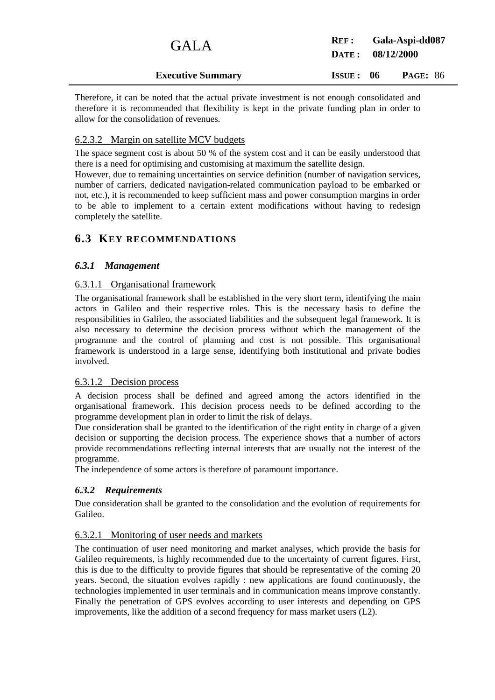| GALA                     |            | REF: Gala-Aspi-dd087<br>$\text{DATE}: \quad 08/12/2000$ |
|--------------------------|------------|---------------------------------------------------------|
| <b>Executive Summary</b> | ISSUE : 06 | <b>PAGE: 86</b>                                         |

Therefore, it can be noted that the actual private investment is not enough consolidated and therefore it is recommended that flexibility is kept in the private funding plan in order to allow for the consolidation of revenues.

## 6.2.3.2 Margin on satellite MCV budgets

The space segment cost is about 50 % of the system cost and it can be easily understood that there is a need for optimising and customising at maximum the satellite design.

However, due to remaining uncertainties on service definition (number of navigation services, number of carriers, dedicated navigation-related communication payload to be embarked or not, etc.), it is recommended to keep sufficient mass and power consumption margins in order to be able to implement to a certain extent modifications without having to redesign completely the satellite.

## **6.3 KEY RECOMMENDATIONS**

## *6.3.1 Management*

## 6.3.1.1 Organisational framework

The organisational framework shall be established in the very short term, identifying the main actors in Galileo and their respective roles. This is the necessary basis to define the responsibilities in Galileo, the associated liabilities and the subsequent legal framework. It is also necessary to determine the decision process without which the management of the programme and the control of planning and cost is not possible. This organisational framework is understood in a large sense, identifying both institutional and private bodies involved.

## 6.3.1.2 Decision process

A decision process shall be defined and agreed among the actors identified in the organisational framework. This decision process needs to be defined according to the programme development plan in order to limit the risk of delays.

Due consideration shall be granted to the identification of the right entity in charge of a given decision or supporting the decision process. The experience shows that a number of actors provide recommendations reflecting internal interests that are usually not the interest of the programme.

The independence of some actors is therefore of paramount importance.

## *6.3.2 Requirements*

Due consideration shall be granted to the consolidation and the evolution of requirements for Galileo.

## 6.3.2.1 Monitoring of user needs and markets

The continuation of user need monitoring and market analyses, which provide the basis for Galileo requirements, is highly recommended due to the uncertainty of current figures. First, this is due to the difficulty to provide figures that should be representative of the coming 20 years. Second, the situation evolves rapidly : new applications are found continuously, the technologies implemented in user terminals and in communication means improve constantly. Finally the penetration of GPS evolves according to user interests and depending on GPS improvements, like the addition of a second frequency for mass market users (L2).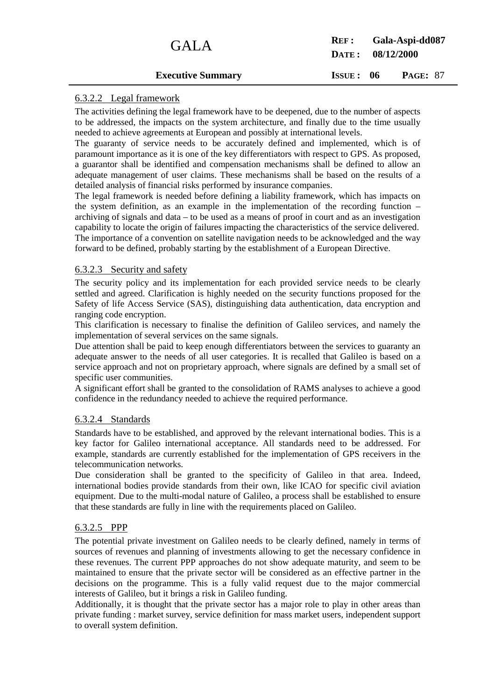#### **Executive Summary ISSUE : 06 PAGE:** 87

#### 6.3.2.2 Legal framework

The activities defining the legal framework have to be deepened, due to the number of aspects to be addressed, the impacts on the system architecture, and finally due to the time usually needed to achieve agreements at European and possibly at international levels.

The guaranty of service needs to be accurately defined and implemented, which is of paramount importance as it is one of the key differentiators with respect to GPS. As proposed, a guarantor shall be identified and compensation mechanisms shall be defined to allow an adequate management of user claims. These mechanisms shall be based on the results of a detailed analysis of financial risks performed by insurance companies.

The legal framework is needed before defining a liability framework, which has impacts on the system definition, as an example in the implementation of the recording function – archiving of signals and data – to be used as a means of proof in court and as an investigation capability to locate the origin of failures impacting the characteristics of the service delivered. The importance of a convention on satellite navigation needs to be acknowledged and the way forward to be defined, probably starting by the establishment of a European Directive.

#### 6.3.2.3 Security and safety

The security policy and its implementation for each provided service needs to be clearly settled and agreed. Clarification is highly needed on the security functions proposed for the Safety of life Access Service (SAS), distinguishing data authentication, data encryption and ranging code encryption.

This clarification is necessary to finalise the definition of Galileo services, and namely the implementation of several services on the same signals.

Due attention shall be paid to keep enough differentiators between the services to guaranty an adequate answer to the needs of all user categories. It is recalled that Galileo is based on a service approach and not on proprietary approach, where signals are defined by a small set of specific user communities.

A significant effort shall be granted to the consolidation of RAMS analyses to achieve a good confidence in the redundancy needed to achieve the required performance.

### 6.3.2.4 Standards

Standards have to be established, and approved by the relevant international bodies. This is a key factor for Galileo international acceptance. All standards need to be addressed. For example, standards are currently established for the implementation of GPS receivers in the telecommunication networks.

Due consideration shall be granted to the specificity of Galileo in that area. Indeed, international bodies provide standards from their own, like ICAO for specific civil aviation equipment. Due to the multi-modal nature of Galileo, a process shall be established to ensure that these standards are fully in line with the requirements placed on Galileo.

#### 6.3.2.5 PPP

The potential private investment on Galileo needs to be clearly defined, namely in terms of sources of revenues and planning of investments allowing to get the necessary confidence in these revenues. The current PPP approaches do not show adequate maturity, and seem to be maintained to ensure that the private sector will be considered as an effective partner in the decisions on the programme. This is a fully valid request due to the major commercial interests of Galileo, but it brings a risk in Galileo funding.

Additionally, it is thought that the private sector has a major role to play in other areas than private funding : market survey, service definition for mass market users, independent support to overall system definition.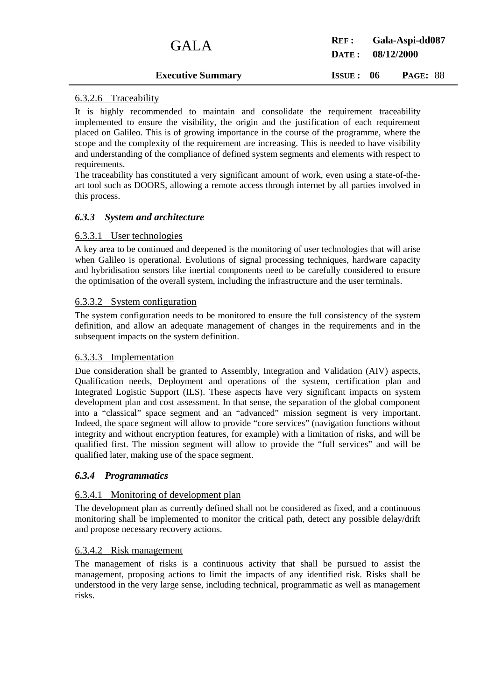| <b>GALA</b>              | $\text{DATE}: \quad 08/12/2000$ | REF: Gala-Aspi-dd087 |  |
|--------------------------|---------------------------------|----------------------|--|
| <b>Executive Summary</b> |                                 | $ISSUE: 06$ PAGE: 88 |  |

### 6.3.2.6 Traceability

It is highly recommended to maintain and consolidate the requirement traceability implemented to ensure the visibility, the origin and the justification of each requirement placed on Galileo. This is of growing importance in the course of the programme, where the scope and the complexity of the requirement are increasing. This is needed to have visibility and understanding of the compliance of defined system segments and elements with respect to requirements.

The traceability has constituted a very significant amount of work, even using a state-of-theart tool such as DOORS, allowing a remote access through internet by all parties involved in this process.

### *6.3.3 System and architecture*

### 6.3.3.1 User technologies

A key area to be continued and deepened is the monitoring of user technologies that will arise when Galileo is operational. Evolutions of signal processing techniques, hardware capacity and hybridisation sensors like inertial components need to be carefully considered to ensure the optimisation of the overall system, including the infrastructure and the user terminals.

### 6.3.3.2 System configuration

The system configuration needs to be monitored to ensure the full consistency of the system definition, and allow an adequate management of changes in the requirements and in the subsequent impacts on the system definition.

#### 6.3.3.3 Implementation

Due consideration shall be granted to Assembly, Integration and Validation (AIV) aspects, Qualification needs, Deployment and operations of the system, certification plan and Integrated Logistic Support (ILS). These aspects have very significant impacts on system development plan and cost assessment. In that sense, the separation of the global component into a "classical" space segment and an "advanced" mission segment is very important. Indeed, the space segment will allow to provide "core services" (navigation functions without integrity and without encryption features, for example) with a limitation of risks, and will be qualified first. The mission segment will allow to provide the "full services" and will be qualified later, making use of the space segment.

#### *6.3.4 Programmatics*

#### 6.3.4.1 Monitoring of development plan

The development plan as currently defined shall not be considered as fixed, and a continuous monitoring shall be implemented to monitor the critical path, detect any possible delay/drift and propose necessary recovery actions.

#### 6.3.4.2 Risk management

The management of risks is a continuous activity that shall be pursued to assist the management, proposing actions to limit the impacts of any identified risk. Risks shall be understood in the very large sense, including technical, programmatic as well as management risks.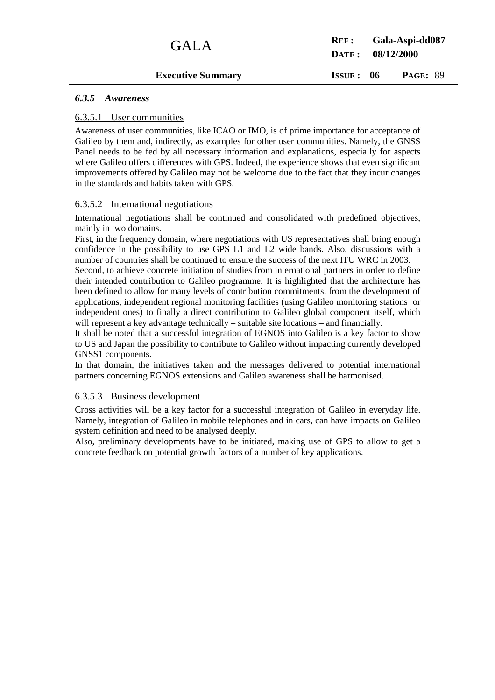#### *6.3.5 Awareness*

#### 6.3.5.1 User communities

Awareness of user communities, like ICAO or IMO, is of prime importance for acceptance of Galileo by them and, indirectly, as examples for other user communities. Namely, the GNSS Panel needs to be fed by all necessary information and explanations, especially for aspects where Galileo offers differences with GPS. Indeed, the experience shows that even significant improvements offered by Galileo may not be welcome due to the fact that they incur changes in the standards and habits taken with GPS.

#### 6.3.5.2 International negotiations

International negotiations shall be continued and consolidated with predefined objectives, mainly in two domains.

First, in the frequency domain, where negotiations with US representatives shall bring enough confidence in the possibility to use GPS L1 and L2 wide bands. Also, discussions with a number of countries shall be continued to ensure the success of the next ITU WRC in 2003.

Second, to achieve concrete initiation of studies from international partners in order to define their intended contribution to Galileo programme. It is highlighted that the architecture has been defined to allow for many levels of contribution commitments, from the development of applications, independent regional monitoring facilities (using Galileo monitoring stations or independent ones) to finally a direct contribution to Galileo global component itself, which will represent a key advantage technically – suitable site locations – and financially.

It shall be noted that a successful integration of EGNOS into Galileo is a key factor to show to US and Japan the possibility to contribute to Galileo without impacting currently developed GNSS1 components.

In that domain, the initiatives taken and the messages delivered to potential international partners concerning EGNOS extensions and Galileo awareness shall be harmonised.

#### 6.3.5.3 Business development

Cross activities will be a key factor for a successful integration of Galileo in everyday life. Namely, integration of Galileo in mobile telephones and in cars, can have impacts on Galileo system definition and need to be analysed deeply.

Also, preliminary developments have to be initiated, making use of GPS to allow to get a concrete feedback on potential growth factors of a number of key applications.